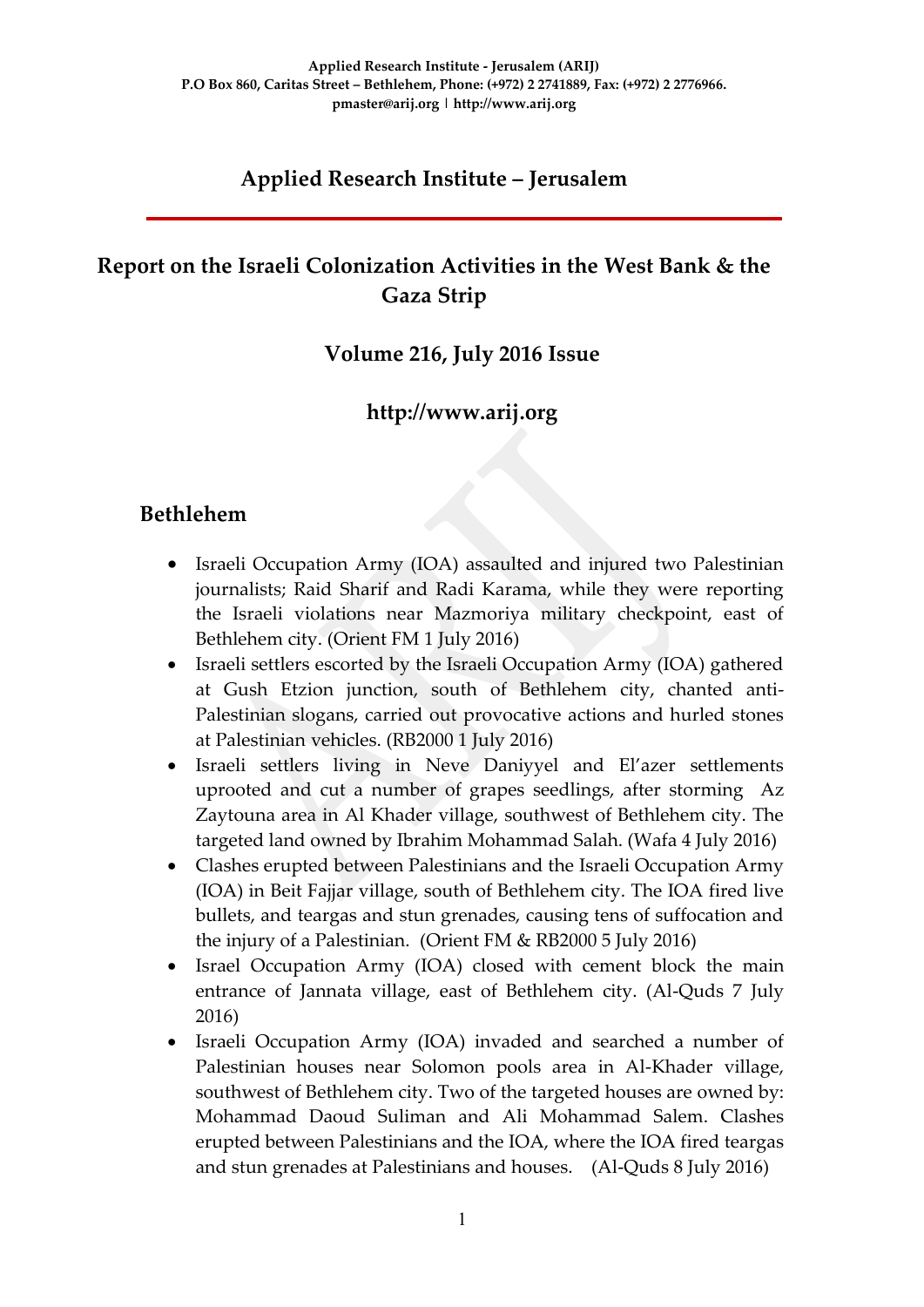## **Applied Research Institute – Jerusalem**

## **Report on the Israeli Colonization Activities in the West Bank & the Gaza Strip**

### **Volume 216, July 2016 Issue**

### **http://www.arij.org**

### **Bethlehem**

- Israeli Occupation Army (IOA) assaulted and injured two Palestinian journalists; Raid Sharif and Radi Karama, while they were reporting the Israeli violations near Mazmoriya military checkpoint, east of Bethlehem city. (Orient FM 1 July 2016)
- Israeli settlers escorted by the Israeli Occupation Army (IOA) gathered at Gush Etzion junction, south of Bethlehem city, chanted anti-Palestinian slogans, carried out provocative actions and hurled stones at Palestinian vehicles. (RB2000 1 July 2016)
- Israeli settlers living in Neve Daniyyel and El'azer settlements uprooted and cut a number of grapes seedlings, after storming Az Zaytouna area in Al Khader village, southwest of Bethlehem city. The targeted land owned by Ibrahim Mohammad Salah. (Wafa 4 July 2016)
- Clashes erupted between Palestinians and the Israeli Occupation Army (IOA) in Beit Fajjar village, south of Bethlehem city. The IOA fired live bullets, and teargas and stun grenades, causing tens of suffocation and the injury of a Palestinian. (Orient FM & RB2000 5 July 2016)
- Israel Occupation Army (IOA) closed with cement block the main entrance of Jannata village, east of Bethlehem city. (Al-Quds 7 July 2016)
- Israeli Occupation Army (IOA) invaded and searched a number of Palestinian houses near Solomon pools area in Al-Khader village, southwest of Bethlehem city. Two of the targeted houses are owned by: Mohammad Daoud Suliman and Ali Mohammad Salem. Clashes erupted between Palestinians and the IOA, where the IOA fired teargas and stun grenades at Palestinians and houses. (Al-Quds 8 July 2016)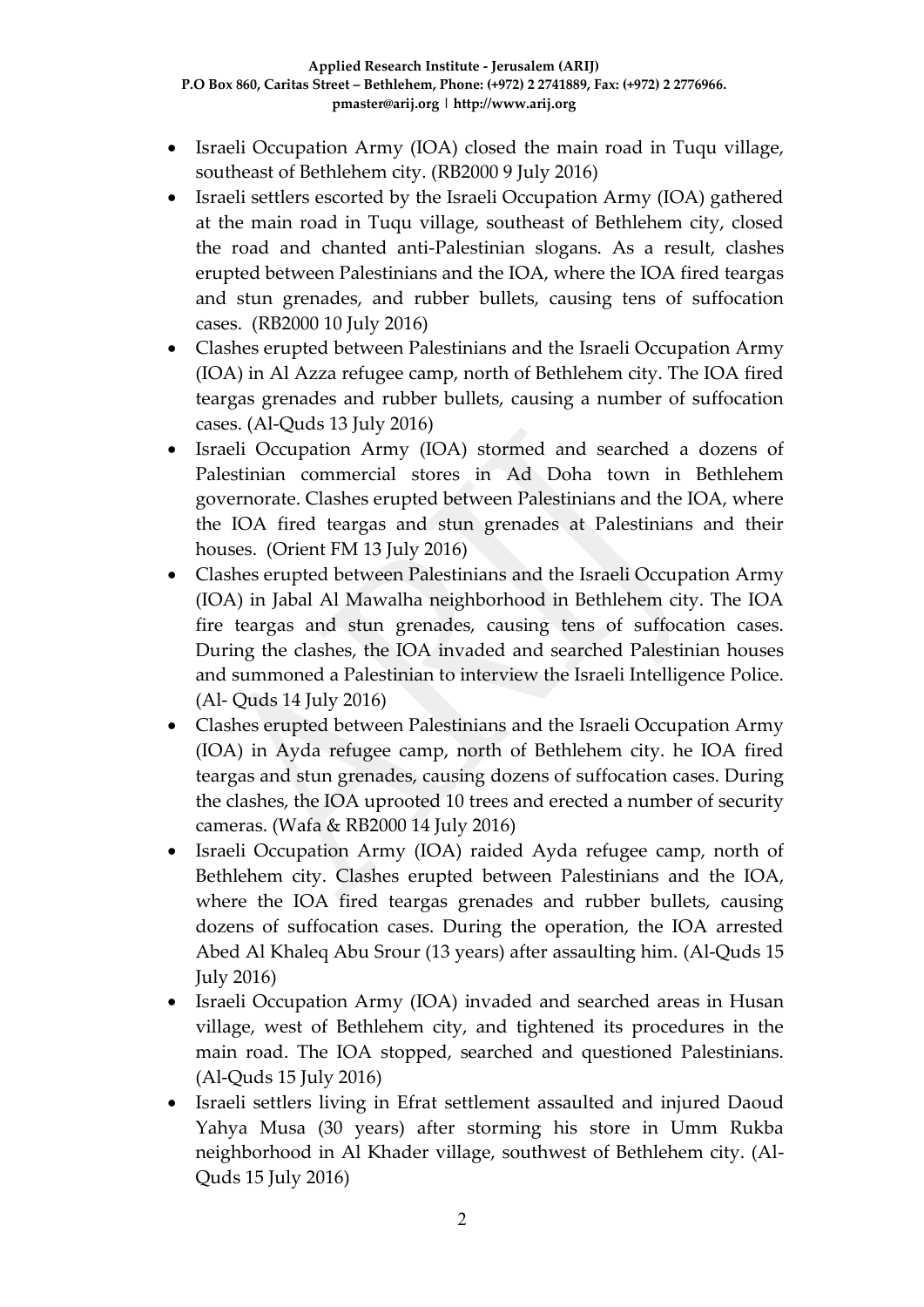- Israeli Occupation Army (IOA) closed the main road in Tuqu village, southeast of Bethlehem city. (RB2000 9 July 2016)
- Israeli settlers escorted by the Israeli Occupation Army (IOA) gathered at the main road in Tuqu village, southeast of Bethlehem city, closed the road and chanted anti-Palestinian slogans. As a result, clashes erupted between Palestinians and the IOA, where the IOA fired teargas and stun grenades, and rubber bullets, causing tens of suffocation cases. (RB2000 10 July 2016)
- Clashes erupted between Palestinians and the Israeli Occupation Army (IOA) in Al Azza refugee camp, north of Bethlehem city. The IOA fired teargas grenades and rubber bullets, causing a number of suffocation cases. (Al-Quds 13 July 2016)
- Israeli Occupation Army (IOA) stormed and searched a dozens of Palestinian commercial stores in Ad Doha town in Bethlehem governorate. Clashes erupted between Palestinians and the IOA, where the IOA fired teargas and stun grenades at Palestinians and their houses. (Orient FM 13 July 2016)
- Clashes erupted between Palestinians and the Israeli Occupation Army (IOA) in Jabal Al Mawalha neighborhood in Bethlehem city. The IOA fire teargas and stun grenades, causing tens of suffocation cases. During the clashes, the IOA invaded and searched Palestinian houses and summoned a Palestinian to interview the Israeli Intelligence Police. (Al- Quds 14 July 2016)
- Clashes erupted between Palestinians and the Israeli Occupation Army (IOA) in Ayda refugee camp, north of Bethlehem city. he IOA fired teargas and stun grenades, causing dozens of suffocation cases. During the clashes, the IOA uprooted 10 trees and erected a number of security cameras. (Wafa & RB2000 14 July 2016)
- Israeli Occupation Army (IOA) raided Ayda refugee camp, north of Bethlehem city. Clashes erupted between Palestinians and the IOA, where the IOA fired teargas grenades and rubber bullets, causing dozens of suffocation cases. During the operation, the IOA arrested Abed Al Khaleq Abu Srour (13 years) after assaulting him. (Al-Quds 15 July 2016)
- Israeli Occupation Army (IOA) invaded and searched areas in Husan village, west of Bethlehem city, and tightened its procedures in the main road. The IOA stopped, searched and questioned Palestinians. (Al-Quds 15 July 2016)
- Israeli settlers living in Efrat settlement assaulted and injured Daoud Yahya Musa (30 years) after storming his store in Umm Rukba neighborhood in Al Khader village, southwest of Bethlehem city. (Al-Quds 15 July 2016)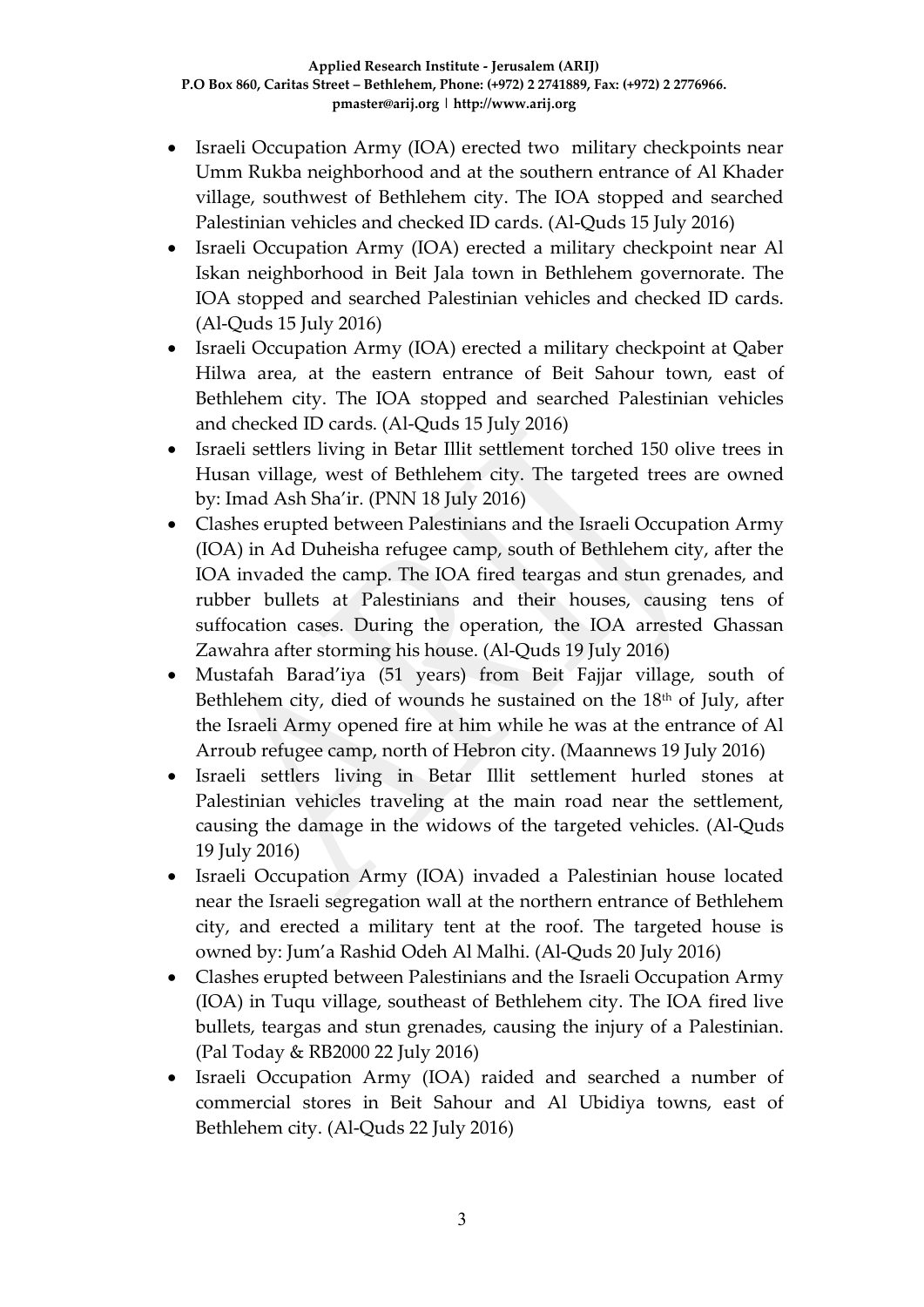- Israeli Occupation Army (IOA) erected two military checkpoints near Umm Rukba neighborhood and at the southern entrance of Al Khader village, southwest of Bethlehem city. The IOA stopped and searched Palestinian vehicles and checked ID cards. (Al-Quds 15 July 2016)
- Israeli Occupation Army (IOA) erected a military checkpoint near Al Iskan neighborhood in Beit Jala town in Bethlehem governorate. The IOA stopped and searched Palestinian vehicles and checked ID cards. (Al-Quds 15 July 2016)
- Israeli Occupation Army (IOA) erected a military checkpoint at Qaber Hilwa area, at the eastern entrance of Beit Sahour town, east of Bethlehem city. The IOA stopped and searched Palestinian vehicles and checked ID cards. (Al-Quds 15 July 2016)
- Israeli settlers living in Betar Illit settlement torched 150 olive trees in Husan village, west of Bethlehem city. The targeted trees are owned by: Imad Ash Sha'ir. (PNN 18 July 2016)
- Clashes erupted between Palestinians and the Israeli Occupation Army (IOA) in Ad Duheisha refugee camp, south of Bethlehem city, after the IOA invaded the camp. The IOA fired teargas and stun grenades, and rubber bullets at Palestinians and their houses, causing tens of suffocation cases. During the operation, the IOA arrested Ghassan Zawahra after storming his house. (Al-Quds 19 July 2016)
- Mustafah Barad'iya (51 years) from Beit Fajjar village, south of Bethlehem city, died of wounds he sustained on the 18<sup>th</sup> of July, after the Israeli Army opened fire at him while he was at the entrance of Al Arroub refugee camp, north of Hebron city. (Maannews 19 July 2016)
- Israeli settlers living in Betar Illit settlement hurled stones at Palestinian vehicles traveling at the main road near the settlement, causing the damage in the widows of the targeted vehicles. (Al-Quds 19 July 2016)
- Israeli Occupation Army (IOA) invaded a Palestinian house located near the Israeli segregation wall at the northern entrance of Bethlehem city, and erected a military tent at the roof. The targeted house is owned by: Jum'a Rashid Odeh Al Malhi. (Al-Quds 20 July 2016)
- Clashes erupted between Palestinians and the Israeli Occupation Army (IOA) in Tuqu village, southeast of Bethlehem city. The IOA fired live bullets, teargas and stun grenades, causing the injury of a Palestinian. (Pal Today & RB2000 22 July 2016)
- Israeli Occupation Army (IOA) raided and searched a number of commercial stores in Beit Sahour and Al Ubidiya towns, east of Bethlehem city. (Al-Quds 22 July 2016)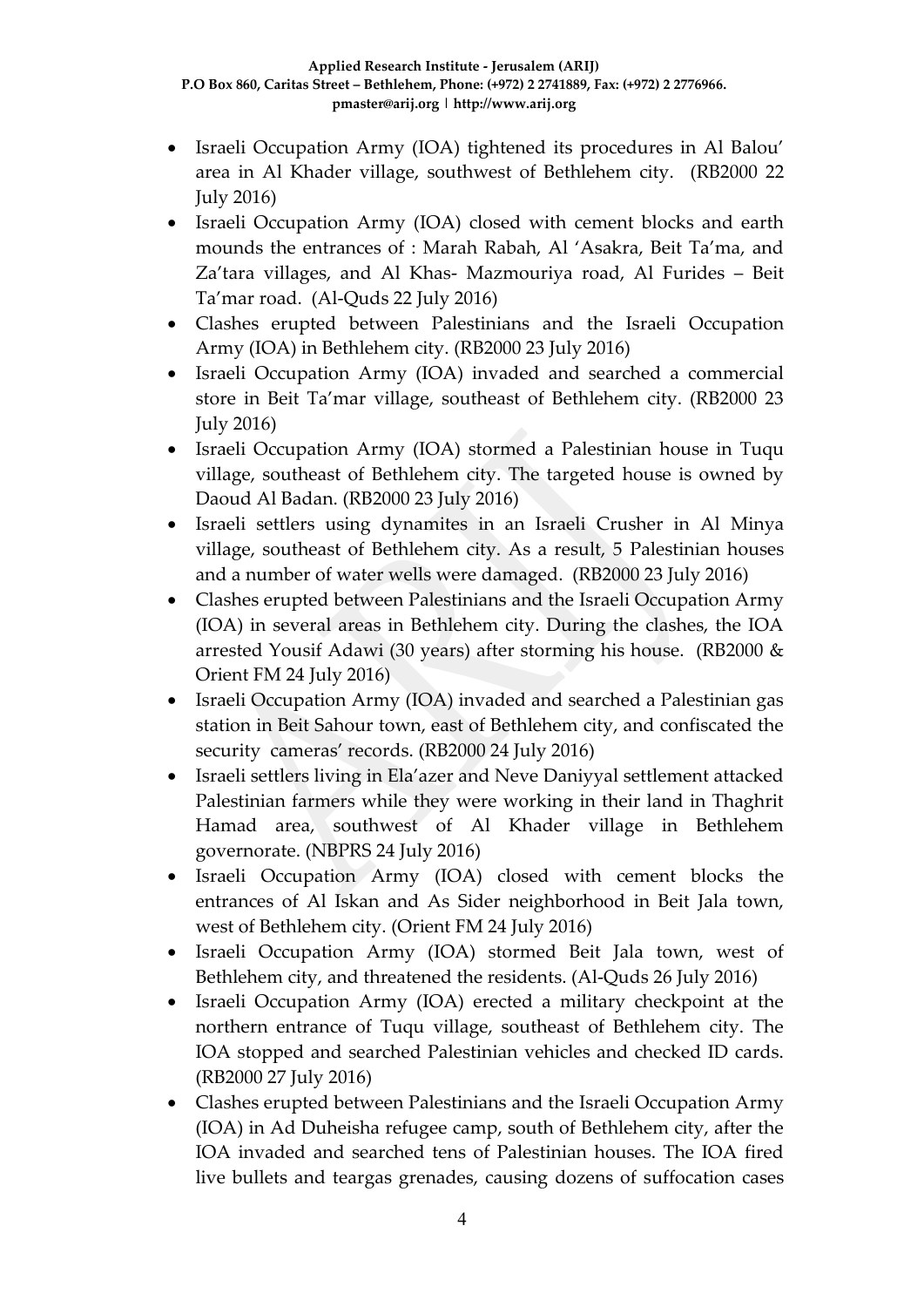- Israeli Occupation Army (IOA) tightened its procedures in Al Balou' area in Al Khader village, southwest of Bethlehem city. (RB2000 22 July 2016)
- Israeli Occupation Army (IOA) closed with cement blocks and earth mounds the entrances of : Marah Rabah, Al 'Asakra, Beit Ta'ma, and Za'tara villages, and Al Khas- Mazmouriya road, Al Furides – Beit Ta'mar road. (Al-Quds 22 July 2016)
- Clashes erupted between Palestinians and the Israeli Occupation Army (IOA) in Bethlehem city. (RB2000 23 July 2016)
- Israeli Occupation Army (IOA) invaded and searched a commercial store in Beit Ta'mar village, southeast of Bethlehem city. (RB2000 23 July 2016)
- Israeli Occupation Army (IOA) stormed a Palestinian house in Tuqu village, southeast of Bethlehem city. The targeted house is owned by Daoud Al Badan. (RB2000 23 July 2016)
- Israeli settlers using dynamites in an Israeli Crusher in Al Minya village, southeast of Bethlehem city. As a result, 5 Palestinian houses and a number of water wells were damaged. (RB2000 23 July 2016)
- Clashes erupted between Palestinians and the Israeli Occupation Army (IOA) in several areas in Bethlehem city. During the clashes, the IOA arrested Yousif Adawi (30 years) after storming his house. (RB2000 & Orient FM 24 July 2016)
- Israeli Occupation Army (IOA) invaded and searched a Palestinian gas station in Beit Sahour town, east of Bethlehem city, and confiscated the security cameras' records. (RB2000 24 July 2016)
- Israeli settlers living in Ela'azer and Neve Daniyyal settlement attacked Palestinian farmers while they were working in their land in Thaghrit Hamad area, southwest of Al Khader village in Bethlehem governorate. (NBPRS 24 July 2016)
- Israeli Occupation Army (IOA) closed with cement blocks the entrances of Al Iskan and As Sider neighborhood in Beit Jala town, west of Bethlehem city. (Orient FM 24 July 2016)
- Israeli Occupation Army (IOA) stormed Beit Jala town, west of Bethlehem city, and threatened the residents. (Al-Quds 26 July 2016)
- Israeli Occupation Army (IOA) erected a military checkpoint at the northern entrance of Tuqu village, southeast of Bethlehem city. The IOA stopped and searched Palestinian vehicles and checked ID cards. (RB2000 27 July 2016)
- Clashes erupted between Palestinians and the Israeli Occupation Army (IOA) in Ad Duheisha refugee camp, south of Bethlehem city, after the IOA invaded and searched tens of Palestinian houses. The IOA fired live bullets and teargas grenades, causing dozens of suffocation cases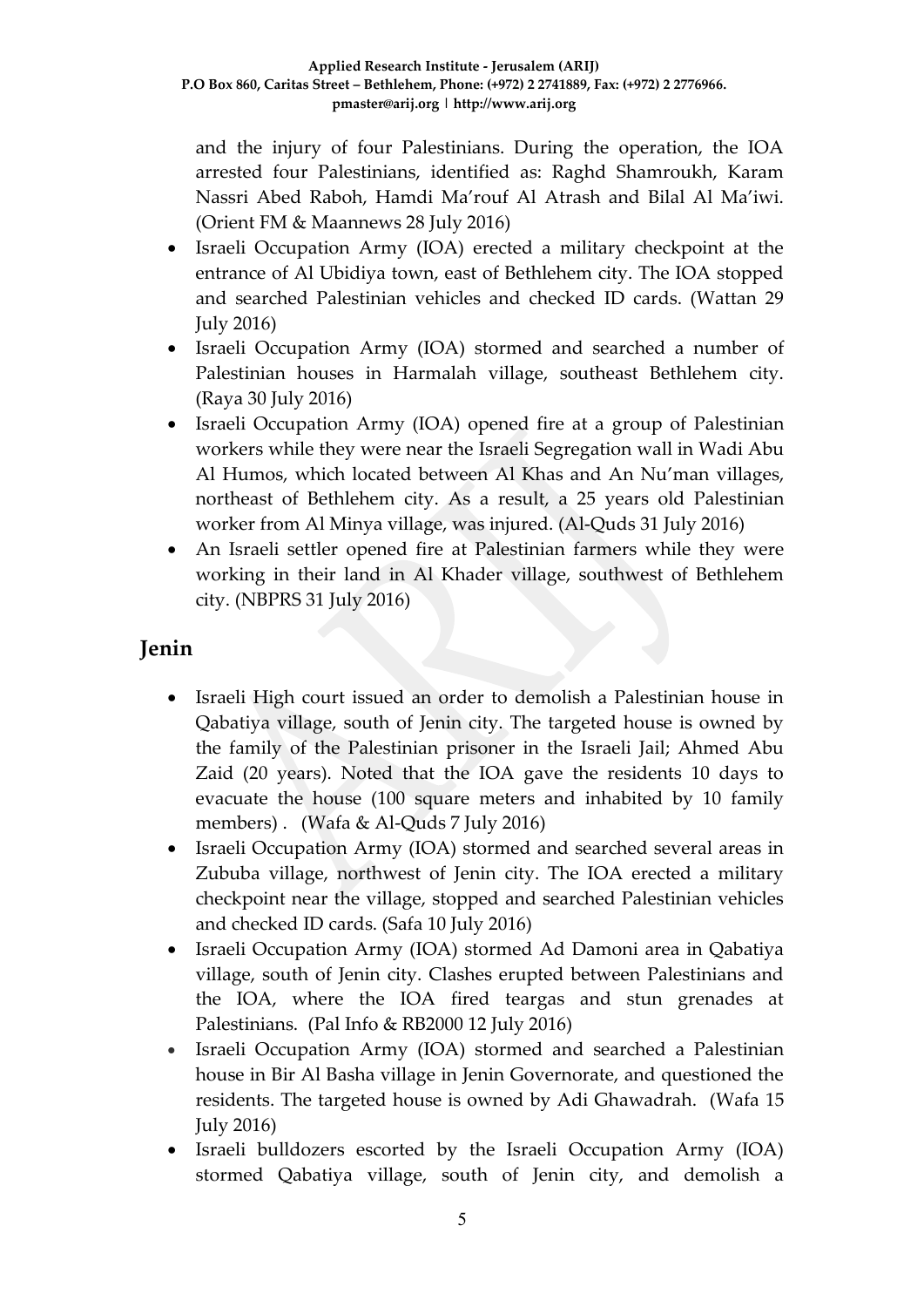and the injury of four Palestinians. During the operation, the IOA arrested four Palestinians, identified as: Raghd Shamroukh, Karam Nassri Abed Raboh, Hamdi Ma'rouf Al Atrash and Bilal Al Ma'iwi. (Orient FM & Maannews 28 July 2016)

- Israeli Occupation Army (IOA) erected a military checkpoint at the entrance of Al Ubidiya town, east of Bethlehem city. The IOA stopped and searched Palestinian vehicles and checked ID cards. (Wattan 29 July 2016)
- Israeli Occupation Army (IOA) stormed and searched a number of Palestinian houses in Harmalah village, southeast Bethlehem city. (Raya 30 July 2016)
- Israeli Occupation Army (IOA) opened fire at a group of Palestinian workers while they were near the Israeli Segregation wall in Wadi Abu Al Humos, which located between Al Khas and An Nu'man villages, northeast of Bethlehem city. As a result, a 25 years old Palestinian worker from Al Minya village, was injured. (Al-Quds 31 July 2016)
- An Israeli settler opened fire at Palestinian farmers while they were working in their land in Al Khader village, southwest of Bethlehem city. (NBPRS 31 July 2016)

### **Jenin**

- Israeli High court issued an order to demolish a Palestinian house in Qabatiya village, south of Jenin city. The targeted house is owned by the family of the Palestinian prisoner in the Israeli Jail; Ahmed Abu Zaid (20 years). Noted that the IOA gave the residents 10 days to evacuate the house (100 square meters and inhabited by 10 family members) . (Wafa & Al-Quds 7 July 2016)
- Israeli Occupation Army (IOA) stormed and searched several areas in Zububa village, northwest of Jenin city. The IOA erected a military checkpoint near the village, stopped and searched Palestinian vehicles and checked ID cards. (Safa 10 July 2016)
- Israeli Occupation Army (IOA) stormed Ad Damoni area in Qabatiya village, south of Jenin city. Clashes erupted between Palestinians and the IOA, where the IOA fired teargas and stun grenades at Palestinians. (Pal Info & RB2000 12 July 2016)
- Israeli Occupation Army (IOA) stormed and searched a Palestinian house in Bir Al Basha village in Jenin Governorate, and questioned the residents. The targeted house is owned by Adi Ghawadrah. (Wafa 15 July 2016)
- Israeli bulldozers escorted by the Israeli Occupation Army (IOA) stormed Qabatiya village, south of Jenin city, and demolish a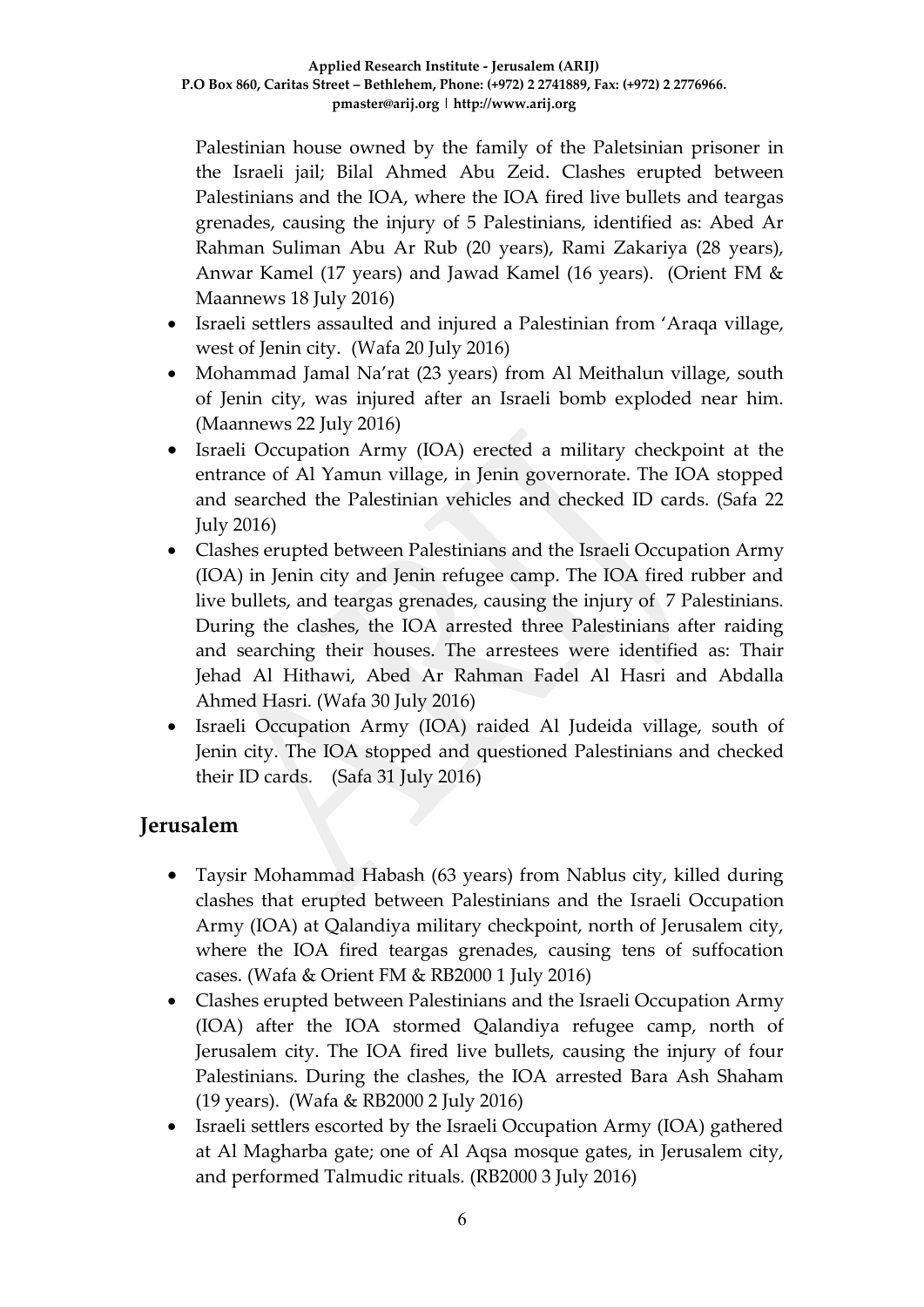Palestinian house owned by the family of the Paletsinian prisoner in the Israeli jail; Bilal Ahmed Abu Zeid. Clashes erupted between Palestinians and the IOA, where the IOA fired live bullets and teargas grenades, causing the injury of 5 Palestinians, identified as: Abed Ar Rahman Suliman Abu Ar Rub (20 years), Rami Zakariya (28 years), Anwar Kamel (17 years) and Jawad Kamel (16 years). (Orient FM & Maannews 18 July 2016)

- Israeli settlers assaulted and injured a Palestinian from 'Araqa village, west of Jenin city. (Wafa 20 July 2016)
- Mohammad Jamal Na'rat (23 years) from Al Meithalun village, south of Jenin city, was injured after an Israeli bomb exploded near him. (Maannews 22 July 2016)
- Israeli Occupation Army (IOA) erected a military checkpoint at the entrance of Al Yamun village, in Jenin governorate. The IOA stopped and searched the Palestinian vehicles and checked ID cards. (Safa 22 July 2016)
- Clashes erupted between Palestinians and the Israeli Occupation Army (IOA) in Jenin city and Jenin refugee camp. The IOA fired rubber and live bullets, and teargas grenades, causing the injury of 7 Palestinians. During the clashes, the IOA arrested three Palestinians after raiding and searching their houses. The arrestees were identified as: Thair Jehad Al Hithawi, Abed Ar Rahman Fadel Al Hasri and Abdalla Ahmed Hasri. (Wafa 30 July 2016)
- Israeli Occupation Army (IOA) raided Al Judeida village, south of Jenin city. The IOA stopped and questioned Palestinians and checked their ID cards. (Safa 31 July 2016)

### **Jerusalem**

- Taysir Mohammad Habash (63 years) from Nablus city, killed during clashes that erupted between Palestinians and the Israeli Occupation Army (IOA) at Qalandiya military checkpoint, north of Jerusalem city, where the IOA fired teargas grenades, causing tens of suffocation cases. (Wafa & Orient FM & RB2000 1 July 2016)
- Clashes erupted between Palestinians and the Israeli Occupation Army (IOA) after the IOA stormed Qalandiya refugee camp, north of Jerusalem city. The IOA fired live bullets, causing the injury of four Palestinians. During the clashes, the IOA arrested Bara Ash Shaham (19 years). (Wafa & RB2000 2 July 2016)
- Israeli settlers escorted by the Israeli Occupation Army (IOA) gathered at Al Magharba gate; one of Al Aqsa mosque gates, in Jerusalem city, and performed Talmudic rituals. (RB2000 3 July 2016)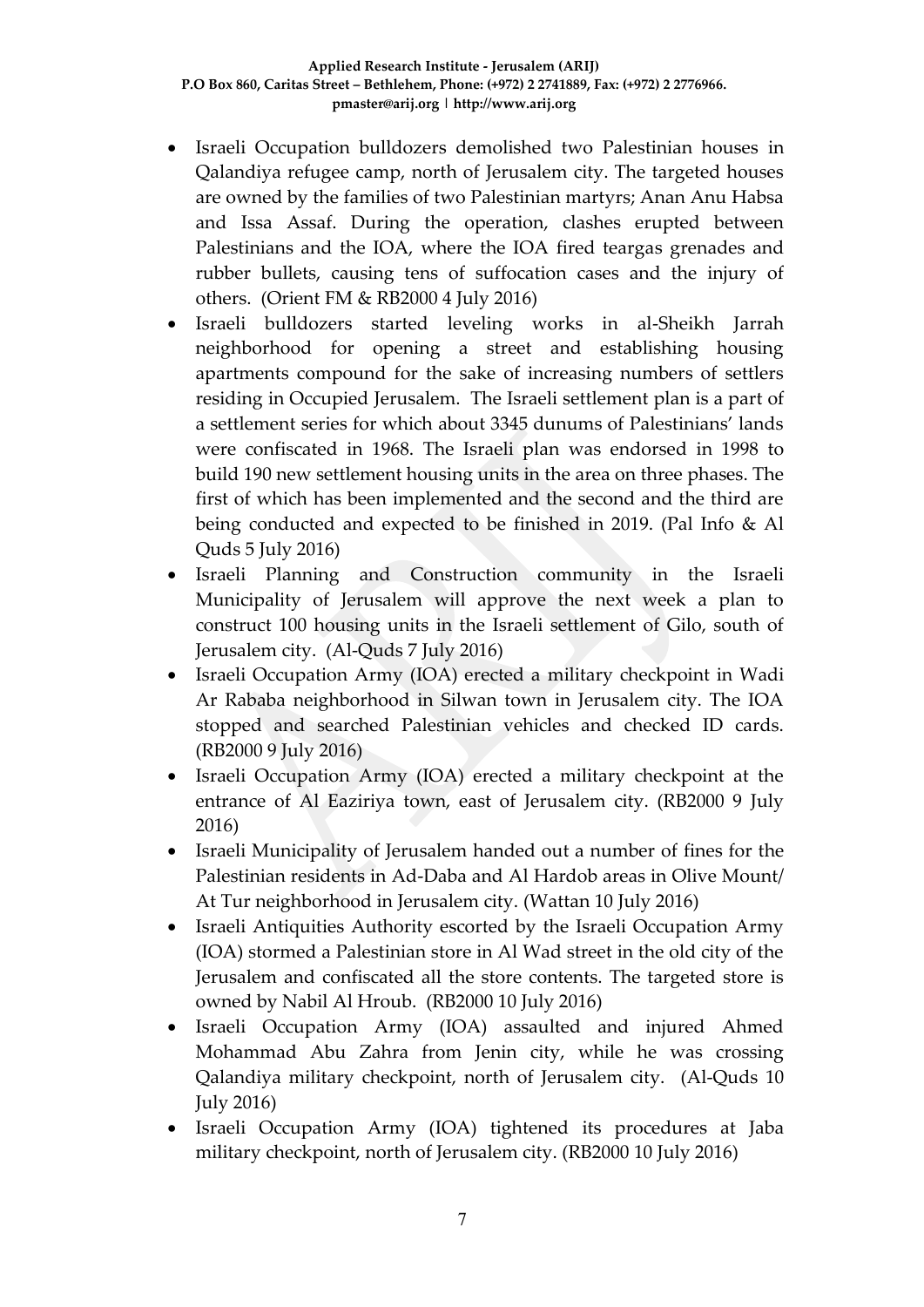- Israeli Occupation bulldozers demolished two Palestinian houses in Qalandiya refugee camp, north of Jerusalem city. The targeted houses are owned by the families of two Palestinian martyrs; Anan Anu Habsa and Issa Assaf. During the operation, clashes erupted between Palestinians and the IOA, where the IOA fired teargas grenades and rubber bullets, causing tens of suffocation cases and the injury of others. (Orient FM & RB2000 4 July 2016)
- Israeli bulldozers started leveling works in al-Sheikh Jarrah neighborhood for opening a street and establishing housing apartments compound for the sake of increasing numbers of settlers residing in Occupied Jerusalem. The Israeli settlement plan is a part of a settlement series for which about 3345 dunums of Palestinians' lands were confiscated in 1968. The Israeli plan was endorsed in 1998 to build 190 new settlement housing units in the area on three phases. The first of which has been implemented and the second and the third are being conducted and expected to be finished in 2019. (Pal Info & Al Quds 5 July 2016)
- Israeli Planning and Construction community in the Israeli Municipality of Jerusalem will approve the next week a plan to construct 100 housing units in the Israeli settlement of Gilo, south of Jerusalem city. (Al-Quds 7 July 2016)
- Israeli Occupation Army (IOA) erected a military checkpoint in Wadi Ar Rababa neighborhood in Silwan town in Jerusalem city. The IOA stopped and searched Palestinian vehicles and checked ID cards. (RB2000 9 July 2016)
- Israeli Occupation Army (IOA) erected a military checkpoint at the entrance of Al Eaziriya town, east of Jerusalem city. (RB2000 9 July 2016)
- Israeli Municipality of Jerusalem handed out a number of fines for the Palestinian residents in Ad-Daba and Al Hardob areas in Olive Mount/ At Tur neighborhood in Jerusalem city. (Wattan 10 July 2016)
- Israeli Antiquities Authority escorted by the Israeli Occupation Army (IOA) stormed a Palestinian store in Al Wad street in the old city of the Jerusalem and confiscated all the store contents. The targeted store is owned by Nabil Al Hroub. (RB2000 10 July 2016)
- Israeli Occupation Army (IOA) assaulted and injured Ahmed Mohammad Abu Zahra from Jenin city, while he was crossing Qalandiya military checkpoint, north of Jerusalem city. (Al-Quds 10 July 2016)
- Israeli Occupation Army (IOA) tightened its procedures at Jaba military checkpoint, north of Jerusalem city. (RB2000 10 July 2016)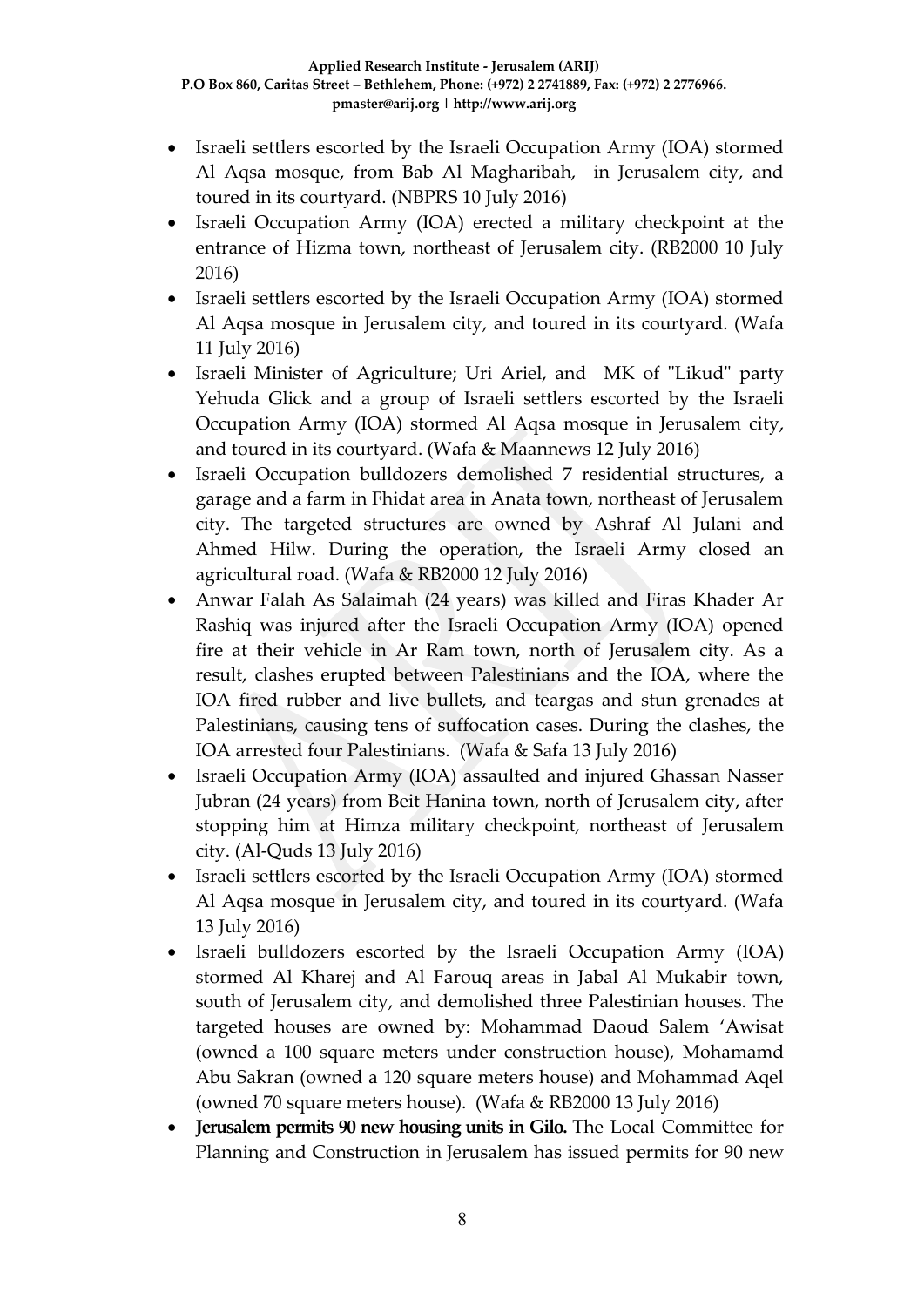- Israeli settlers escorted by the Israeli Occupation Army (IOA) stormed Al Aqsa mosque, from Bab Al Magharibah, in Jerusalem city, and toured in its courtyard. (NBPRS 10 July 2016)
- Israeli Occupation Army (IOA) erected a military checkpoint at the entrance of Hizma town, northeast of Jerusalem city. (RB2000 10 July 2016)
- Israeli settlers escorted by the Israeli Occupation Army (IOA) stormed Al Aqsa mosque in Jerusalem city, and toured in its courtyard. (Wafa 11 July 2016)
- Israeli Minister of Agriculture; Uri Ariel, and MK of "Likud" party Yehuda Glick and a group of Israeli settlers escorted by the Israeli Occupation Army (IOA) stormed Al Aqsa mosque in Jerusalem city, and toured in its courtyard. (Wafa & Maannews 12 July 2016)
- Israeli Occupation bulldozers demolished 7 residential structures, a garage and a farm in Fhidat area in Anata town, northeast of Jerusalem city. The targeted structures are owned by Ashraf Al Julani and Ahmed Hilw. During the operation, the Israeli Army closed an agricultural road. (Wafa & RB2000 12 July 2016)
- Anwar Falah As Salaimah (24 years) was killed and Firas Khader Ar Rashiq was injured after the Israeli Occupation Army (IOA) opened fire at their vehicle in Ar Ram town, north of Jerusalem city. As a result, clashes erupted between Palestinians and the IOA, where the IOA fired rubber and live bullets, and teargas and stun grenades at Palestinians, causing tens of suffocation cases. During the clashes, the IOA arrested four Palestinians. (Wafa & Safa 13 July 2016)
- Israeli Occupation Army (IOA) assaulted and injured Ghassan Nasser Jubran (24 years) from Beit Hanina town, north of Jerusalem city, after stopping him at Himza military checkpoint, northeast of Jerusalem city. (Al-Quds 13 July 2016)
- Israeli settlers escorted by the Israeli Occupation Army (IOA) stormed Al Aqsa mosque in Jerusalem city, and toured in its courtyard. (Wafa 13 July 2016)
- Israeli bulldozers escorted by the Israeli Occupation Army (IOA) stormed Al Kharej and Al Farouq areas in Jabal Al Mukabir town, south of Jerusalem city, and demolished three Palestinian houses. The targeted houses are owned by: Mohammad Daoud Salem 'Awisat (owned a 100 square meters under construction house), Mohamamd Abu Sakran (owned a 120 square meters house) and Mohammad Aqel (owned 70 square meters house). (Wafa & RB2000 13 July 2016)
- **Jerusalem permits 90 new housing units in Gilo.** The Local Committee for Planning and Construction in Jerusalem has issued permits for 90 new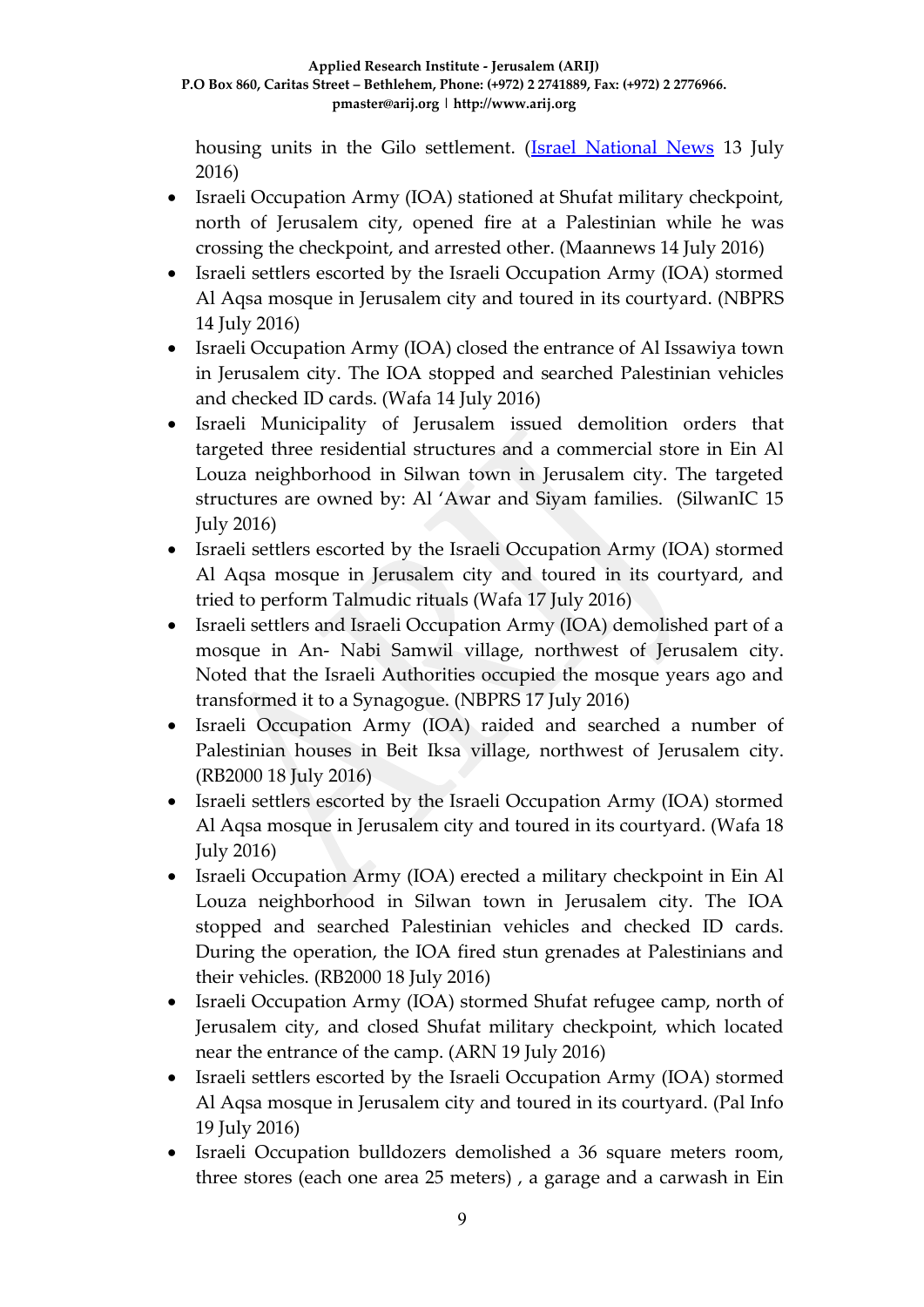housing units in the Gilo settlement. (**Israel National News** 13 July 2016)

- Israeli Occupation Army (IOA) stationed at Shufat military checkpoint, north of Jerusalem city, opened fire at a Palestinian while he was crossing the checkpoint, and arrested other. (Maannews 14 July 2016)
- Israeli settlers escorted by the Israeli Occupation Army (IOA) stormed Al Aqsa mosque in Jerusalem city and toured in its courtyard. (NBPRS 14 July 2016)
- Israeli Occupation Army (IOA) closed the entrance of Al Issawiya town in Jerusalem city. The IOA stopped and searched Palestinian vehicles and checked ID cards. (Wafa 14 July 2016)
- Israeli Municipality of Jerusalem issued demolition orders that targeted three residential structures and a commercial store in Ein Al Louza neighborhood in Silwan town in Jerusalem city. The targeted structures are owned by: Al 'Awar and Siyam families. (SilwanIC 15 July 2016)
- Israeli settlers escorted by the Israeli Occupation Army (IOA) stormed Al Aqsa mosque in Jerusalem city and toured in its courtyard, and tried to perform Talmudic rituals (Wafa 17 July 2016)
- Israeli settlers and Israeli Occupation Army (IOA) demolished part of a mosque in An- Nabi Samwil village, northwest of Jerusalem city. Noted that the Israeli Authorities occupied the mosque years ago and transformed it to a Synagogue. (NBPRS 17 July 2016)
- Israeli Occupation Army (IOA) raided and searched a number of Palestinian houses in Beit Iksa village, northwest of Jerusalem city. (RB2000 18 July 2016)
- Israeli settlers escorted by the Israeli Occupation Army (IOA) stormed Al Aqsa mosque in Jerusalem city and toured in its courtyard. (Wafa 18 July 2016)
- Israeli Occupation Army (IOA) erected a military checkpoint in Ein Al Louza neighborhood in Silwan town in Jerusalem city. The IOA stopped and searched Palestinian vehicles and checked ID cards. During the operation, the IOA fired stun grenades at Palestinians and their vehicles. (RB2000 18 July 2016)
- Israeli Occupation Army (IOA) stormed Shufat refugee camp, north of Jerusalem city, and closed Shufat military checkpoint, which located near the entrance of the camp. (ARN 19 July 2016)
- Israeli settlers escorted by the Israeli Occupation Army (IOA) stormed Al Aqsa mosque in Jerusalem city and toured in its courtyard. (Pal Info 19 July 2016)
- Israeli Occupation bulldozers demolished a 36 square meters room, three stores (each one area 25 meters) , a garage and a carwash in Ein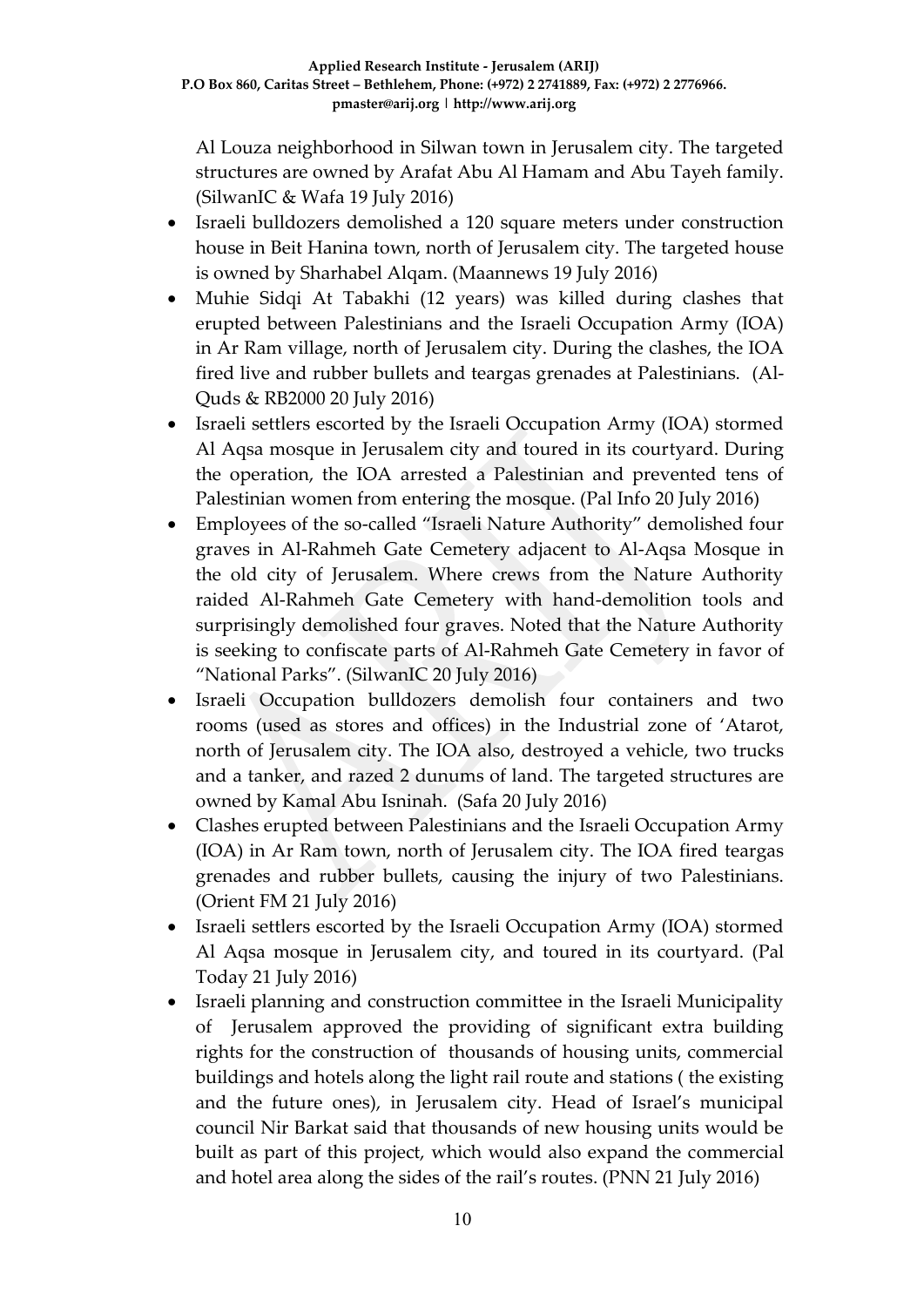Al Louza neighborhood in Silwan town in Jerusalem city. The targeted structures are owned by Arafat Abu Al Hamam and Abu Tayeh family. (SilwanIC & Wafa 19 July 2016)

- Israeli bulldozers demolished a 120 square meters under construction house in Beit Hanina town, north of Jerusalem city. The targeted house is owned by Sharhabel Alqam. (Maannews 19 July 2016)
- Muhie Sidqi At Tabakhi (12 years) was killed during clashes that erupted between Palestinians and the Israeli Occupation Army (IOA) in Ar Ram village, north of Jerusalem city. During the clashes, the IOA fired live and rubber bullets and teargas grenades at Palestinians. (Al-Quds & RB2000 20 July 2016)
- Israeli settlers escorted by the Israeli Occupation Army (IOA) stormed Al Aqsa mosque in Jerusalem city and toured in its courtyard. During the operation, the IOA arrested a Palestinian and prevented tens of Palestinian women from entering the mosque. (Pal Info 20 July 2016)
- Employees of the so-called "Israeli Nature Authority" demolished four graves in Al-Rahmeh Gate Cemetery adjacent to Al-Aqsa Mosque in the old city of Jerusalem. Where crews from the Nature Authority raided Al-Rahmeh Gate Cemetery with hand-demolition tools and surprisingly demolished four graves. Noted that the Nature Authority is seeking to confiscate parts of Al-Rahmeh Gate Cemetery in favor of "National Parks". (SilwanIC 20 July 2016)
- Israeli Occupation bulldozers demolish four containers and two rooms (used as stores and offices) in the Industrial zone of 'Atarot, north of Jerusalem city. The IOA also, destroyed a vehicle, two trucks and a tanker, and razed 2 dunums of land. The targeted structures are owned by Kamal Abu Isninah. (Safa 20 July 2016)
- Clashes erupted between Palestinians and the Israeli Occupation Army (IOA) in Ar Ram town, north of Jerusalem city. The IOA fired teargas grenades and rubber bullets, causing the injury of two Palestinians. (Orient FM 21 July 2016)
- Israeli settlers escorted by the Israeli Occupation Army (IOA) stormed Al Aqsa mosque in Jerusalem city, and toured in its courtyard. (Pal Today 21 July 2016)
- Israeli planning and construction committee in the Israeli Municipality of Jerusalem approved the providing of significant extra building rights for the construction of thousands of housing units, commercial buildings and hotels along the light rail route and stations ( the existing and the future ones), in Jerusalem city. Head of Israel's municipal council Nir Barkat said that thousands of new housing units would be built as part of this project, which would also expand the commercial and hotel area along the sides of the rail's routes. (PNN 21 July 2016)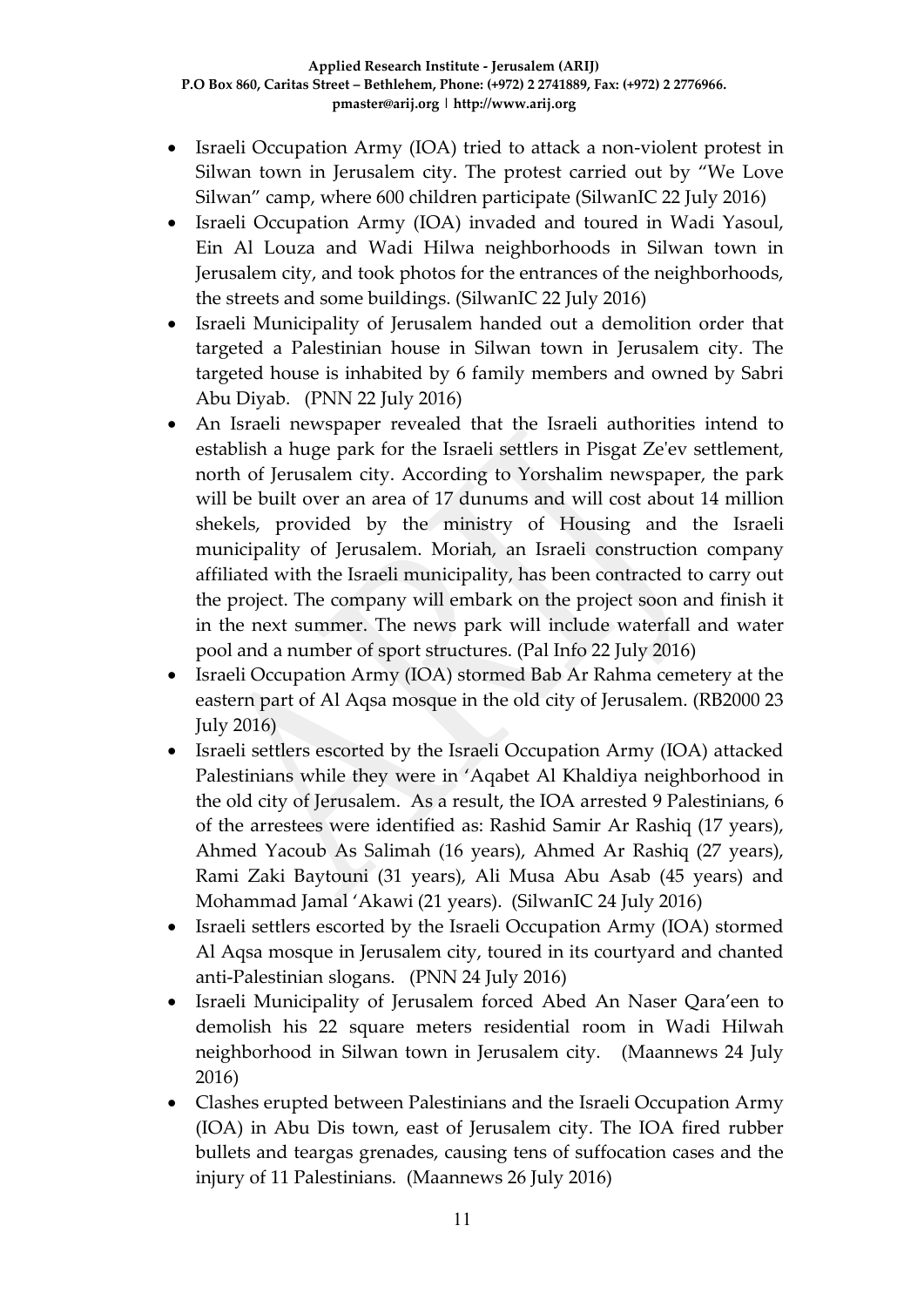- Israeli Occupation Army (IOA) tried to attack a non-violent protest in Silwan town in Jerusalem city. The protest carried out by "We Love Silwan" camp, where 600 children participate (SilwanIC 22 July 2016)
- Israeli Occupation Army (IOA) invaded and toured in Wadi Yasoul, Ein Al Louza and Wadi Hilwa neighborhoods in Silwan town in Jerusalem city, and took photos for the entrances of the neighborhoods, the streets and some buildings. (SilwanIC 22 July 2016)
- Israeli Municipality of Jerusalem handed out a demolition order that targeted a Palestinian house in Silwan town in Jerusalem city. The targeted house is inhabited by 6 family members and owned by Sabri Abu Diyab. (PNN 22 July 2016)
- An Israeli newspaper revealed that the Israeli authorities intend to establish a huge park for the Israeli settlers in Pisgat Ze'ev settlement, north of Jerusalem city. According to Yorshalim newspaper, the park will be built over an area of 17 dunums and will cost about 14 million shekels, provided by the ministry of Housing and the Israeli municipality of Jerusalem. Moriah, an Israeli construction company affiliated with the Israeli municipality, has been contracted to carry out the project. The company will embark on the project soon and finish it in the next summer. The news park will include waterfall and water pool and a number of sport structures. (Pal Info 22 July 2016)
- Israeli Occupation Army (IOA) stormed Bab Ar Rahma cemetery at the eastern part of Al Aqsa mosque in the old city of Jerusalem. (RB2000 23 July 2016)
- Israeli settlers escorted by the Israeli Occupation Army (IOA) attacked Palestinians while they were in 'Aqabet Al Khaldiya neighborhood in the old city of Jerusalem. As a result, the IOA arrested 9 Palestinians, 6 of the arrestees were identified as: Rashid Samir Ar Rashiq (17 years), Ahmed Yacoub As Salimah (16 years), Ahmed Ar Rashiq (27 years), Rami Zaki Baytouni (31 years), Ali Musa Abu Asab (45 years) and Mohammad Jamal 'Akawi (21 years). (SilwanIC 24 July 2016)
- Israeli settlers escorted by the Israeli Occupation Army (IOA) stormed Al Aqsa mosque in Jerusalem city, toured in its courtyard and chanted anti-Palestinian slogans. (PNN 24 July 2016)
- Israeli Municipality of Jerusalem forced Abed An Naser Qara'een to demolish his 22 square meters residential room in Wadi Hilwah neighborhood in Silwan town in Jerusalem city. (Maannews 24 July 2016)
- Clashes erupted between Palestinians and the Israeli Occupation Army (IOA) in Abu Dis town, east of Jerusalem city. The IOA fired rubber bullets and teargas grenades, causing tens of suffocation cases and the injury of 11 Palestinians. (Maannews 26 July 2016)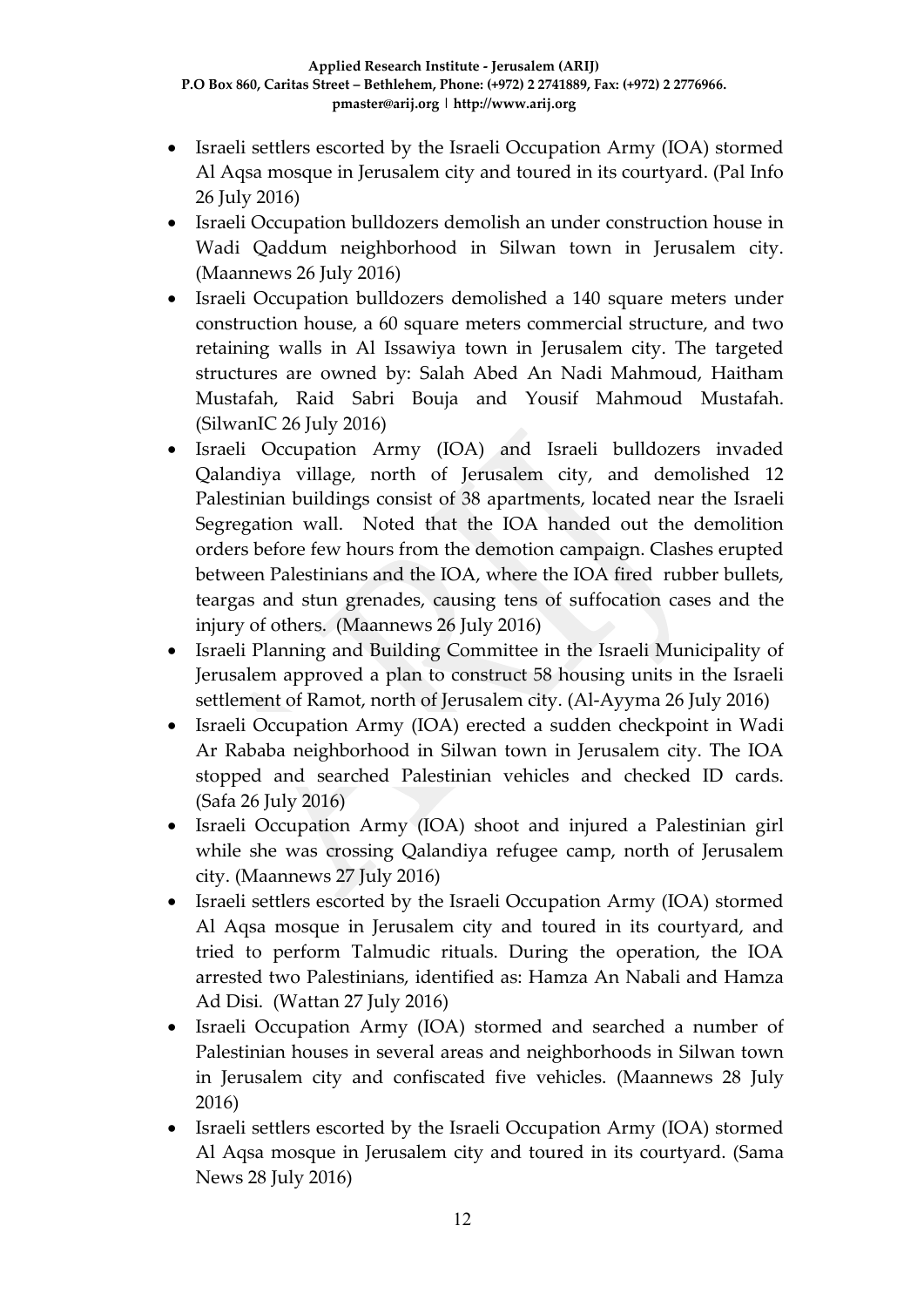- Israeli settlers escorted by the Israeli Occupation Army (IOA) stormed Al Aqsa mosque in Jerusalem city and toured in its courtyard. (Pal Info 26 July 2016)
- Israeli Occupation bulldozers demolish an under construction house in Wadi Qaddum neighborhood in Silwan town in Jerusalem city. (Maannews 26 July 2016)
- Israeli Occupation bulldozers demolished a 140 square meters under construction house, a 60 square meters commercial structure, and two retaining walls in Al Issawiya town in Jerusalem city. The targeted structures are owned by: Salah Abed An Nadi Mahmoud, Haitham Mustafah, Raid Sabri Bouja and Yousif Mahmoud Mustafah. (SilwanIC 26 July 2016)
- Israeli Occupation Army (IOA) and Israeli bulldozers invaded Qalandiya village, north of Jerusalem city, and demolished 12 Palestinian buildings consist of 38 apartments, located near the Israeli Segregation wall. Noted that the IOA handed out the demolition orders before few hours from the demotion campaign. Clashes erupted between Palestinians and the IOA, where the IOA fired rubber bullets, teargas and stun grenades, causing tens of suffocation cases and the injury of others. (Maannews 26 July 2016)
- Israeli Planning and Building Committee in the Israeli Municipality of Jerusalem approved a plan to construct 58 housing units in the Israeli settlement of Ramot, north of Jerusalem city. (Al-Ayyma 26 July 2016)
- Israeli Occupation Army (IOA) erected a sudden checkpoint in Wadi Ar Rababa neighborhood in Silwan town in Jerusalem city. The IOA stopped and searched Palestinian vehicles and checked ID cards. (Safa 26 July 2016)
- Israeli Occupation Army (IOA) shoot and injured a Palestinian girl while she was crossing Qalandiya refugee camp, north of Jerusalem city. (Maannews 27 July 2016)
- Israeli settlers escorted by the Israeli Occupation Army (IOA) stormed Al Aqsa mosque in Jerusalem city and toured in its courtyard, and tried to perform Talmudic rituals. During the operation, the IOA arrested two Palestinians, identified as: Hamza An Nabali and Hamza Ad Disi. (Wattan 27 July 2016)
- Israeli Occupation Army (IOA) stormed and searched a number of Palestinian houses in several areas and neighborhoods in Silwan town in Jerusalem city and confiscated five vehicles. (Maannews 28 July 2016)
- Israeli settlers escorted by the Israeli Occupation Army (IOA) stormed Al Aqsa mosque in Jerusalem city and toured in its courtyard. (Sama News 28 July 2016)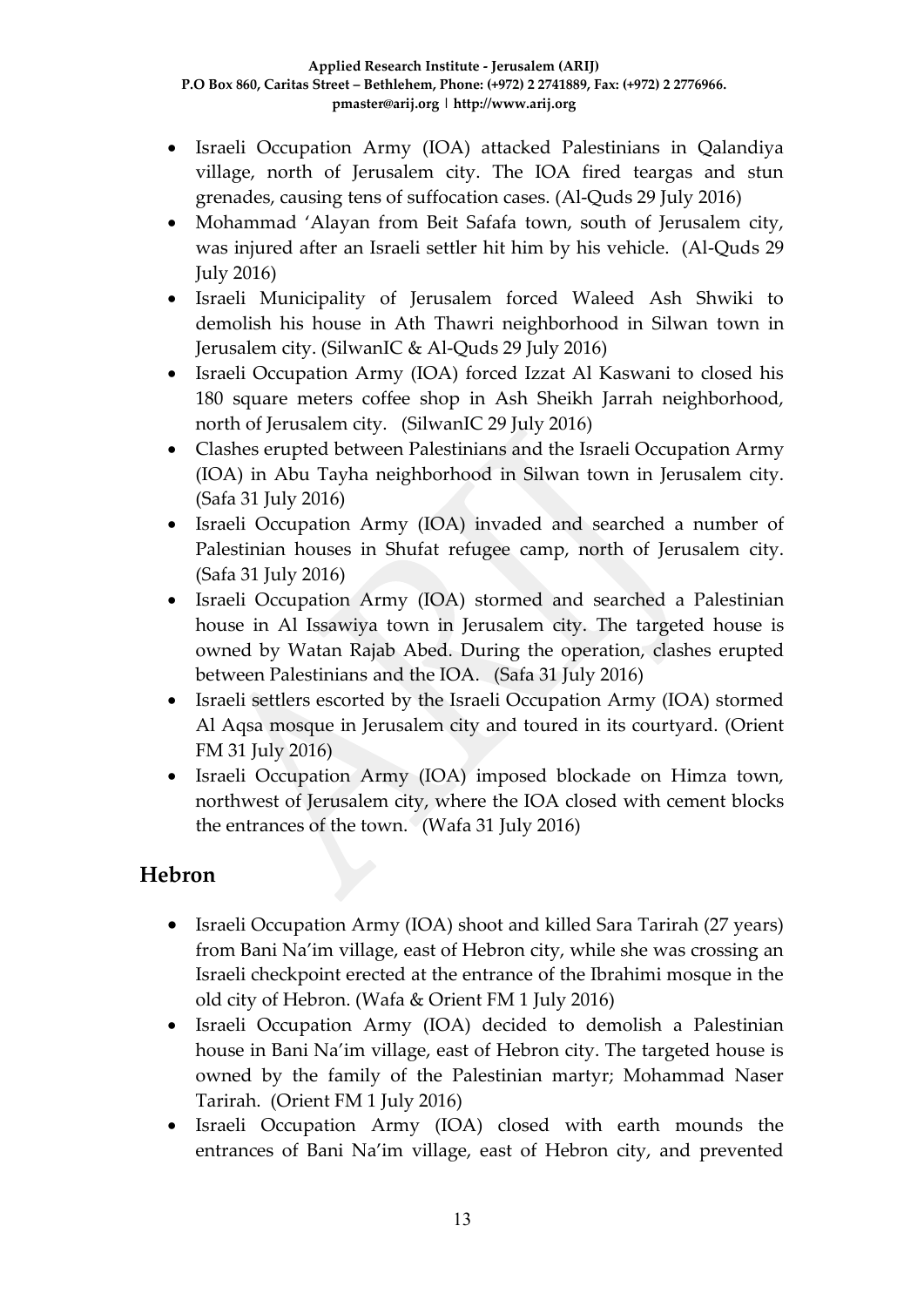- Israeli Occupation Army (IOA) attacked Palestinians in Qalandiya village, north of Jerusalem city. The IOA fired teargas and stun grenades, causing tens of suffocation cases. (Al-Quds 29 July 2016)
- Mohammad 'Alayan from Beit Safafa town, south of Jerusalem city, was injured after an Israeli settler hit him by his vehicle. (Al-Quds 29 July 2016)
- Israeli Municipality of Jerusalem forced Waleed Ash Shwiki to demolish his house in Ath Thawri neighborhood in Silwan town in Jerusalem city. (SilwanIC & Al-Quds 29 July 2016)
- Israeli Occupation Army (IOA) forced Izzat Al Kaswani to closed his 180 square meters coffee shop in Ash Sheikh Jarrah neighborhood, north of Jerusalem city. (SilwanIC 29 July 2016)
- Clashes erupted between Palestinians and the Israeli Occupation Army (IOA) in Abu Tayha neighborhood in Silwan town in Jerusalem city. (Safa 31 July 2016)
- Israeli Occupation Army (IOA) invaded and searched a number of Palestinian houses in Shufat refugee camp, north of Jerusalem city. (Safa 31 July 2016)
- Israeli Occupation Army (IOA) stormed and searched a Palestinian house in Al Issawiya town in Jerusalem city. The targeted house is owned by Watan Rajab Abed. During the operation, clashes erupted between Palestinians and the IOA. (Safa 31 July 2016)
- Israeli settlers escorted by the Israeli Occupation Army (IOA) stormed Al Aqsa mosque in Jerusalem city and toured in its courtyard. (Orient FM 31 July 2016)
- Israeli Occupation Army (IOA) imposed blockade on Himza town, northwest of Jerusalem city, where the IOA closed with cement blocks the entrances of the town. (Wafa 31 July 2016)

### **Hebron**

- Israeli Occupation Army (IOA) shoot and killed Sara Tarirah (27 years) from Bani Na'im village, east of Hebron city, while she was crossing an Israeli checkpoint erected at the entrance of the Ibrahimi mosque in the old city of Hebron. (Wafa & Orient FM 1 July 2016)
- Israeli Occupation Army (IOA) decided to demolish a Palestinian house in Bani Na'im village, east of Hebron city. The targeted house is owned by the family of the Palestinian martyr; Mohammad Naser Tarirah. (Orient FM 1 July 2016)
- Israeli Occupation Army (IOA) closed with earth mounds the entrances of Bani Na'im village, east of Hebron city, and prevented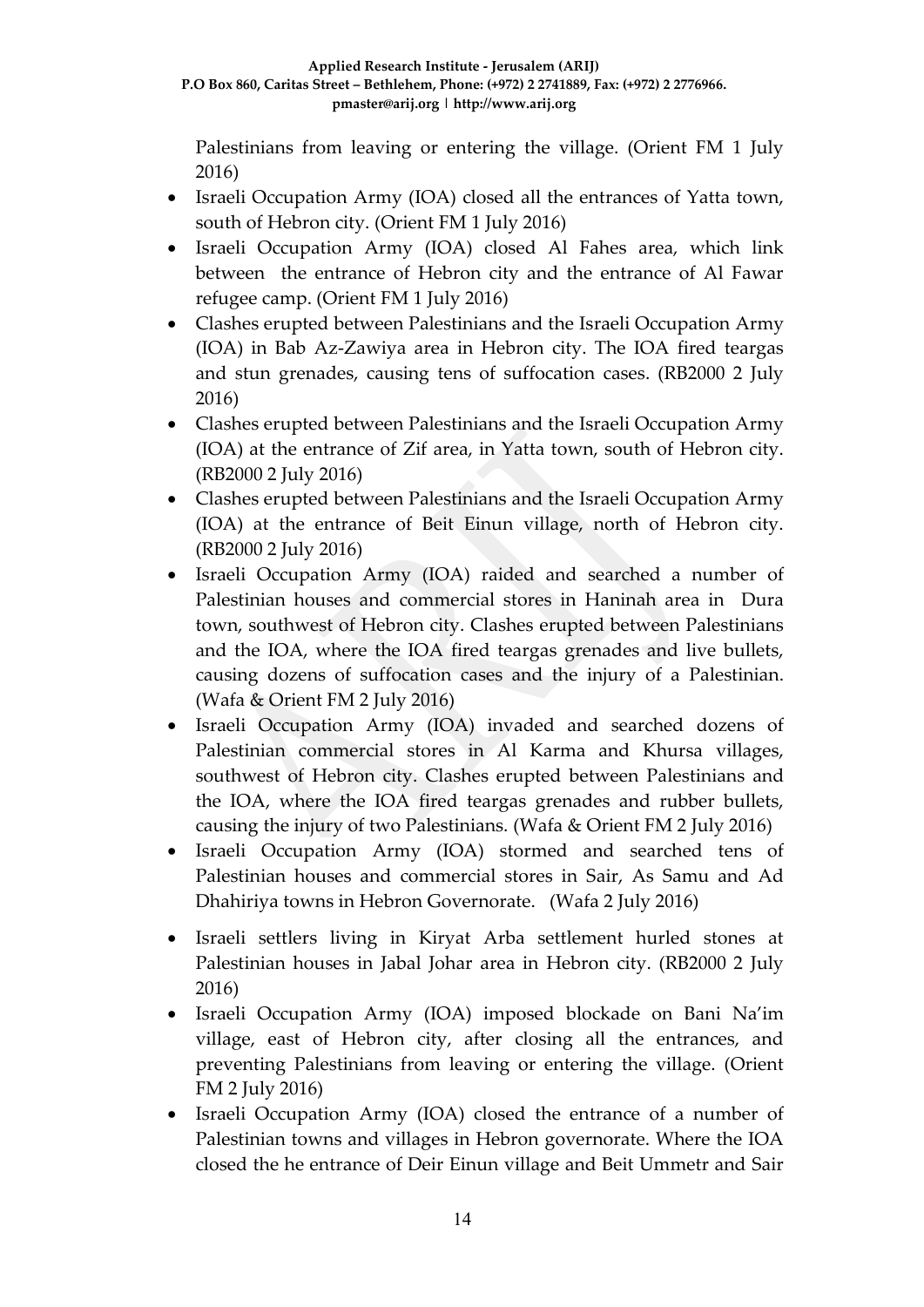Palestinians from leaving or entering the village. (Orient FM 1 July 2016)

- Israeli Occupation Army (IOA) closed all the entrances of Yatta town, south of Hebron city. (Orient FM 1 July 2016)
- Israeli Occupation Army (IOA) closed Al Fahes area, which link between the entrance of Hebron city and the entrance of Al Fawar refugee camp. (Orient FM 1 July 2016)
- Clashes erupted between Palestinians and the Israeli Occupation Army (IOA) in Bab Az-Zawiya area in Hebron city. The IOA fired teargas and stun grenades, causing tens of suffocation cases. (RB2000 2 July 2016)
- Clashes erupted between Palestinians and the Israeli Occupation Army (IOA) at the entrance of Zif area, in Yatta town, south of Hebron city. (RB2000 2 July 2016)
- Clashes erupted between Palestinians and the Israeli Occupation Army (IOA) at the entrance of Beit Einun village, north of Hebron city. (RB2000 2 July 2016)
- Israeli Occupation Army (IOA) raided and searched a number of Palestinian houses and commercial stores in Haninah area in Dura town, southwest of Hebron city. Clashes erupted between Palestinians and the IOA, where the IOA fired teargas grenades and live bullets, causing dozens of suffocation cases and the injury of a Palestinian. (Wafa & Orient FM 2 July 2016)
- Israeli Occupation Army (IOA) invaded and searched dozens of Palestinian commercial stores in Al Karma and Khursa villages, southwest of Hebron city. Clashes erupted between Palestinians and the IOA, where the IOA fired teargas grenades and rubber bullets, causing the injury of two Palestinians. (Wafa & Orient FM 2 July 2016)
- Israeli Occupation Army (IOA) stormed and searched tens of Palestinian houses and commercial stores in Sair, As Samu and Ad Dhahiriya towns in Hebron Governorate. (Wafa 2 July 2016)
- Israeli settlers living in Kiryat Arba settlement hurled stones at Palestinian houses in Jabal Johar area in Hebron city. (RB2000 2 July 2016)
- Israeli Occupation Army (IOA) imposed blockade on Bani Na'im village, east of Hebron city, after closing all the entrances, and preventing Palestinians from leaving or entering the village. (Orient FM 2 July 2016)
- Israeli Occupation Army (IOA) closed the entrance of a number of Palestinian towns and villages in Hebron governorate. Where the IOA closed the he entrance of Deir Einun village and Beit Ummetr and Sair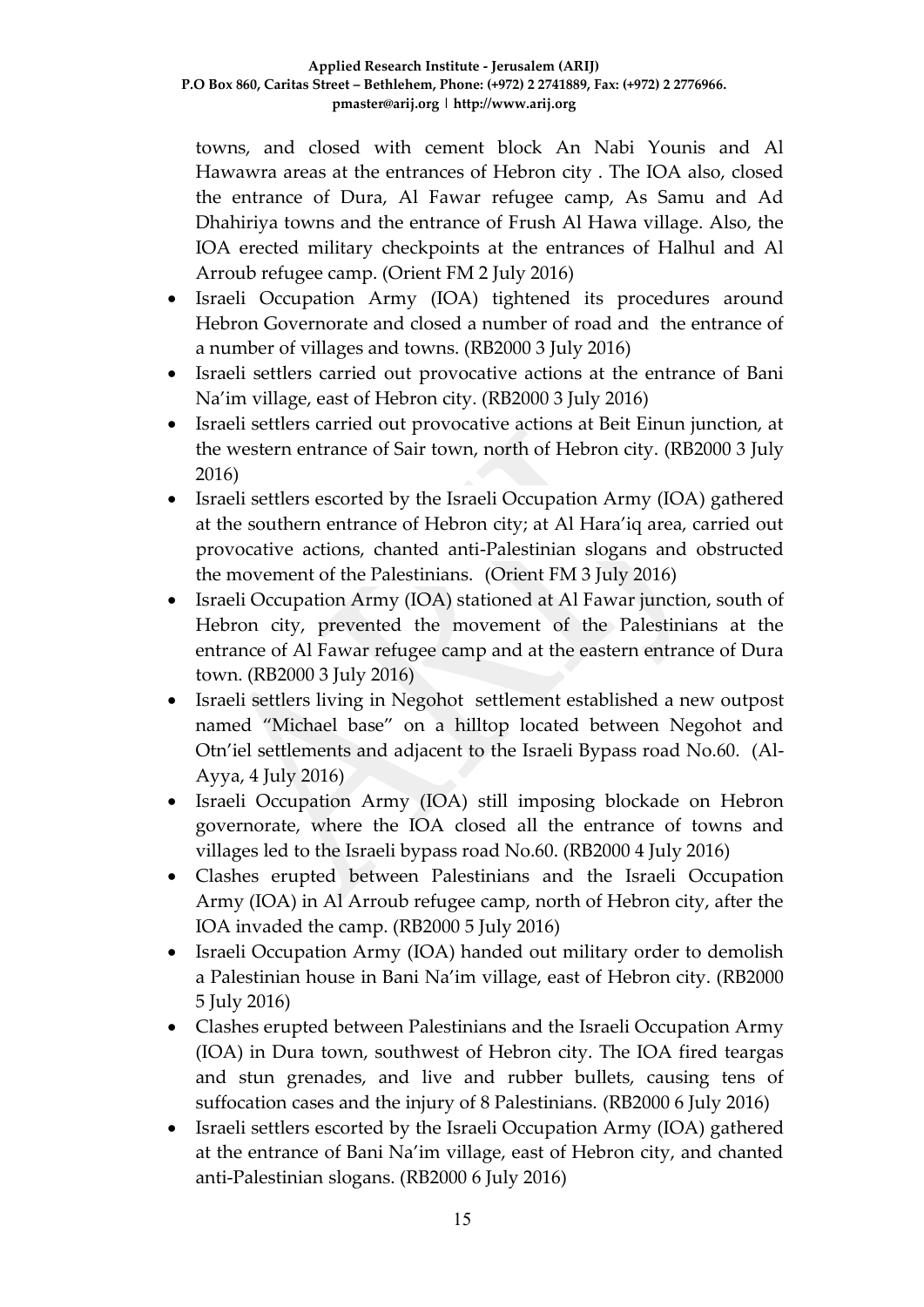towns, and closed with cement block An Nabi Younis and Al Hawawra areas at the entrances of Hebron city . The IOA also, closed the entrance of Dura, Al Fawar refugee camp, As Samu and Ad Dhahiriya towns and the entrance of Frush Al Hawa village. Also, the IOA erected military checkpoints at the entrances of Halhul and Al Arroub refugee camp. (Orient FM 2 July 2016)

- Israeli Occupation Army (IOA) tightened its procedures around Hebron Governorate and closed a number of road and the entrance of a number of villages and towns. (RB2000 3 July 2016)
- Israeli settlers carried out provocative actions at the entrance of Bani Na'im village, east of Hebron city. (RB2000 3 July 2016)
- Israeli settlers carried out provocative actions at Beit Einun junction, at the western entrance of Sair town, north of Hebron city. (RB2000 3 July 2016)
- Israeli settlers escorted by the Israeli Occupation Army (IOA) gathered at the southern entrance of Hebron city; at Al Hara'iq area, carried out provocative actions, chanted anti-Palestinian slogans and obstructed the movement of the Palestinians. (Orient FM 3 July 2016)
- Israeli Occupation Army (IOA) stationed at Al Fawar junction, south of Hebron city, prevented the movement of the Palestinians at the entrance of Al Fawar refugee camp and at the eastern entrance of Dura town. (RB2000 3 July 2016)
- Israeli settlers living in Negohot settlement established a new outpost named "Michael base" on a hilltop located between Negohot and Otn'iel settlements and adjacent to the Israeli Bypass road No.60. (Al-Ayya, 4 July 2016)
- Israeli Occupation Army (IOA) still imposing blockade on Hebron governorate, where the IOA closed all the entrance of towns and villages led to the Israeli bypass road No.60. (RB2000 4 July 2016)
- Clashes erupted between Palestinians and the Israeli Occupation Army (IOA) in Al Arroub refugee camp, north of Hebron city, after the IOA invaded the camp. (RB2000 5 July 2016)
- Israeli Occupation Army (IOA) handed out military order to demolish a Palestinian house in Bani Na'im village, east of Hebron city. (RB2000 5 July 2016)
- Clashes erupted between Palestinians and the Israeli Occupation Army (IOA) in Dura town, southwest of Hebron city. The IOA fired teargas and stun grenades, and live and rubber bullets, causing tens of suffocation cases and the injury of 8 Palestinians. (RB2000 6 July 2016)
- Israeli settlers escorted by the Israeli Occupation Army (IOA) gathered at the entrance of Bani Na'im village, east of Hebron city, and chanted anti-Palestinian slogans. (RB2000 6 July 2016)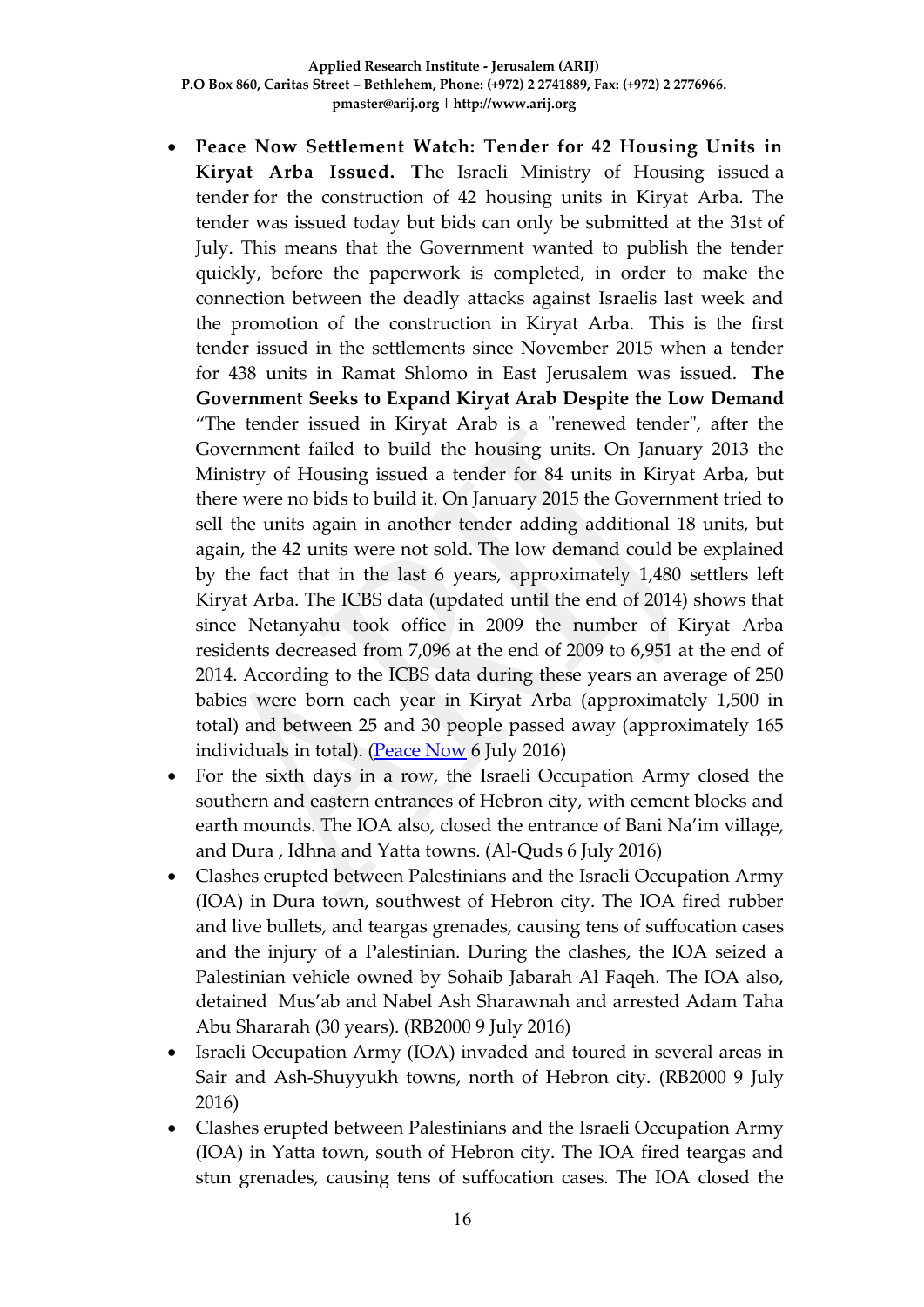- **Peace Now Settlement Watch: Tender for 42 Housing Units in Kiryat Arba Issued. T**he Israeli Ministry of Housing issued a tender for the construction of 42 housing units in Kiryat Arba. The tender was issued today but bids can only be submitted at the 31st of July. This means that the Government wanted to publish the tender quickly, before the paperwork is completed, in order to make the connection between the deadly attacks against Israelis last week and the promotion of the construction in Kiryat Arba. This is the first tender issued in the settlements since November 2015 when a tender for 438 units in Ramat Shlomo in East Jerusalem was issued. **The Government Seeks to Expand Kiryat Arab Despite the Low Demand** "The tender issued in Kiryat Arab is a "renewed tender", after the Government failed to build the housing units. On January 2013 the Ministry of Housing issued a tender for 84 units in Kiryat Arba, but there were no bids to build it. On January 2015 the Government tried to sell the units again in another tender adding additional 18 units, but again, the 42 units were not sold. The low demand could be explained by the fact that in the last 6 years, approximately 1,480 settlers left Kiryat Arba. The ICBS data (updated until the end of 2014) shows that since Netanyahu took office in 2009 the number of Kiryat Arba residents decreased from 7,096 at the end of 2009 to 6,951 at the end of 2014. According to the ICBS data during these years an average of 250 babies were born each year in Kiryat Arba (approximately 1,500 in total) and between 25 and 30 people passed away (approximately 165 individuals in total). [\(Peace Now](http://peacenow.org/entry.php?id=19012#.V4Neffl94dU) 6 July 2016)
- For the sixth days in a row, the Israeli Occupation Army closed the southern and eastern entrances of Hebron city, with cement blocks and earth mounds. The IOA also, closed the entrance of Bani Na'im village, and Dura , Idhna and Yatta towns. (Al-Quds 6 July 2016)
- Clashes erupted between Palestinians and the Israeli Occupation Army (IOA) in Dura town, southwest of Hebron city. The IOA fired rubber and live bullets, and teargas grenades, causing tens of suffocation cases and the injury of a Palestinian. During the clashes, the IOA seized a Palestinian vehicle owned by Sohaib Jabarah Al Faqeh. The IOA also, detained Mus'ab and Nabel Ash Sharawnah and arrested Adam Taha Abu Shararah (30 years). (RB2000 9 July 2016)
- Israeli Occupation Army (IOA) invaded and toured in several areas in Sair and Ash-Shuyyukh towns, north of Hebron city. (RB2000 9 July 2016)
- Clashes erupted between Palestinians and the Israeli Occupation Army (IOA) in Yatta town, south of Hebron city. The IOA fired teargas and stun grenades, causing tens of suffocation cases. The IOA closed the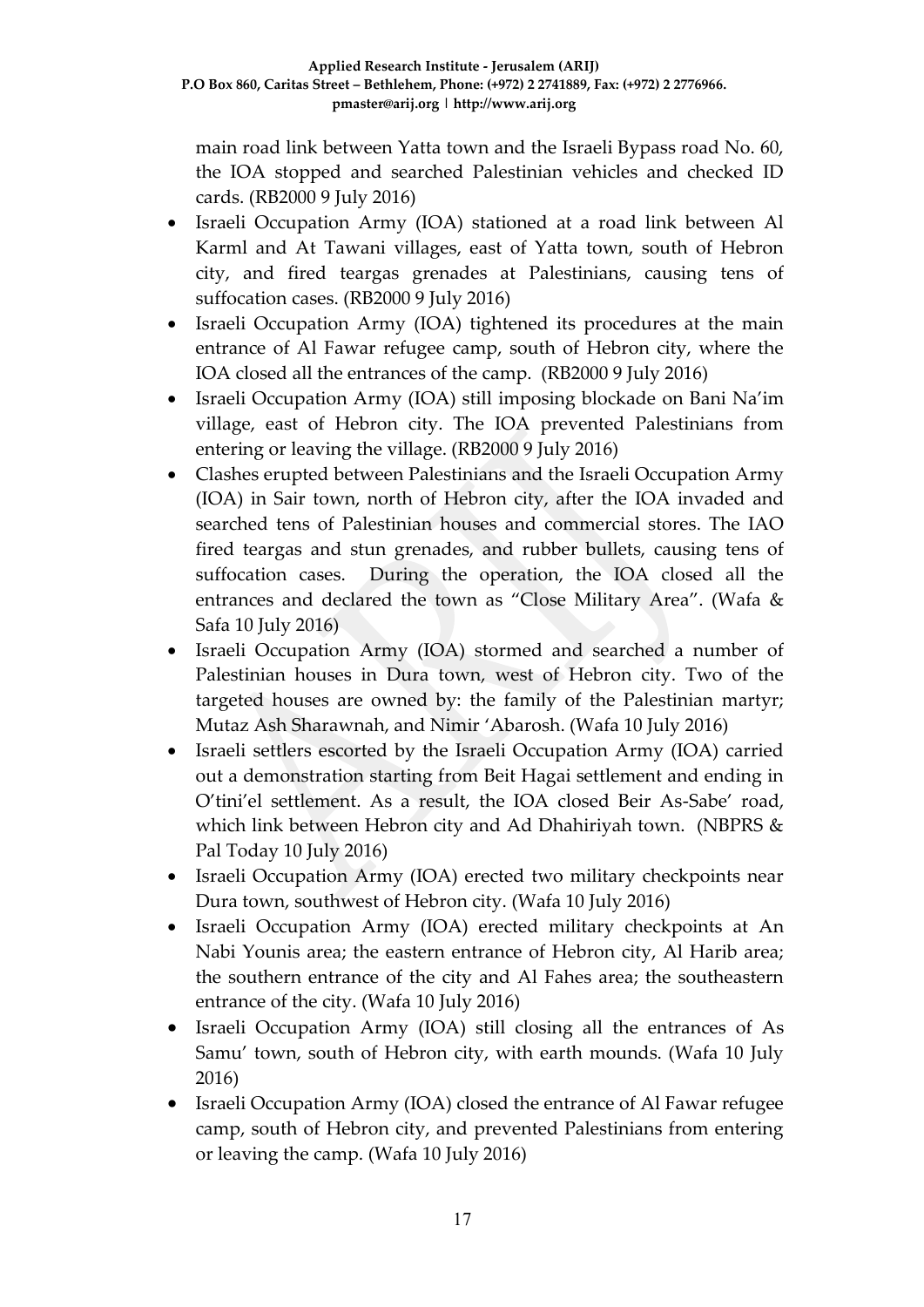main road link between Yatta town and the Israeli Bypass road No. 60, the IOA stopped and searched Palestinian vehicles and checked ID cards. (RB2000 9 July 2016)

- Israeli Occupation Army (IOA) stationed at a road link between Al Karml and At Tawani villages, east of Yatta town, south of Hebron city, and fired teargas grenades at Palestinians, causing tens of suffocation cases. (RB2000 9 July 2016)
- Israeli Occupation Army (IOA) tightened its procedures at the main entrance of Al Fawar refugee camp, south of Hebron city, where the IOA closed all the entrances of the camp. (RB2000 9 July 2016)
- Israeli Occupation Army (IOA) still imposing blockade on Bani Na'im village, east of Hebron city. The IOA prevented Palestinians from entering or leaving the village. (RB2000 9 July 2016)
- Clashes erupted between Palestinians and the Israeli Occupation Army (IOA) in Sair town, north of Hebron city, after the IOA invaded and searched tens of Palestinian houses and commercial stores. The IAO fired teargas and stun grenades, and rubber bullets, causing tens of suffocation cases. During the operation, the IOA closed all the entrances and declared the town as "Close Military Area". (Wafa & Safa 10 July 2016)
- Israeli Occupation Army (IOA) stormed and searched a number of Palestinian houses in Dura town, west of Hebron city. Two of the targeted houses are owned by: the family of the Palestinian martyr; Mutaz Ash Sharawnah, and Nimir 'Abarosh. (Wafa 10 July 2016)
- Israeli settlers escorted by the Israeli Occupation Army (IOA) carried out a demonstration starting from Beit Hagai settlement and ending in O'tini'el settlement. As a result, the IOA closed Beir As-Sabe' road, which link between Hebron city and Ad Dhahiriyah town. (NBPRS & Pal Today 10 July 2016)
- Israeli Occupation Army (IOA) erected two military checkpoints near Dura town, southwest of Hebron city. (Wafa 10 July 2016)
- Israeli Occupation Army (IOA) erected military checkpoints at An Nabi Younis area; the eastern entrance of Hebron city, Al Harib area; the southern entrance of the city and Al Fahes area; the southeastern entrance of the city. (Wafa 10 July 2016)
- Israeli Occupation Army (IOA) still closing all the entrances of As Samu' town, south of Hebron city, with earth mounds. (Wafa 10 July 2016)
- Israeli Occupation Army (IOA) closed the entrance of Al Fawar refugee camp, south of Hebron city, and prevented Palestinians from entering or leaving the camp. (Wafa 10 July 2016)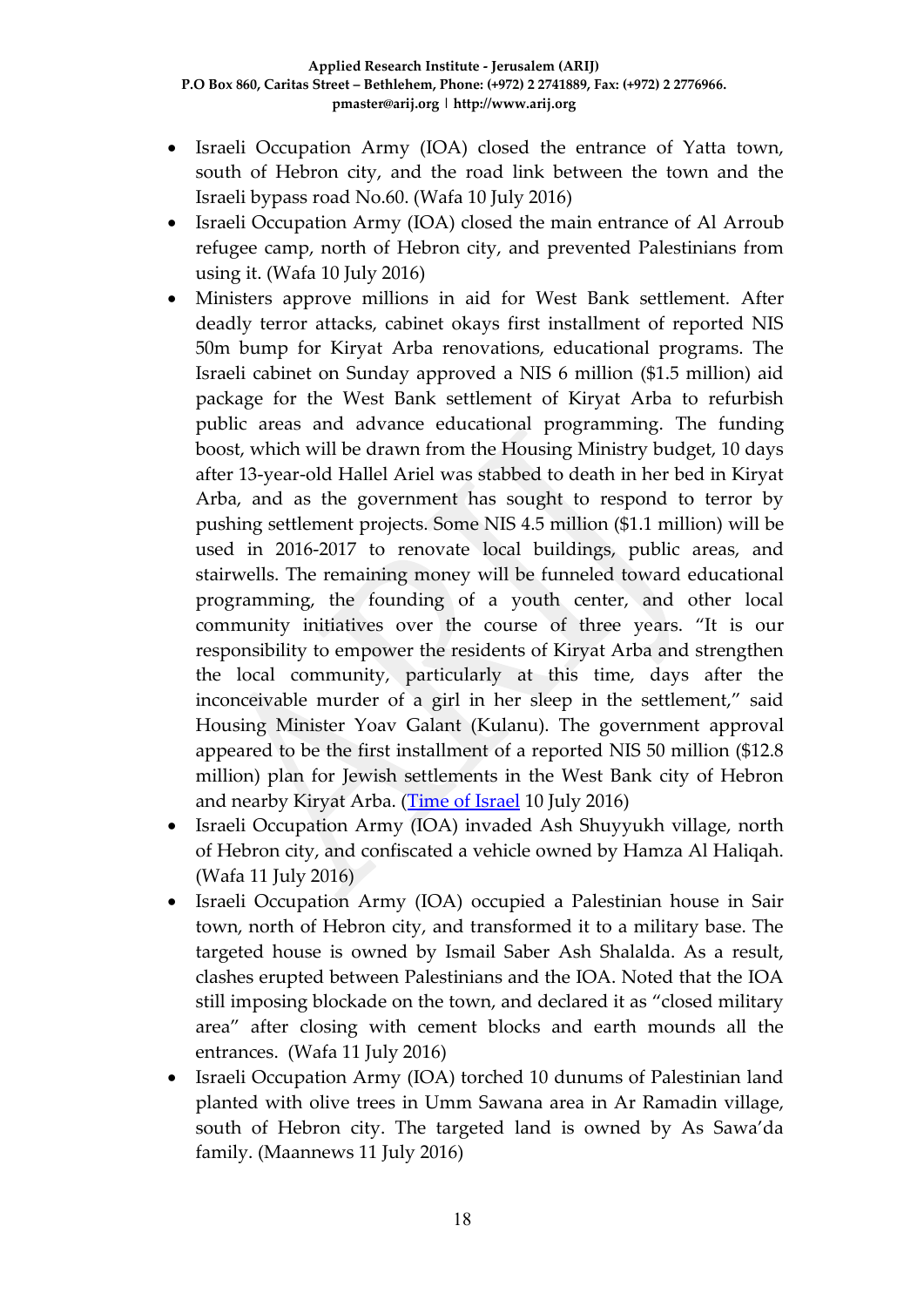- Israeli Occupation Army (IOA) closed the entrance of Yatta town, south of Hebron city, and the road link between the town and the Israeli bypass road No.60. (Wafa 10 July 2016)
- Israeli Occupation Army (IOA) closed the main entrance of Al Arroub refugee camp, north of Hebron city, and prevented Palestinians from using it. (Wafa 10 July 2016)
- Ministers approve millions in aid for West Bank settlement. After deadly terror attacks, cabinet okays first installment of reported NIS 50m bump for Kiryat Arba renovations, educational programs. The Israeli cabinet on Sunday approved a NIS 6 million (\$1.5 million) aid package for the West Bank settlement of Kiryat Arba to refurbish public areas and advance educational programming. The funding boost, which will be drawn from the Housing Ministry budget, 10 days after 13-year-old Hallel Ariel was stabbed to death in her bed in Kiryat Arba, and as the government has sought to respond to terror by pushing settlement projects. Some NIS 4.5 million (\$1.1 million) will be used in 2016-2017 to renovate local buildings, public areas, and stairwells. The remaining money will be funneled toward educational programming, the founding of a youth center, and other local community initiatives over the course of three years. "It is our responsibility to empower the residents of Kiryat Arba and strengthen the local community, particularly at this time, days after the inconceivable murder of a girl in her sleep in the settlement," said Housing Minister Yoav Galant (Kulanu). The government approval appeared to be the first installment of a reported NIS 50 million (\$12.8 million) plan for Jewish settlements in the West Bank city of Hebron and nearby Kiryat Arba. [\(Time of Israel](http://www.timesofisrael.com/ministers-approve-millions-in-aid-for-west-bank-settlement/) 10 July 2016)
- Israeli Occupation Army (IOA) invaded Ash Shuyyukh village, north of Hebron city, and confiscated a vehicle owned by Hamza Al Haliqah. (Wafa 11 July 2016)
- Israeli Occupation Army (IOA) occupied a Palestinian house in Sair town, north of Hebron city, and transformed it to a military base. The targeted house is owned by Ismail Saber Ash Shalalda. As a result, clashes erupted between Palestinians and the IOA. Noted that the IOA still imposing blockade on the town, and declared it as "closed military area" after closing with cement blocks and earth mounds all the entrances. (Wafa 11 July 2016)
- Israeli Occupation Army (IOA) torched 10 dunums of Palestinian land planted with olive trees in Umm Sawana area in Ar Ramadin village, south of Hebron city. The targeted land is owned by As Sawa'da family. (Maannews 11 July 2016)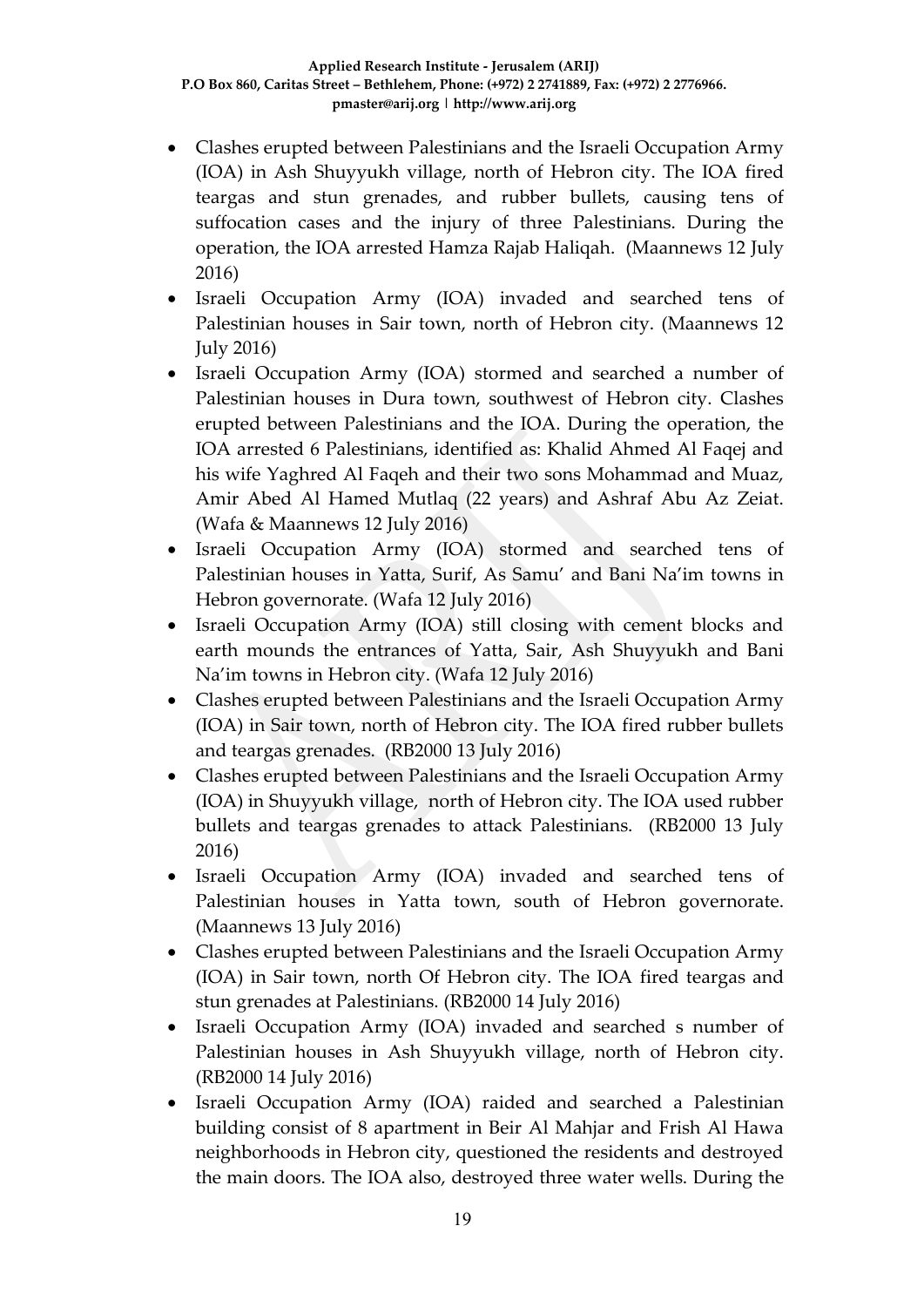- Clashes erupted between Palestinians and the Israeli Occupation Army (IOA) in Ash Shuyyukh village, north of Hebron city. The IOA fired teargas and stun grenades, and rubber bullets, causing tens of suffocation cases and the injury of three Palestinians. During the operation, the IOA arrested Hamza Rajab Haliqah. (Maannews 12 July 2016)
- Israeli Occupation Army (IOA) invaded and searched tens of Palestinian houses in Sair town, north of Hebron city. (Maannews 12 July 2016)
- Israeli Occupation Army (IOA) stormed and searched a number of Palestinian houses in Dura town, southwest of Hebron city. Clashes erupted between Palestinians and the IOA. During the operation, the IOA arrested 6 Palestinians, identified as: Khalid Ahmed Al Faqej and his wife Yaghred Al Faqeh and their two sons Mohammad and Muaz, Amir Abed Al Hamed Mutlaq (22 years) and Ashraf Abu Az Zeiat. (Wafa & Maannews 12 July 2016)
- Israeli Occupation Army (IOA) stormed and searched tens of Palestinian houses in Yatta, Surif, As Samu' and Bani Na'im towns in Hebron governorate. (Wafa 12 July 2016)
- Israeli Occupation Army (IOA) still closing with cement blocks and earth mounds the entrances of Yatta, Sair, Ash Shuyyukh and Bani Na'im towns in Hebron city. (Wafa 12 July 2016)
- Clashes erupted between Palestinians and the Israeli Occupation Army (IOA) in Sair town, north of Hebron city. The IOA fired rubber bullets and teargas grenades. (RB2000 13 July 2016)
- Clashes erupted between Palestinians and the Israeli Occupation Army (IOA) in Shuyyukh village, north of Hebron city. The IOA used rubber bullets and teargas grenades to attack Palestinians. (RB2000 13 July 2016)
- Israeli Occupation Army (IOA) invaded and searched tens of Palestinian houses in Yatta town, south of Hebron governorate. (Maannews 13 July 2016)
- Clashes erupted between Palestinians and the Israeli Occupation Army (IOA) in Sair town, north Of Hebron city. The IOA fired teargas and stun grenades at Palestinians. (RB2000 14 July 2016)
- Israeli Occupation Army (IOA) invaded and searched s number of Palestinian houses in Ash Shuyyukh village, north of Hebron city. (RB2000 14 July 2016)
- Israeli Occupation Army (IOA) raided and searched a Palestinian building consist of 8 apartment in Beir Al Mahjar and Frish Al Hawa neighborhoods in Hebron city, questioned the residents and destroyed the main doors. The IOA also, destroyed three water wells. During the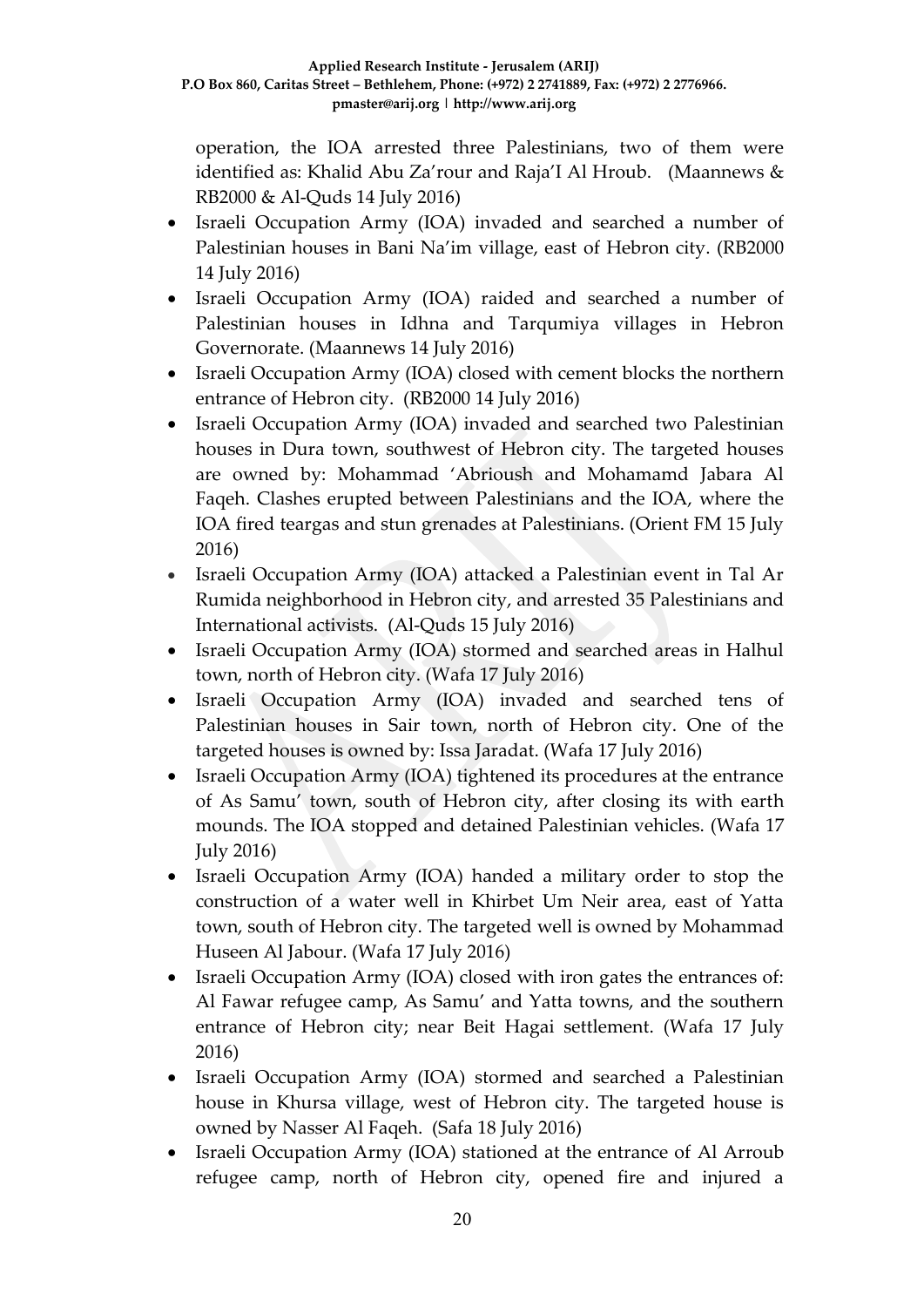operation, the IOA arrested three Palestinians, two of them were identified as: Khalid Abu Za'rour and Raja'I Al Hroub. (Maannews & RB2000 & Al-Quds 14 July 2016)

- Israeli Occupation Army (IOA) invaded and searched a number of Palestinian houses in Bani Na'im village, east of Hebron city. (RB2000 14 July 2016)
- Israeli Occupation Army (IOA) raided and searched a number of Palestinian houses in Idhna and Tarqumiya villages in Hebron Governorate. (Maannews 14 July 2016)
- Israeli Occupation Army (IOA) closed with cement blocks the northern entrance of Hebron city. (RB2000 14 July 2016)
- Israeli Occupation Army (IOA) invaded and searched two Palestinian houses in Dura town, southwest of Hebron city. The targeted houses are owned by: Mohammad 'Abrioush and Mohamamd Jabara Al Faqeh. Clashes erupted between Palestinians and the IOA, where the IOA fired teargas and stun grenades at Palestinians. (Orient FM 15 July 2016)
- Israeli Occupation Army (IOA) attacked a Palestinian event in Tal Ar Rumida neighborhood in Hebron city, and arrested 35 Palestinians and International activists. (Al-Quds 15 July 2016)
- Israeli Occupation Army (IOA) stormed and searched areas in Halhul town, north of Hebron city. (Wafa 17 July 2016)
- Israeli Occupation Army (IOA) invaded and searched tens of Palestinian houses in Sair town, north of Hebron city. One of the targeted houses is owned by: Issa Jaradat. (Wafa 17 July 2016)
- Israeli Occupation Army (IOA) tightened its procedures at the entrance of As Samu' town, south of Hebron city, after closing its with earth mounds. The IOA stopped and detained Palestinian vehicles. (Wafa 17 July 2016)
- Israeli Occupation Army (IOA) handed a military order to stop the construction of a water well in Khirbet Um Neir area, east of Yatta town, south of Hebron city. The targeted well is owned by Mohammad Huseen Al Jabour. (Wafa 17 July 2016)
- Israeli Occupation Army (IOA) closed with iron gates the entrances of: Al Fawar refugee camp, As Samu' and Yatta towns, and the southern entrance of Hebron city; near Beit Hagai settlement. (Wafa 17 July 2016)
- Israeli Occupation Army (IOA) stormed and searched a Palestinian house in Khursa village, west of Hebron city. The targeted house is owned by Nasser Al Faqeh. (Safa 18 July 2016)
- Israeli Occupation Army (IOA) stationed at the entrance of Al Arroub refugee camp, north of Hebron city, opened fire and injured a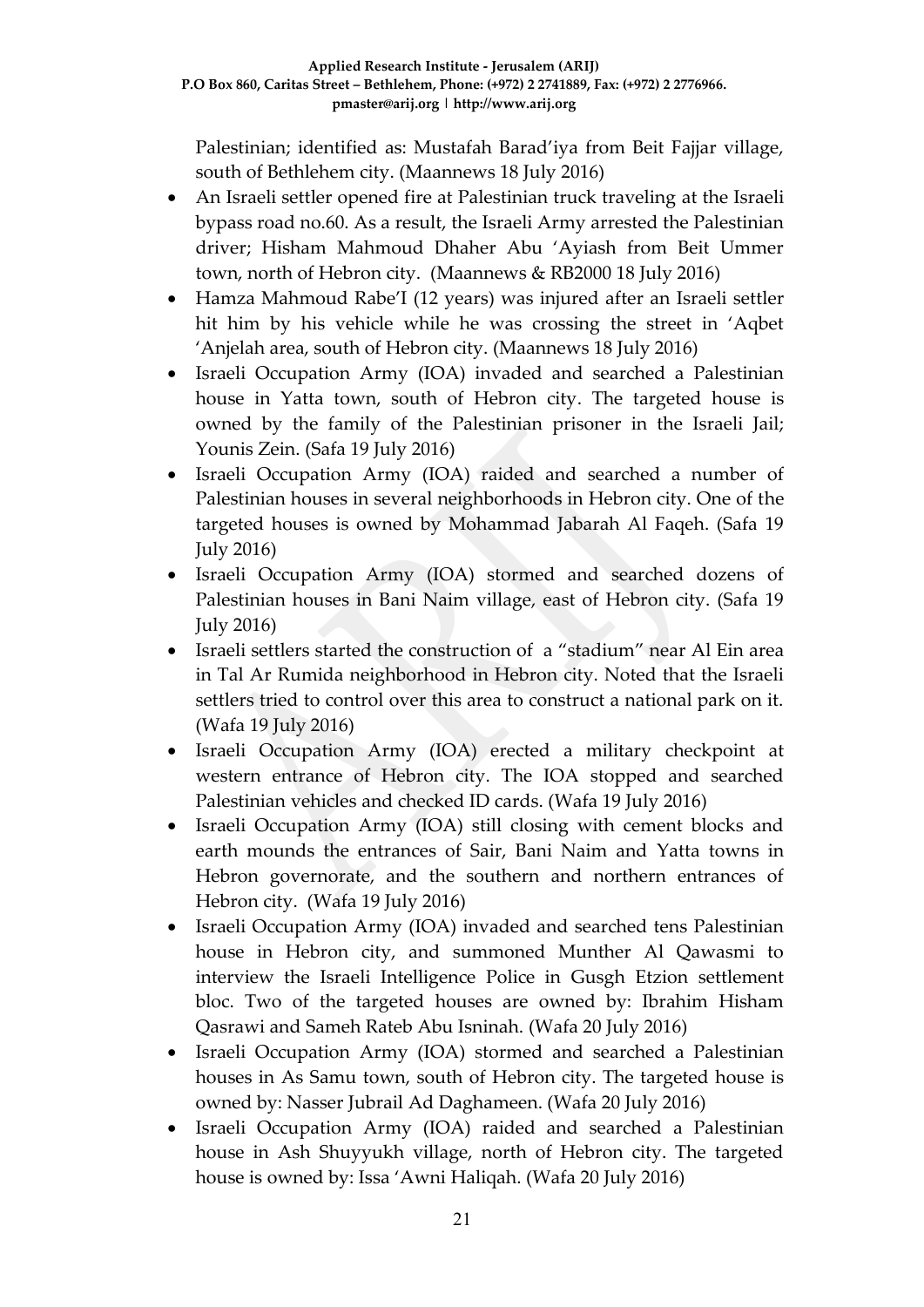Palestinian; identified as: Mustafah Barad'iya from Beit Fajjar village, south of Bethlehem city. (Maannews 18 July 2016)

- An Israeli settler opened fire at Palestinian truck traveling at the Israeli bypass road no.60. As a result, the Israeli Army arrested the Palestinian driver; Hisham Mahmoud Dhaher Abu 'Ayiash from Beit Ummer town, north of Hebron city. (Maannews & RB2000 18 July 2016)
- Hamza Mahmoud Rabe'I (12 years) was injured after an Israeli settler hit him by his vehicle while he was crossing the street in 'Aqbet 'Anjelah area, south of Hebron city. (Maannews 18 July 2016)
- Israeli Occupation Army (IOA) invaded and searched a Palestinian house in Yatta town, south of Hebron city. The targeted house is owned by the family of the Palestinian prisoner in the Israeli Jail; Younis Zein. (Safa 19 July 2016)
- Israeli Occupation Army (IOA) raided and searched a number of Palestinian houses in several neighborhoods in Hebron city. One of the targeted houses is owned by Mohammad Jabarah Al Faqeh. (Safa 19 July 2016)
- Israeli Occupation Army (IOA) stormed and searched dozens of Palestinian houses in Bani Naim village, east of Hebron city. (Safa 19 July 2016)
- Israeli settlers started the construction of a "stadium" near Al Ein area in Tal Ar Rumida neighborhood in Hebron city. Noted that the Israeli settlers tried to control over this area to construct a national park on it. (Wafa 19 July 2016)
- Israeli Occupation Army (IOA) erected a military checkpoint at western entrance of Hebron city. The IOA stopped and searched Palestinian vehicles and checked ID cards. (Wafa 19 July 2016)
- Israeli Occupation Army (IOA) still closing with cement blocks and earth mounds the entrances of Sair, Bani Naim and Yatta towns in Hebron governorate, and the southern and northern entrances of Hebron city. (Wafa 19 July 2016)
- Israeli Occupation Army (IOA) invaded and searched tens Palestinian house in Hebron city, and summoned Munther Al Qawasmi to interview the Israeli Intelligence Police in Gusgh Etzion settlement bloc. Two of the targeted houses are owned by: Ibrahim Hisham Qasrawi and Sameh Rateb Abu Isninah. (Wafa 20 July 2016)
- Israeli Occupation Army (IOA) stormed and searched a Palestinian houses in As Samu town, south of Hebron city. The targeted house is owned by: Nasser Jubrail Ad Daghameen. (Wafa 20 July 2016)
- Israeli Occupation Army (IOA) raided and searched a Palestinian house in Ash Shuyyukh village, north of Hebron city. The targeted house is owned by: Issa 'Awni Haliqah. (Wafa 20 July 2016)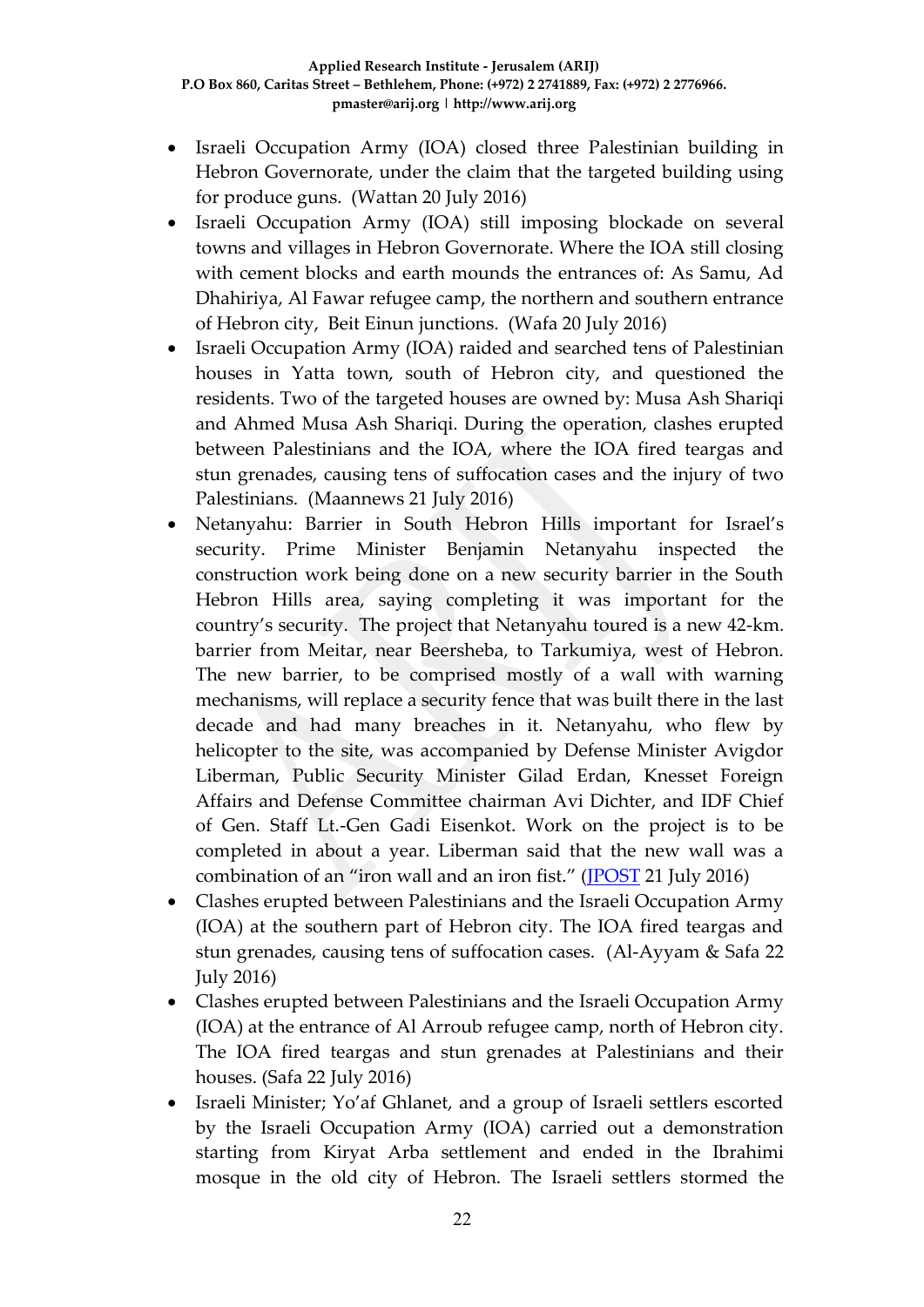- Israeli Occupation Army (IOA) closed three Palestinian building in Hebron Governorate, under the claim that the targeted building using for produce guns. (Wattan 20 July 2016)
- Israeli Occupation Army (IOA) still imposing blockade on several towns and villages in Hebron Governorate. Where the IOA still closing with cement blocks and earth mounds the entrances of: As Samu, Ad Dhahiriya, Al Fawar refugee camp, the northern and southern entrance of Hebron city, Beit Einun junctions. (Wafa 20 July 2016)
- Israeli Occupation Army (IOA) raided and searched tens of Palestinian houses in Yatta town, south of Hebron city, and questioned the residents. Two of the targeted houses are owned by: Musa Ash Shariqi and Ahmed Musa Ash Shariqi. During the operation, clashes erupted between Palestinians and the IOA, where the IOA fired teargas and stun grenades, causing tens of suffocation cases and the injury of two Palestinians. (Maannews 21 July 2016)
- Netanyahu: Barrier in South Hebron Hills important for Israel's security. Prime Minister Benjamin Netanyahu inspected the construction work being done on a new security barrier in the South Hebron Hills area, saying completing it was important for the country's security. The project that Netanyahu toured is a new 42-km. barrier from Meitar, near Beersheba, to Tarkumiya, west of Hebron. The new barrier, to be comprised mostly of a wall with warning mechanisms, will replace a security fence that was built there in the last decade and had many breaches in it. Netanyahu, who flew by helicopter to the site, was accompanied by Defense Minister Avigdor Liberman, Public Security Minister Gilad Erdan, Knesset Foreign Affairs and Defense Committee chairman Avi Dichter, and IDF Chief of Gen. Staff Lt.-Gen Gadi Eisenkot. Work on the project is to be completed in about a year. Liberman said that the new wall was a combination of an "iron wall and an iron fist." [\(JPOST](http://www.jpost.com/Arab-Israeli-Conflict/Netanyahu-Barrier-in-South-Hebron-Hills-important-for-Israels-security-460959) 21 July 2016)
- Clashes erupted between Palestinians and the Israeli Occupation Army (IOA) at the southern part of Hebron city. The IOA fired teargas and stun grenades, causing tens of suffocation cases. (Al-Ayyam & Safa 22 July 2016)
- Clashes erupted between Palestinians and the Israeli Occupation Army (IOA) at the entrance of Al Arroub refugee camp, north of Hebron city. The IOA fired teargas and stun grenades at Palestinians and their houses. (Safa 22 July 2016)
- Israeli Minister; Yo'af Ghlanet, and a group of Israeli settlers escorted by the Israeli Occupation Army (IOA) carried out a demonstration starting from Kiryat Arba settlement and ended in the Ibrahimi mosque in the old city of Hebron. The Israeli settlers stormed the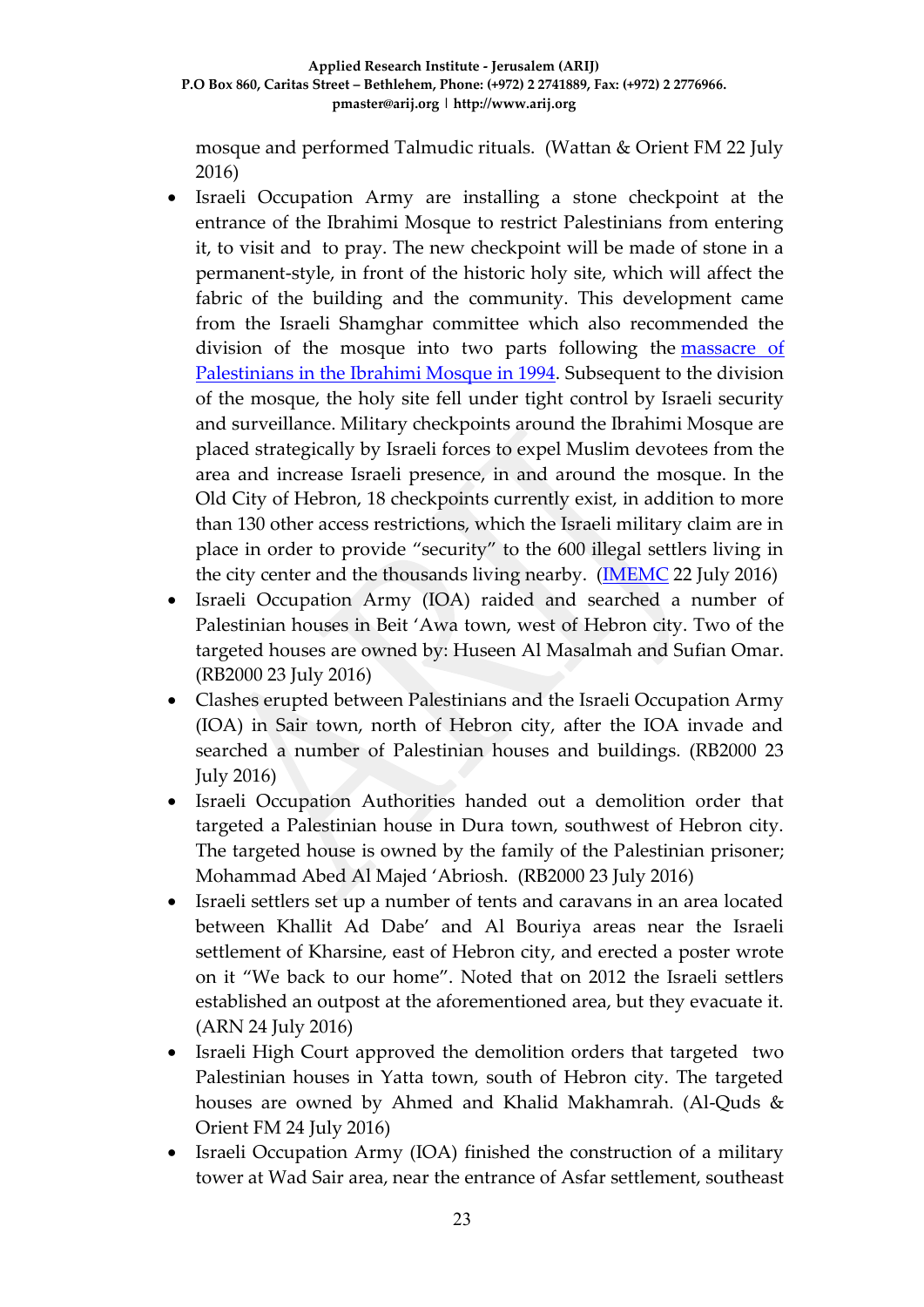mosque and performed Talmudic rituals. (Wattan & Orient FM 22 July 2016)

- Israeli Occupation Army are installing a stone checkpoint at the entrance of the Ibrahimi Mosque to restrict Palestinians from entering it, to visit and to pray. The new checkpoint will be made of stone in a permanent-style, in front of the historic holy site, which will affect the fabric of the building and the community. This development came from the Israeli Shamghar committee which also recommended the division of the mosque into two parts following the massacre of [Palestinians in the Ibrahimi Mosque in 1994.](https://en.wikipedia.org/wiki/Cave_of_the_Patriarchs_massacre) Subsequent to the division of the mosque, the holy site fell under tight control by Israeli security and surveillance. Military checkpoints around the Ibrahimi Mosque are placed strategically by Israeli forces to expel Muslim devotees from the area and increase Israeli presence, in and around the mosque. In the Old City of Hebron, 18 checkpoints currently exist, in addition to more than 130 other access restrictions, which the Israeli military claim are in place in order to provide "security" to the 600 illegal settlers living in the city center and the thousands living nearby. [\(IMEMC](http://imemc.org/article/israeli-authorities-to-erect-stone-checkpoint-at-ibrahimi-mosque-entrance/) 22 July 2016)
- Israeli Occupation Army (IOA) raided and searched a number of Palestinian houses in Beit 'Awa town, west of Hebron city. Two of the targeted houses are owned by: Huseen Al Masalmah and Sufian Omar. (RB2000 23 July 2016)
- Clashes erupted between Palestinians and the Israeli Occupation Army (IOA) in Sair town, north of Hebron city, after the IOA invade and searched a number of Palestinian houses and buildings. (RB2000 23 July 2016)
- Israeli Occupation Authorities handed out a demolition order that targeted a Palestinian house in Dura town, southwest of Hebron city. The targeted house is owned by the family of the Palestinian prisoner; Mohammad Abed Al Majed 'Abriosh. (RB2000 23 July 2016)
- Israeli settlers set up a number of tents and caravans in an area located between Khallit Ad Dabe' and Al Bouriya areas near the Israeli settlement of Kharsine, east of Hebron city, and erected a poster wrote on it "We back to our home". Noted that on 2012 the Israeli settlers established an outpost at the aforementioned area, but they evacuate it. (ARN 24 July 2016)
- Israeli High Court approved the demolition orders that targeted two Palestinian houses in Yatta town, south of Hebron city. The targeted houses are owned by Ahmed and Khalid Makhamrah. (Al-Quds & Orient FM 24 July 2016)
- Israeli Occupation Army (IOA) finished the construction of a military tower at Wad Sair area, near the entrance of Asfar settlement, southeast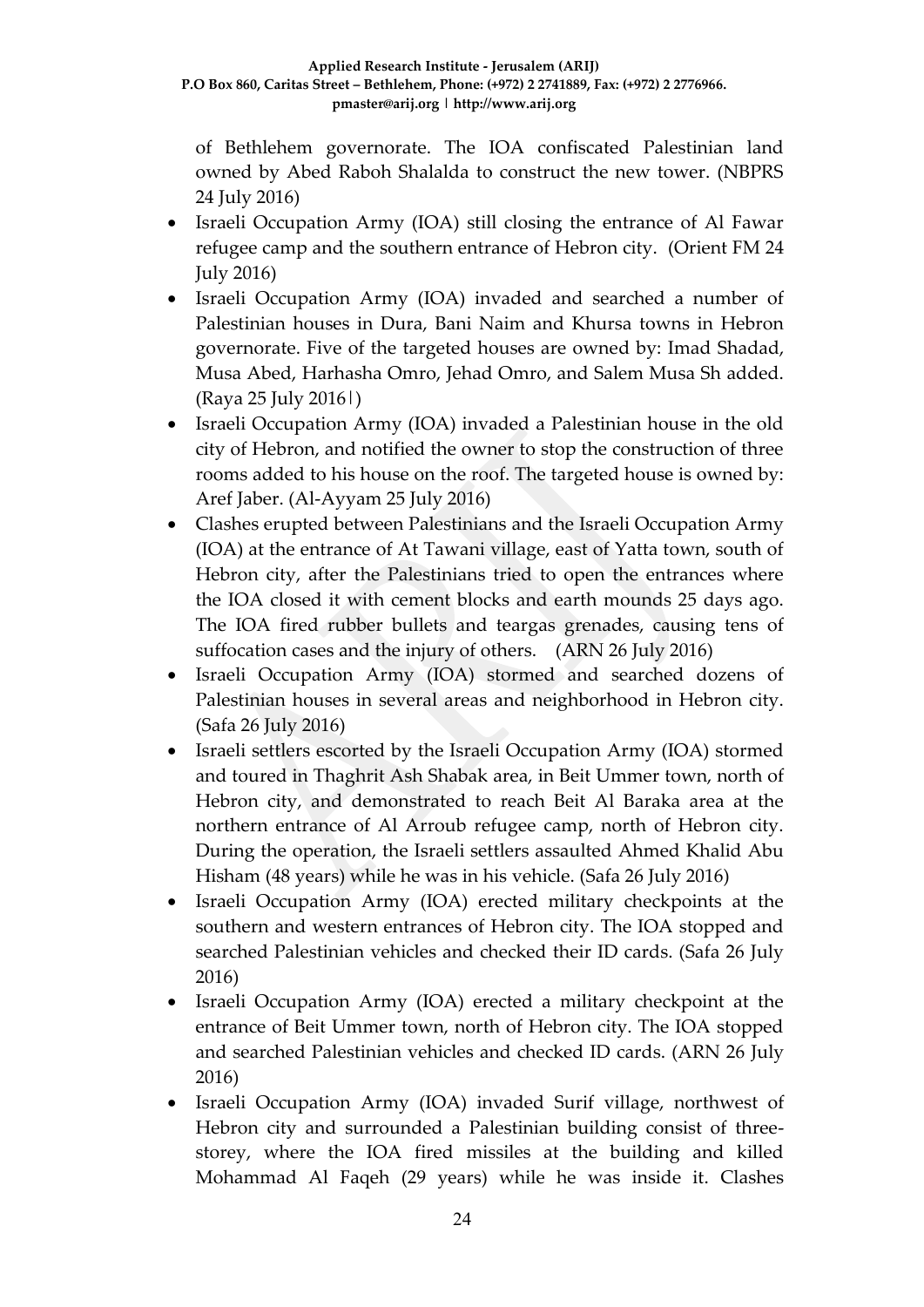of Bethlehem governorate. The IOA confiscated Palestinian land owned by Abed Raboh Shalalda to construct the new tower. (NBPRS 24 July 2016)

- Israeli Occupation Army (IOA) still closing the entrance of Al Fawar refugee camp and the southern entrance of Hebron city. (Orient FM 24 July 2016)
- Israeli Occupation Army (IOA) invaded and searched a number of Palestinian houses in Dura, Bani Naim and Khursa towns in Hebron governorate. Five of the targeted houses are owned by: Imad Shadad, Musa Abed, Harhasha Omro, Jehad Omro, and Salem Musa Sh added. (Raya 25 July 2016|)
- Israeli Occupation Army (IOA) invaded a Palestinian house in the old city of Hebron, and notified the owner to stop the construction of three rooms added to his house on the roof. The targeted house is owned by: Aref Jaber. (Al-Ayyam 25 July 2016)
- Clashes erupted between Palestinians and the Israeli Occupation Army (IOA) at the entrance of At Tawani village, east of Yatta town, south of Hebron city, after the Palestinians tried to open the entrances where the IOA closed it with cement blocks and earth mounds 25 days ago. The IOA fired rubber bullets and teargas grenades, causing tens of suffocation cases and the injury of others. (ARN 26 July 2016)
- Israeli Occupation Army (IOA) stormed and searched dozens of Palestinian houses in several areas and neighborhood in Hebron city. (Safa 26 July 2016)
- Israeli settlers escorted by the Israeli Occupation Army (IOA) stormed and toured in Thaghrit Ash Shabak area, in Beit Ummer town, north of Hebron city, and demonstrated to reach Beit Al Baraka area at the northern entrance of Al Arroub refugee camp, north of Hebron city. During the operation, the Israeli settlers assaulted Ahmed Khalid Abu Hisham (48 years) while he was in his vehicle. (Safa 26 July 2016)
- Israeli Occupation Army (IOA) erected military checkpoints at the southern and western entrances of Hebron city. The IOA stopped and searched Palestinian vehicles and checked their ID cards. (Safa 26 July 2016)
- Israeli Occupation Army (IOA) erected a military checkpoint at the entrance of Beit Ummer town, north of Hebron city. The IOA stopped and searched Palestinian vehicles and checked ID cards. (ARN 26 July 2016)
- Israeli Occupation Army (IOA) invaded Surif village, northwest of Hebron city and surrounded a Palestinian building consist of threestorey, where the IOA fired missiles at the building and killed Mohammad Al Faqeh (29 years) while he was inside it. Clashes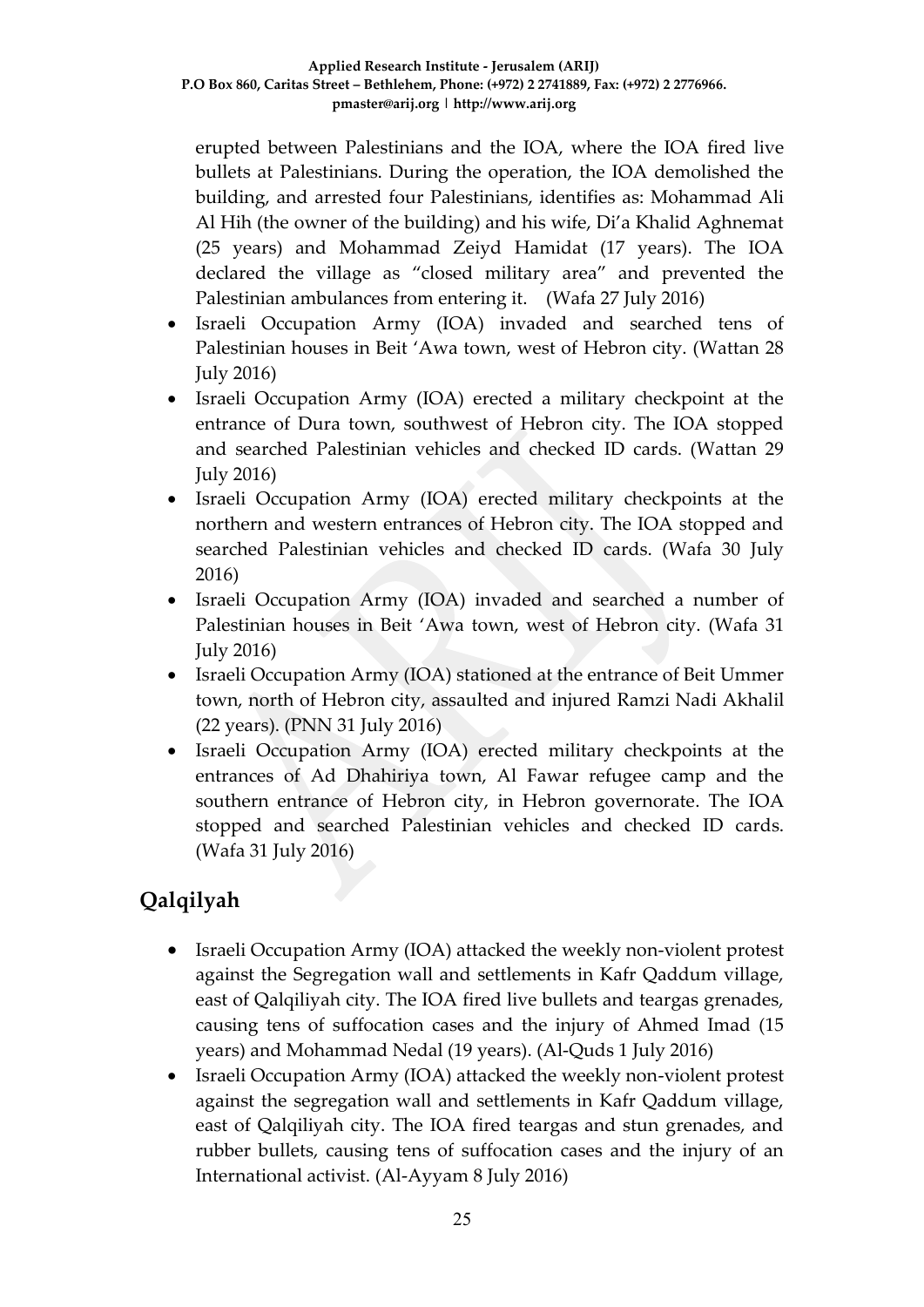erupted between Palestinians and the IOA, where the IOA fired live bullets at Palestinians. During the operation, the IOA demolished the building, and arrested four Palestinians, identifies as: Mohammad Ali Al Hih (the owner of the building) and his wife, Di'a Khalid Aghnemat (25 years) and Mohammad Zeiyd Hamidat (17 years). The IOA declared the village as "closed military area" and prevented the Palestinian ambulances from entering it. (Wafa 27 July 2016)

- Israeli Occupation Army (IOA) invaded and searched tens of Palestinian houses in Beit 'Awa town, west of Hebron city. (Wattan 28 July 2016)
- Israeli Occupation Army (IOA) erected a military checkpoint at the entrance of Dura town, southwest of Hebron city. The IOA stopped and searched Palestinian vehicles and checked ID cards. (Wattan 29 July 2016)
- Israeli Occupation Army (IOA) erected military checkpoints at the northern and western entrances of Hebron city. The IOA stopped and searched Palestinian vehicles and checked ID cards. (Wafa 30 July 2016)
- Israeli Occupation Army (IOA) invaded and searched a number of Palestinian houses in Beit 'Awa town, west of Hebron city. (Wafa 31 July 2016)
- Israeli Occupation Army (IOA) stationed at the entrance of Beit Ummer town, north of Hebron city, assaulted and injured Ramzi Nadi Akhalil (22 years). (PNN 31 July 2016)
- Israeli Occupation Army (IOA) erected military checkpoints at the entrances of Ad Dhahiriya town, Al Fawar refugee camp and the southern entrance of Hebron city, in Hebron governorate. The IOA stopped and searched Palestinian vehicles and checked ID cards. (Wafa 31 July 2016)

# **Qalqilyah**

- Israeli Occupation Army (IOA) attacked the weekly non-violent protest against the Segregation wall and settlements in Kafr Qaddum village, east of Qalqiliyah city. The IOA fired live bullets and teargas grenades, causing tens of suffocation cases and the injury of Ahmed Imad (15 years) and Mohammad Nedal (19 years). (Al-Quds 1 July 2016)
- Israeli Occupation Army (IOA) attacked the weekly non-violent protest against the segregation wall and settlements in Kafr Qaddum village, east of Qalqiliyah city. The IOA fired teargas and stun grenades, and rubber bullets, causing tens of suffocation cases and the injury of an International activist. (Al-Ayyam 8 July 2016)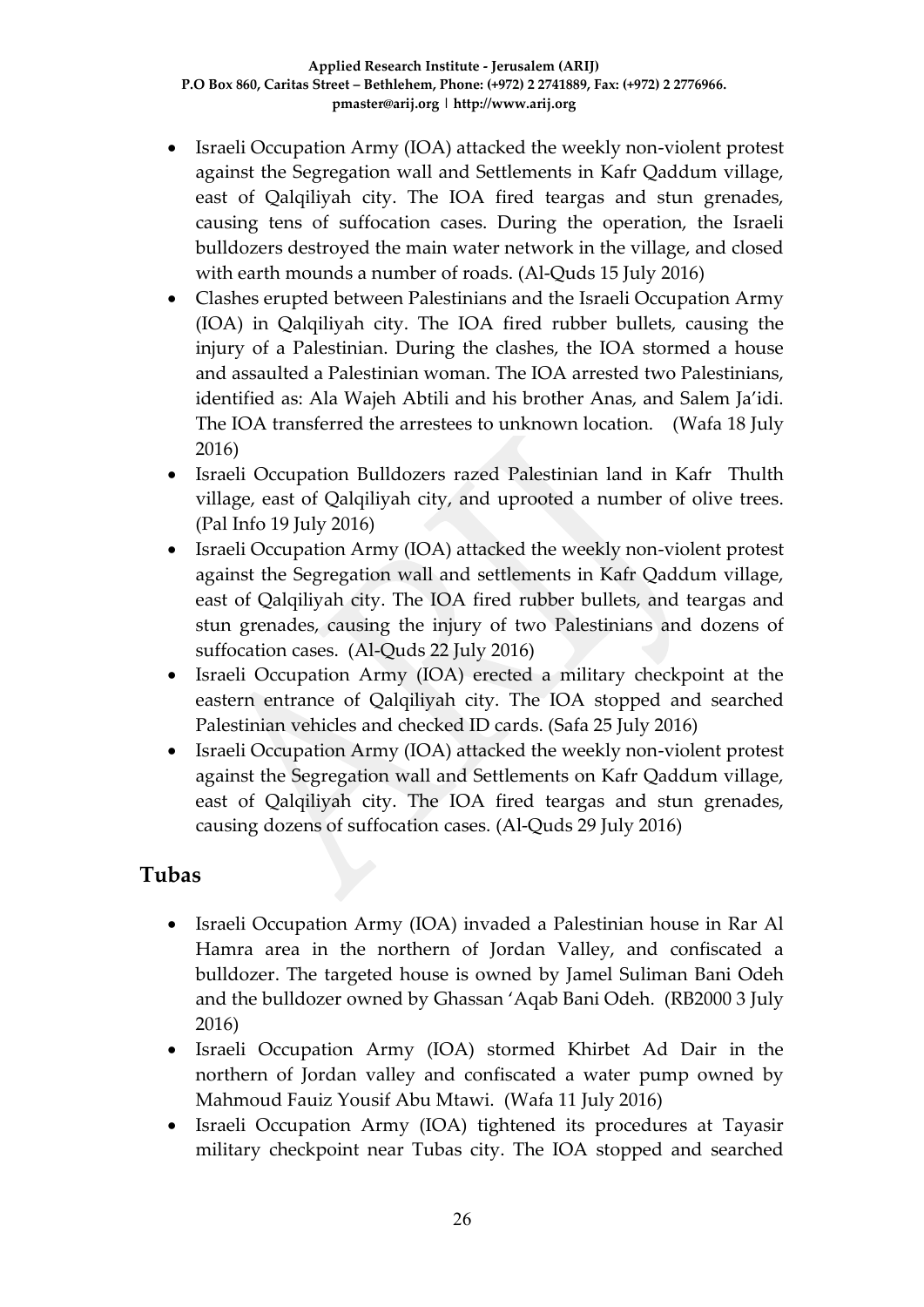- Israeli Occupation Army (IOA) attacked the weekly non-violent protest against the Segregation wall and Settlements in Kafr Qaddum village, east of Qalqiliyah city. The IOA fired teargas and stun grenades, causing tens of suffocation cases. During the operation, the Israeli bulldozers destroyed the main water network in the village, and closed with earth mounds a number of roads. (Al-Quds 15 July 2016)
- Clashes erupted between Palestinians and the Israeli Occupation Army (IOA) in Qalqiliyah city. The IOA fired rubber bullets, causing the injury of a Palestinian. During the clashes, the IOA stormed a house and assaulted a Palestinian woman. The IOA arrested two Palestinians, identified as: Ala Wajeh Abtili and his brother Anas, and Salem Ja'idi. The IOA transferred the arrestees to unknown location.(Wafa 18 July 2016)
- Israeli Occupation Bulldozers razed Palestinian land in Kafr Thulth village, east of Qalqiliyah city, and uprooted a number of olive trees. (Pal Info 19 July 2016)
- Israeli Occupation Army (IOA) attacked the weekly non-violent protest against the Segregation wall and settlements in Kafr Qaddum village, east of Qalqiliyah city. The IOA fired rubber bullets, and teargas and stun grenades, causing the injury of two Palestinians and dozens of suffocation cases. (Al-Quds 22 July 2016)
- Israeli Occupation Army (IOA) erected a military checkpoint at the eastern entrance of Qalqiliyah city. The IOA stopped and searched Palestinian vehicles and checked ID cards. (Safa 25 July 2016)
- Israeli Occupation Army (IOA) attacked the weekly non-violent protest against the Segregation wall and Settlements on Kafr Qaddum village, east of Qalqiliyah city. The IOA fired teargas and stun grenades, causing dozens of suffocation cases. (Al-Quds 29 July 2016)

### **Tubas**

- Israeli Occupation Army (IOA) invaded a Palestinian house in Rar Al Hamra area in the northern of Jordan Valley, and confiscated a bulldozer. The targeted house is owned by Jamel Suliman Bani Odeh and the bulldozer owned by Ghassan 'Aqab Bani Odeh. (RB2000 3 July 2016)
- Israeli Occupation Army (IOA) stormed Khirbet Ad Dair in the northern of Jordan valley and confiscated a water pump owned by Mahmoud Fauiz Yousif Abu Mtawi. (Wafa 11 July 2016)
- Israeli Occupation Army (IOA) tightened its procedures at Tayasir military checkpoint near Tubas city. The IOA stopped and searched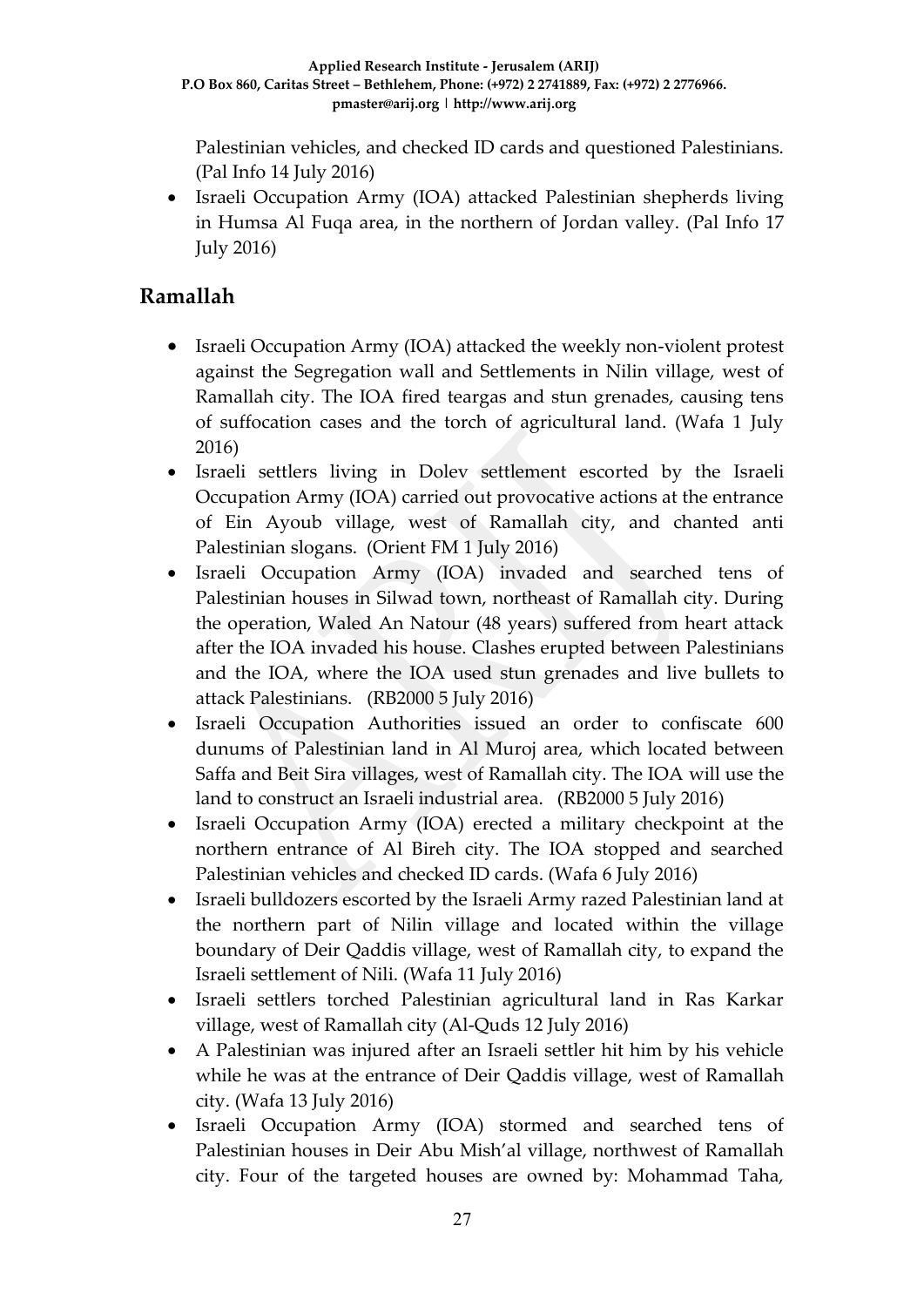Palestinian vehicles, and checked ID cards and questioned Palestinians. (Pal Info 14 July 2016)

• Israeli Occupation Army (IOA) attacked Palestinian shepherds living in Humsa Al Fuqa area, in the northern of Jordan valley. (Pal Info 17 July 2016)

### **Ramallah**

- Israeli Occupation Army (IOA) attacked the weekly non-violent protest against the Segregation wall and Settlements in Nilin village, west of Ramallah city. The IOA fired teargas and stun grenades, causing tens of suffocation cases and the torch of agricultural land. (Wafa 1 July 2016)
- Israeli settlers living in Dolev settlement escorted by the Israeli Occupation Army (IOA) carried out provocative actions at the entrance of Ein Ayoub village, west of Ramallah city, and chanted anti Palestinian slogans. (Orient FM 1 July 2016)
- Israeli Occupation Army (IOA) invaded and searched tens of Palestinian houses in Silwad town, northeast of Ramallah city. During the operation, Waled An Natour (48 years) suffered from heart attack after the IOA invaded his house. Clashes erupted between Palestinians and the IOA, where the IOA used stun grenades and live bullets to attack Palestinians. (RB2000 5 July 2016)
- Israeli Occupation Authorities issued an order to confiscate 600 dunums of Palestinian land in Al Muroj area, which located between Saffa and Beit Sira villages, west of Ramallah city. The IOA will use the land to construct an Israeli industrial area. (RB2000 5 July 2016)
- Israeli Occupation Army (IOA) erected a military checkpoint at the northern entrance of Al Bireh city. The IOA stopped and searched Palestinian vehicles and checked ID cards. (Wafa 6 July 2016)
- Israeli bulldozers escorted by the Israeli Army razed Palestinian land at the northern part of Nilin village and located within the village boundary of Deir Qaddis village, west of Ramallah city, to expand the Israeli settlement of Nili. (Wafa 11 July 2016)
- Israeli settlers torched Palestinian agricultural land in Ras Karkar village, west of Ramallah city (Al-Quds 12 July 2016)
- A Palestinian was injured after an Israeli settler hit him by his vehicle while he was at the entrance of Deir Qaddis village, west of Ramallah city. (Wafa 13 July 2016)
- Israeli Occupation Army (IOA) stormed and searched tens of Palestinian houses in Deir Abu Mish'al village, northwest of Ramallah city. Four of the targeted houses are owned by: Mohammad Taha,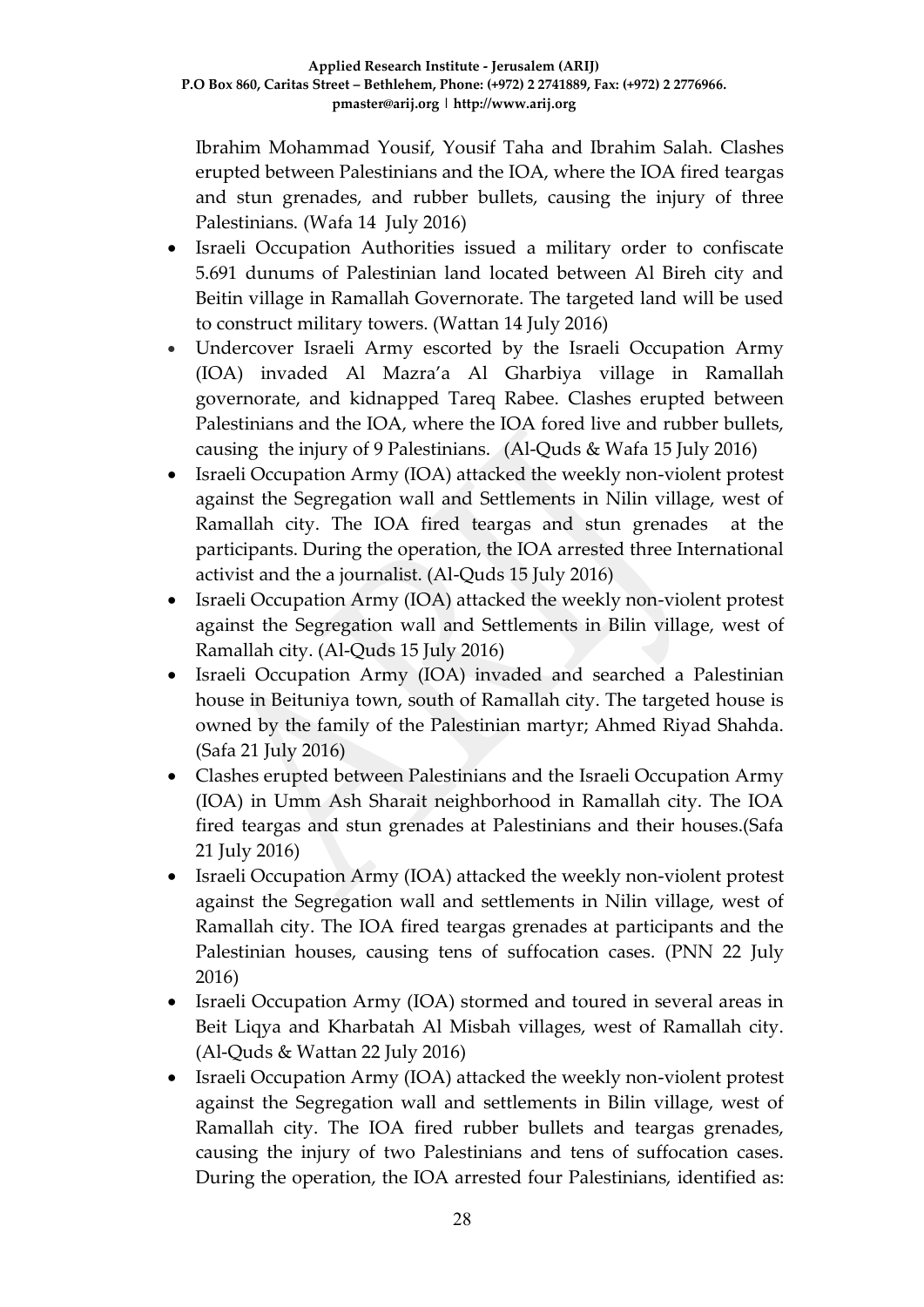Ibrahim Mohammad Yousif, Yousif Taha and Ibrahim Salah. Clashes erupted between Palestinians and the IOA, where the IOA fired teargas and stun grenades, and rubber bullets, causing the injury of three Palestinians. (Wafa 14 July 2016)

- Israeli Occupation Authorities issued a military order to confiscate 5.691 dunums of Palestinian land located between Al Bireh city and Beitin village in Ramallah Governorate. The targeted land will be used to construct military towers. (Wattan 14 July 2016)
- Undercover Israeli Army escorted by the Israeli Occupation Army (IOA) invaded Al Mazra'a Al Gharbiya village in Ramallah governorate, and kidnapped Tareq Rabee. Clashes erupted between Palestinians and the IOA, where the IOA fored live and rubber bullets, causing the injury of 9 Palestinians. (Al-Quds & Wafa 15 July 2016)
- Israeli Occupation Army (IOA) attacked the weekly non-violent protest against the Segregation wall and Settlements in Nilin village, west of Ramallah city. The IOA fired teargas and stun grenades at the participants. During the operation, the IOA arrested three International activist and the a journalist. (Al-Quds 15 July 2016)
- Israeli Occupation Army (IOA) attacked the weekly non-violent protest against the Segregation wall and Settlements in Bilin village, west of Ramallah city. (Al-Quds 15 July 2016)
- Israeli Occupation Army (IOA) invaded and searched a Palestinian house in Beituniya town, south of Ramallah city. The targeted house is owned by the family of the Palestinian martyr; Ahmed Riyad Shahda. (Safa 21 July 2016)
- Clashes erupted between Palestinians and the Israeli Occupation Army (IOA) in Umm Ash Sharait neighborhood in Ramallah city. The IOA fired teargas and stun grenades at Palestinians and their houses.(Safa 21 July 2016)
- Israeli Occupation Army (IOA) attacked the weekly non-violent protest against the Segregation wall and settlements in Nilin village, west of Ramallah city. The IOA fired teargas grenades at participants and the Palestinian houses, causing tens of suffocation cases. (PNN 22 July 2016)
- Israeli Occupation Army (IOA) stormed and toured in several areas in Beit Liqya and Kharbatah Al Misbah villages, west of Ramallah city. (Al-Quds & Wattan 22 July 2016)
- Israeli Occupation Army (IOA) attacked the weekly non-violent protest against the Segregation wall and settlements in Bilin village, west of Ramallah city. The IOA fired rubber bullets and teargas grenades, causing the injury of two Palestinians and tens of suffocation cases. During the operation, the IOA arrested four Palestinians, identified as: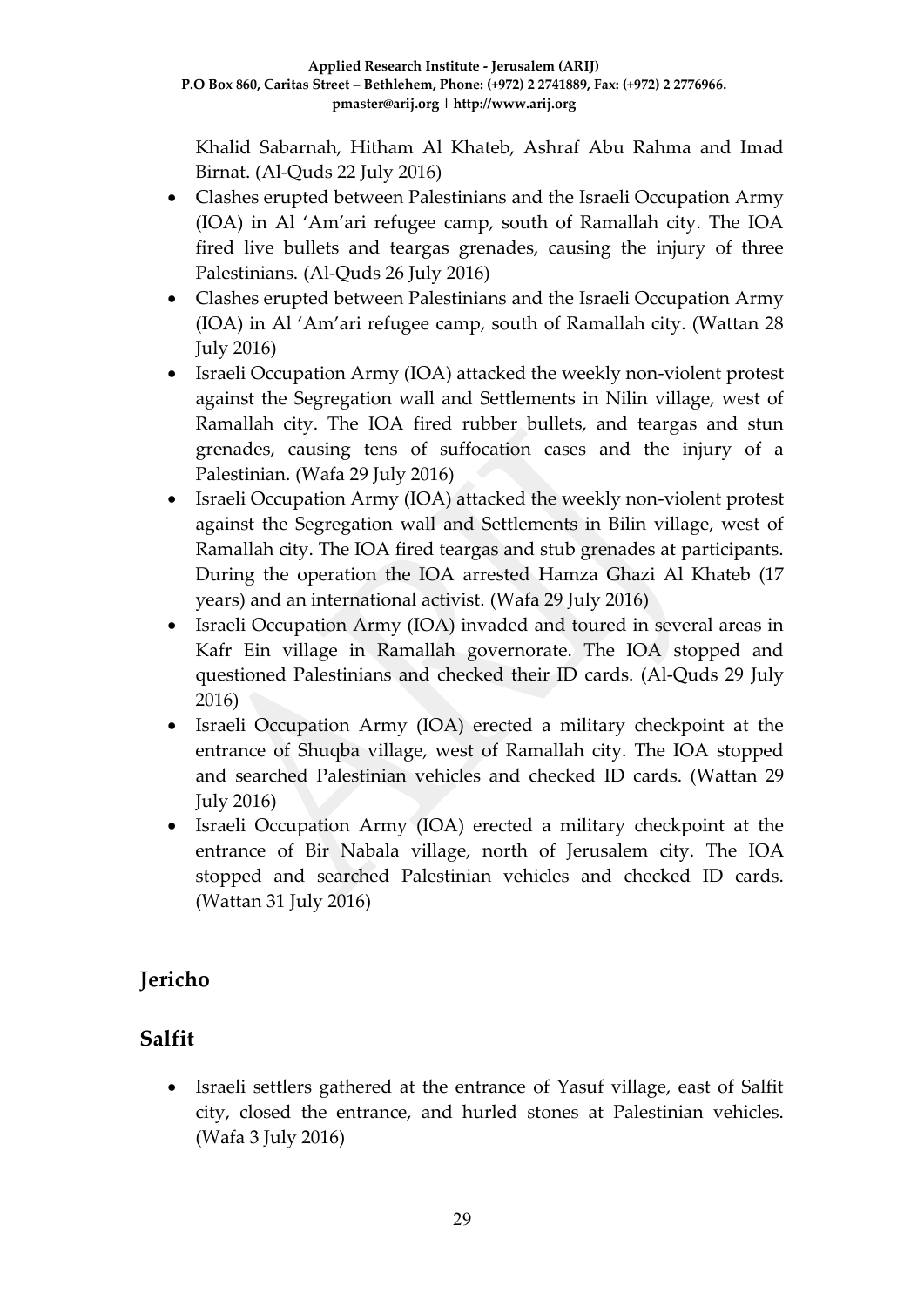Khalid Sabarnah, Hitham Al Khateb, Ashraf Abu Rahma and Imad Birnat. (Al-Quds 22 July 2016)

- Clashes erupted between Palestinians and the Israeli Occupation Army (IOA) in Al 'Am'ari refugee camp, south of Ramallah city. The IOA fired live bullets and teargas grenades, causing the injury of three Palestinians. (Al-Quds 26 July 2016)
- Clashes erupted between Palestinians and the Israeli Occupation Army (IOA) in Al 'Am'ari refugee camp, south of Ramallah city. (Wattan 28 July 2016)
- Israeli Occupation Army (IOA) attacked the weekly non-violent protest against the Segregation wall and Settlements in Nilin village, west of Ramallah city. The IOA fired rubber bullets, and teargas and stun grenades, causing tens of suffocation cases and the injury of a Palestinian. (Wafa 29 July 2016)
- Israeli Occupation Army (IOA) attacked the weekly non-violent protest against the Segregation wall and Settlements in Bilin village, west of Ramallah city. The IOA fired teargas and stub grenades at participants. During the operation the IOA arrested Hamza Ghazi Al Khateb (17 years) and an international activist. (Wafa 29 July 2016)
- Israeli Occupation Army (IOA) invaded and toured in several areas in Kafr Ein village in Ramallah governorate. The IOA stopped and questioned Palestinians and checked their ID cards. (Al-Quds 29 July 2016)
- Israeli Occupation Army (IOA) erected a military checkpoint at the entrance of Shuqba village, west of Ramallah city. The IOA stopped and searched Palestinian vehicles and checked ID cards. (Wattan 29 July 2016)
- Israeli Occupation Army (IOA) erected a military checkpoint at the entrance of Bir Nabala village, north of Jerusalem city. The IOA stopped and searched Palestinian vehicles and checked ID cards. (Wattan 31 July 2016)

## **Jericho**

## **Salfit**

 Israeli settlers gathered at the entrance of Yasuf village, east of Salfit city, closed the entrance, and hurled stones at Palestinian vehicles. (Wafa 3 July 2016)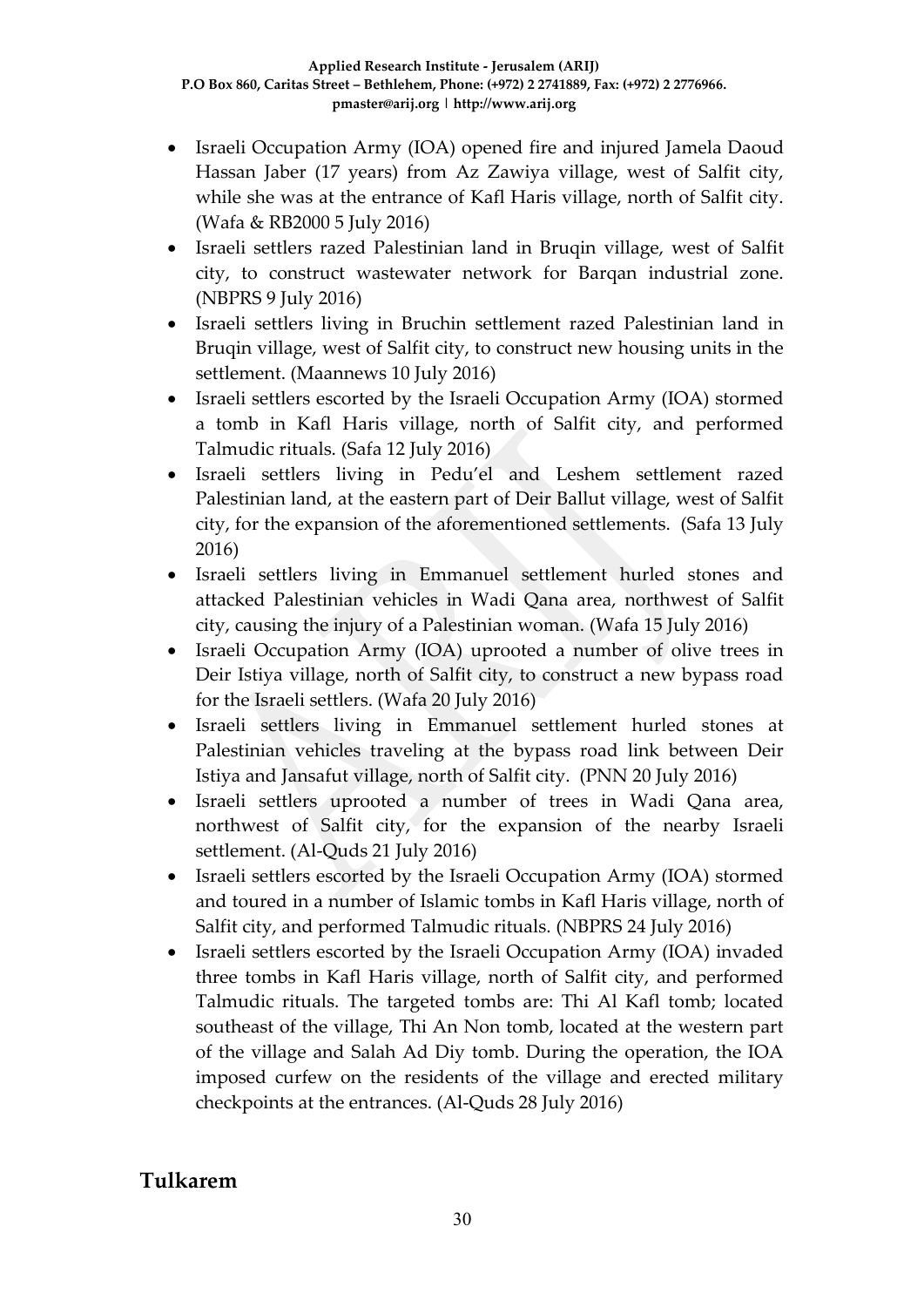- Israeli Occupation Army (IOA) opened fire and injured Jamela Daoud Hassan Jaber (17 years) from Az Zawiya village, west of Salfit city, while she was at the entrance of Kafl Haris village, north of Salfit city. (Wafa & RB2000 5 July 2016)
- Israeli settlers razed Palestinian land in Bruqin village, west of Salfit city, to construct wastewater network for Barqan industrial zone. (NBPRS 9 July 2016)
- Israeli settlers living in Bruchin settlement razed Palestinian land in Bruqin village, west of Salfit city, to construct new housing units in the settlement. (Maannews 10 July 2016)
- Israeli settlers escorted by the Israeli Occupation Army (IOA) stormed a tomb in Kafl Haris village, north of Salfit city, and performed Talmudic rituals. (Safa 12 July 2016)
- Israeli settlers living in Pedu'el and Leshem settlement razed Palestinian land, at the eastern part of Deir Ballut village, west of Salfit city, for the expansion of the aforementioned settlements. (Safa 13 July 2016)
- Israeli settlers living in Emmanuel settlement hurled stones and attacked Palestinian vehicles in Wadi Qana area, northwest of Salfit city, causing the injury of a Palestinian woman. (Wafa 15 July 2016)
- Israeli Occupation Army (IOA) uprooted a number of olive trees in Deir Istiya village, north of Salfit city, to construct a new bypass road for the Israeli settlers. (Wafa 20 July 2016)
- Israeli settlers living in Emmanuel settlement hurled stones at Palestinian vehicles traveling at the bypass road link between Deir Istiya and Jansafut village, north of Salfit city. (PNN 20 July 2016)
- Israeli settlers uprooted a number of trees in Wadi Qana area, northwest of Salfit city, for the expansion of the nearby Israeli settlement. (Al-Quds 21 July 2016)
- Israeli settlers escorted by the Israeli Occupation Army (IOA) stormed and toured in a number of Islamic tombs in Kafl Haris village, north of Salfit city, and performed Talmudic rituals. (NBPRS 24 July 2016)
- Israeli settlers escorted by the Israeli Occupation Army (IOA) invaded three tombs in Kafl Haris village, north of Salfit city, and performed Talmudic rituals. The targeted tombs are: Thi Al Kafl tomb; located southeast of the village, Thi An Non tomb, located at the western part of the village and Salah Ad Diy tomb. During the operation, the IOA imposed curfew on the residents of the village and erected military checkpoints at the entrances. (Al-Quds 28 July 2016)

### **Tulkarem**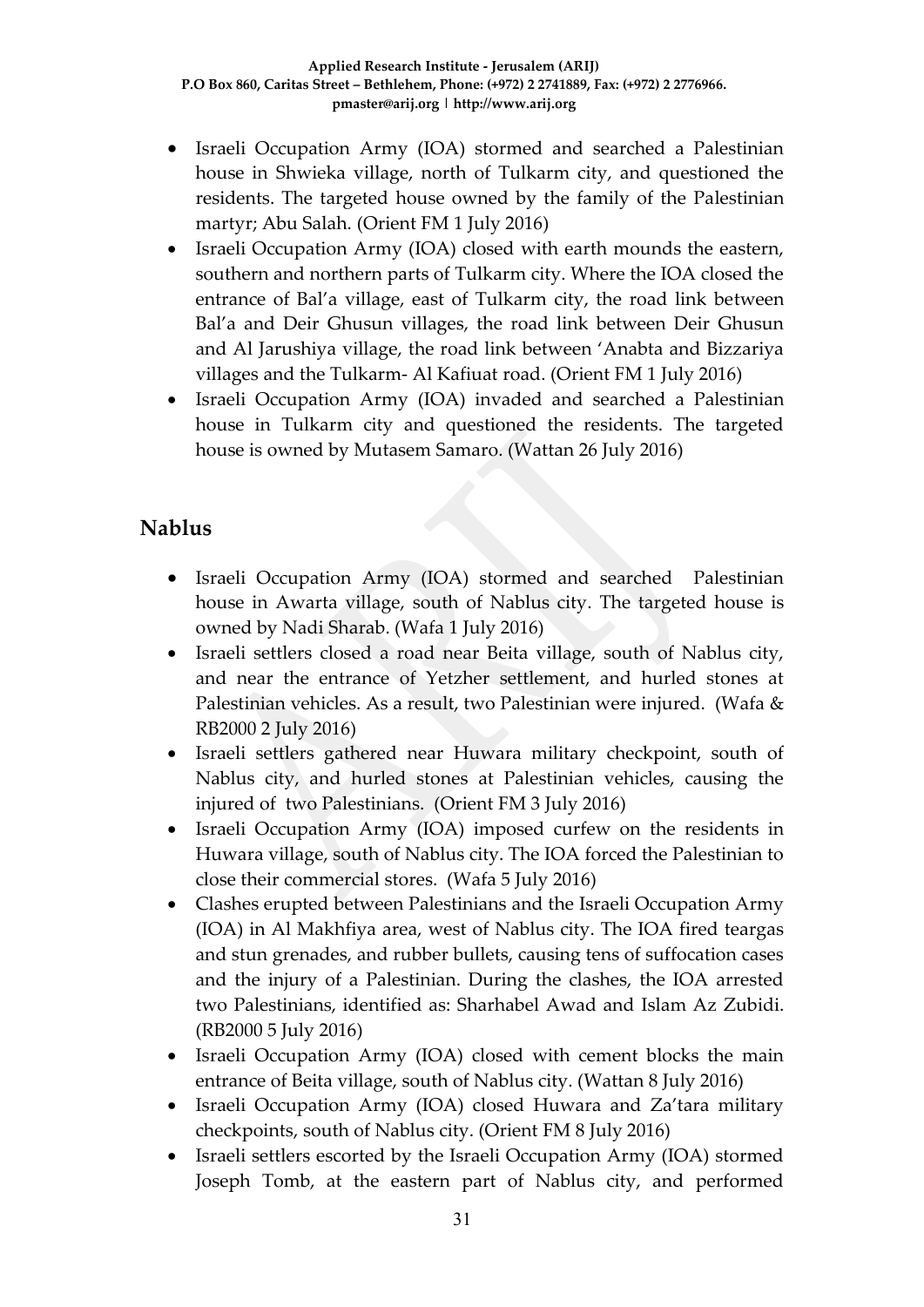- Israeli Occupation Army (IOA) stormed and searched a Palestinian house in Shwieka village, north of Tulkarm city, and questioned the residents. The targeted house owned by the family of the Palestinian martyr; Abu Salah. (Orient FM 1 July 2016)
- Israeli Occupation Army (IOA) closed with earth mounds the eastern, southern and northern parts of Tulkarm city. Where the IOA closed the entrance of Bal'a village, east of Tulkarm city, the road link between Bal'a and Deir Ghusun villages, the road link between Deir Ghusun and Al Jarushiya village, the road link between 'Anabta and Bizzariya villages and the Tulkarm- Al Kafiuat road. (Orient FM 1 July 2016)
- Israeli Occupation Army (IOA) invaded and searched a Palestinian house in Tulkarm city and questioned the residents. The targeted house is owned by Mutasem Samaro. (Wattan 26 July 2016)

### **Nablus**

- Israeli Occupation Army (IOA) stormed and searched Palestinian house in Awarta village, south of Nablus city. The targeted house is owned by Nadi Sharab. (Wafa 1 July 2016)
- Israeli settlers closed a road near Beita village, south of Nablus city, and near the entrance of Yetzher settlement, and hurled stones at Palestinian vehicles. As a result, two Palestinian were injured. (Wafa & RB2000 2 July 2016)
- Israeli settlers gathered near Huwara military checkpoint, south of Nablus city, and hurled stones at Palestinian vehicles, causing the injured of two Palestinians. (Orient FM 3 July 2016)
- Israeli Occupation Army (IOA) imposed curfew on the residents in Huwara village, south of Nablus city. The IOA forced the Palestinian to close their commercial stores. (Wafa 5 July 2016)
- Clashes erupted between Palestinians and the Israeli Occupation Army (IOA) in Al Makhfiya area, west of Nablus city. The IOA fired teargas and stun grenades, and rubber bullets, causing tens of suffocation cases and the injury of a Palestinian. During the clashes, the IOA arrested two Palestinians, identified as: Sharhabel Awad and Islam Az Zubidi. (RB2000 5 July 2016)
- Israeli Occupation Army (IOA) closed with cement blocks the main entrance of Beita village, south of Nablus city. (Wattan 8 July 2016)
- Israeli Occupation Army (IOA) closed Huwara and Za'tara military checkpoints, south of Nablus city. (Orient FM 8 July 2016)
- Israeli settlers escorted by the Israeli Occupation Army (IOA) stormed Joseph Tomb, at the eastern part of Nablus city, and performed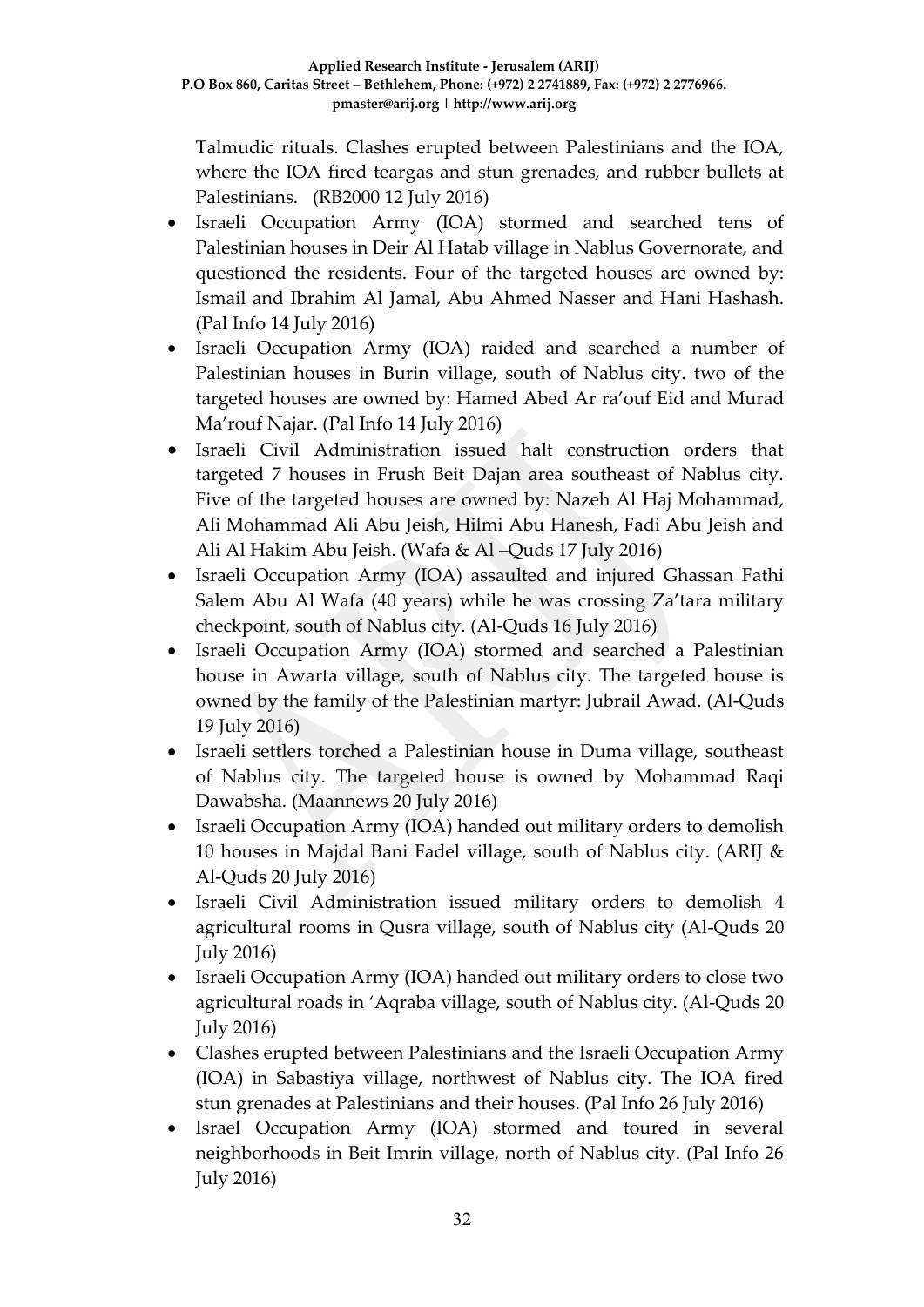Talmudic rituals. Clashes erupted between Palestinians and the IOA, where the IOA fired teargas and stun grenades, and rubber bullets at Palestinians. (RB2000 12 July 2016)

- Israeli Occupation Army (IOA) stormed and searched tens of Palestinian houses in Deir Al Hatab village in Nablus Governorate, and questioned the residents. Four of the targeted houses are owned by: Ismail and Ibrahim Al Jamal, Abu Ahmed Nasser and Hani Hashash. (Pal Info 14 July 2016)
- Israeli Occupation Army (IOA) raided and searched a number of Palestinian houses in Burin village, south of Nablus city. two of the targeted houses are owned by: Hamed Abed Ar ra'ouf Eid and Murad Ma'rouf Najar. (Pal Info 14 July 2016)
- Israeli Civil Administration issued halt construction orders that targeted 7 houses in Frush Beit Dajan area southeast of Nablus city. Five of the targeted houses are owned by: Nazeh Al Haj Mohammad, Ali Mohammad Ali Abu Jeish, Hilmi Abu Hanesh, Fadi Abu Jeish and Ali Al Hakim Abu Jeish. (Wafa & Al –Quds 17 July 2016)
- Israeli Occupation Army (IOA) assaulted and injured Ghassan Fathi Salem Abu Al Wafa (40 years) while he was crossing Za'tara military checkpoint, south of Nablus city. (Al-Quds 16 July 2016)
- Israeli Occupation Army (IOA) stormed and searched a Palestinian house in Awarta village, south of Nablus city. The targeted house is owned by the family of the Palestinian martyr: Jubrail Awad. (Al-Quds 19 July 2016)
- Israeli settlers torched a Palestinian house in Duma village, southeast of Nablus city. The targeted house is owned by Mohammad Raqi Dawabsha. (Maannews 20 July 2016)
- Israeli Occupation Army (IOA) handed out military orders to demolish 10 houses in Majdal Bani Fadel village, south of Nablus city. (ARIJ & Al-Quds 20 July 2016)
- Israeli Civil Administration issued military orders to demolish 4 agricultural rooms in Qusra village, south of Nablus city (Al-Quds 20 July 2016)
- Israeli Occupation Army (IOA) handed out military orders to close two agricultural roads in 'Aqraba village, south of Nablus city. (Al-Quds 20 July 2016)
- Clashes erupted between Palestinians and the Israeli Occupation Army (IOA) in Sabastiya village, northwest of Nablus city. The IOA fired stun grenades at Palestinians and their houses. (Pal Info 26 July 2016)
- Israel Occupation Army (IOA) stormed and toured in several neighborhoods in Beit Imrin village, north of Nablus city. (Pal Info 26 July 2016)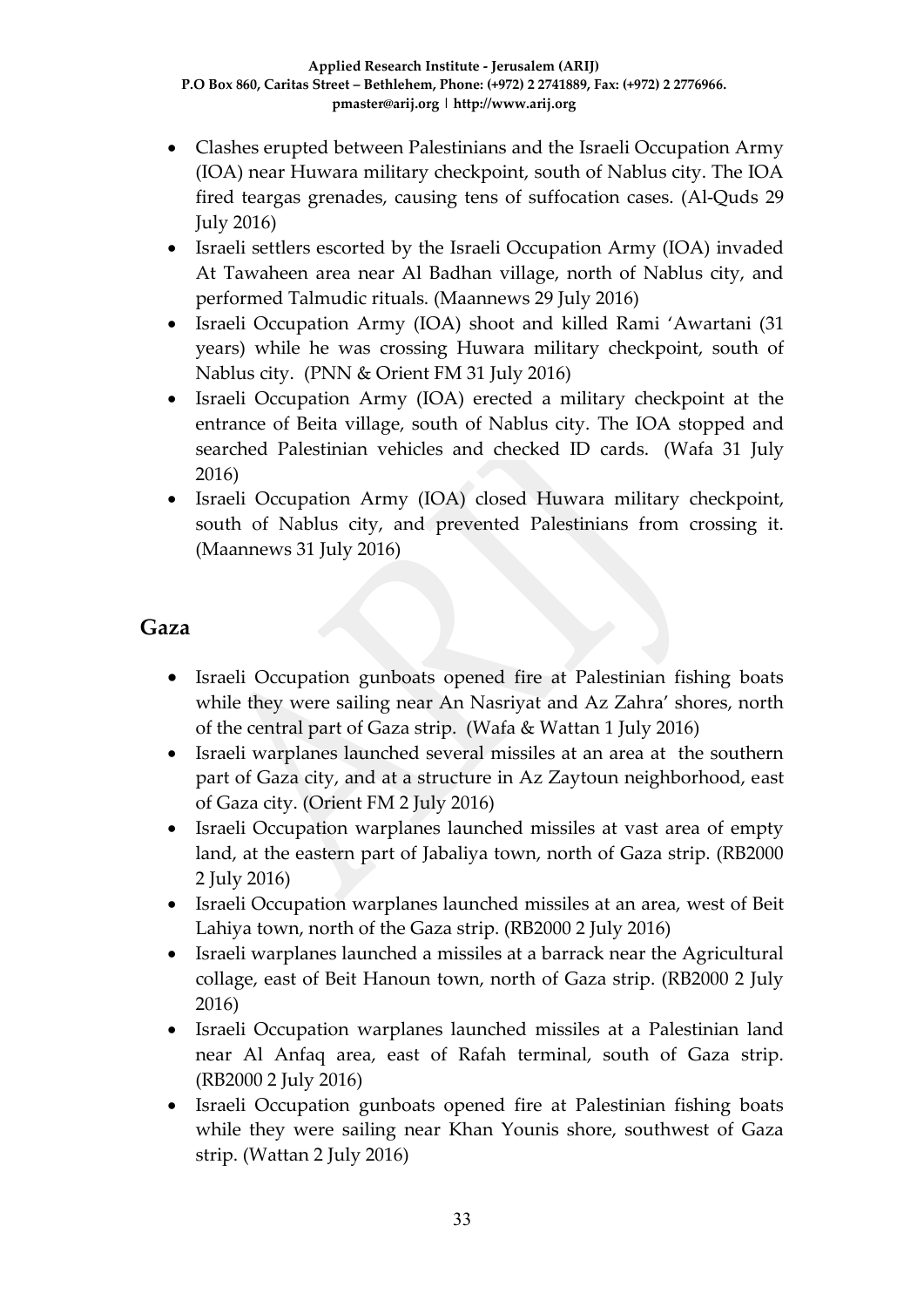- Clashes erupted between Palestinians and the Israeli Occupation Army (IOA) near Huwara military checkpoint, south of Nablus city. The IOA fired teargas grenades, causing tens of suffocation cases. (Al-Quds 29 July 2016)
- Israeli settlers escorted by the Israeli Occupation Army (IOA) invaded At Tawaheen area near Al Badhan village, north of Nablus city, and performed Talmudic rituals. (Maannews 29 July 2016)
- Israeli Occupation Army (IOA) shoot and killed Rami 'Awartani (31 years) while he was crossing Huwara military checkpoint, south of Nablus city. (PNN & Orient FM 31 July 2016)
- Israeli Occupation Army (IOA) erected a military checkpoint at the entrance of Beita village, south of Nablus city. The IOA stopped and searched Palestinian vehicles and checked ID cards. (Wafa 31 July 2016)
- Israeli Occupation Army (IOA) closed Huwara military checkpoint, south of Nablus city, and prevented Palestinians from crossing it. (Maannews 31 July 2016)

### **Gaza**

- Israeli Occupation gunboats opened fire at Palestinian fishing boats while they were sailing near An Nasriyat and Az Zahra' shores, north of the central part of Gaza strip. (Wafa & Wattan 1 July 2016)
- Israeli warplanes launched several missiles at an area at the southern part of Gaza city, and at a structure in Az Zaytoun neighborhood, east of Gaza city. (Orient FM 2 July 2016)
- Israeli Occupation warplanes launched missiles at vast area of empty land, at the eastern part of Jabaliya town, north of Gaza strip. (RB2000 2 July 2016)
- Israeli Occupation warplanes launched missiles at an area, west of Beit Lahiya town, north of the Gaza strip. (RB2000 2 July 2016)
- Israeli warplanes launched a missiles at a barrack near the Agricultural collage, east of Beit Hanoun town, north of Gaza strip. (RB2000 2 July 2016)
- Israeli Occupation warplanes launched missiles at a Palestinian land near Al Anfaq area, east of Rafah terminal, south of Gaza strip. (RB2000 2 July 2016)
- Israeli Occupation gunboats opened fire at Palestinian fishing boats while they were sailing near Khan Younis shore, southwest of Gaza strip. (Wattan 2 July 2016)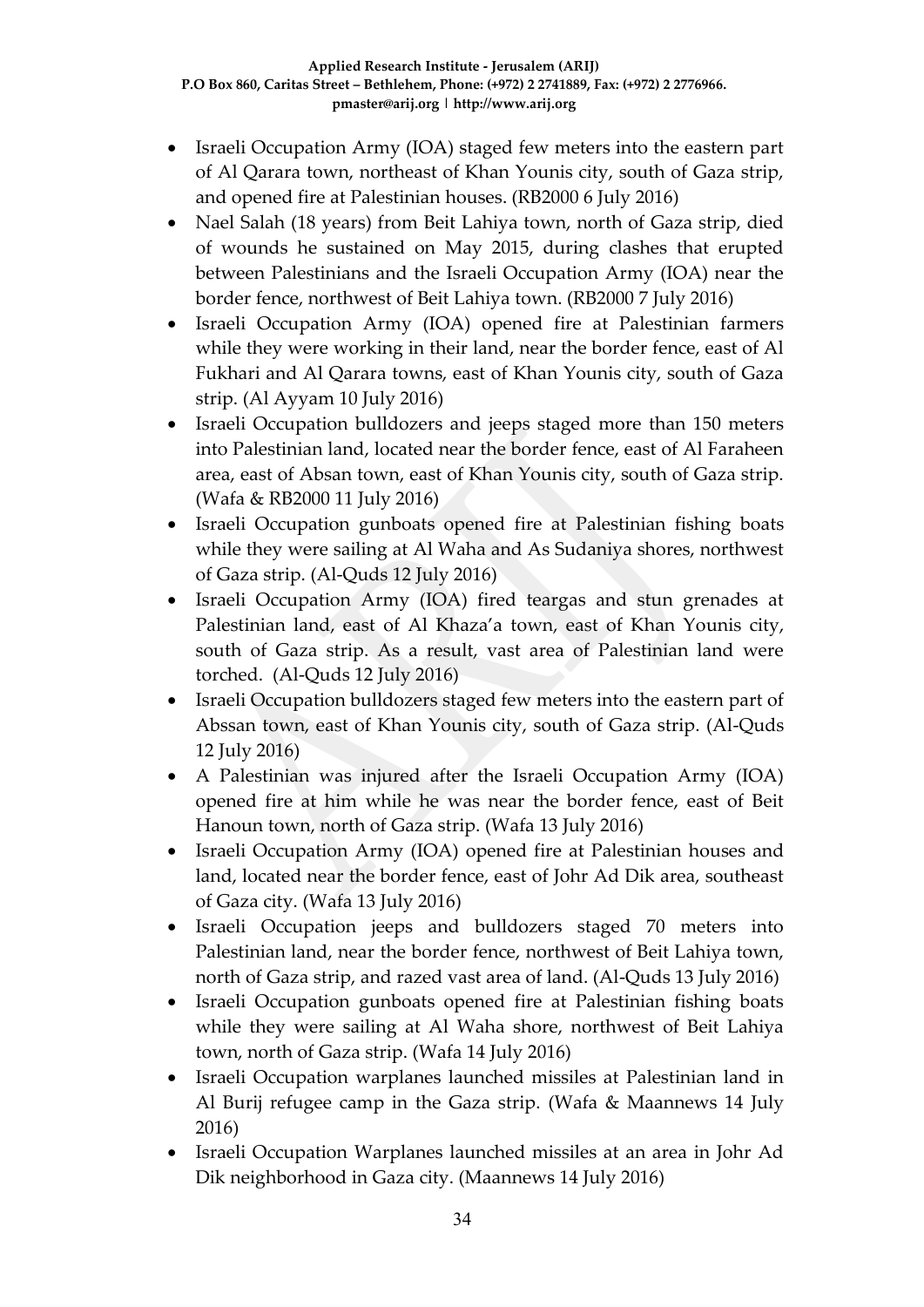- Israeli Occupation Army (IOA) staged few meters into the eastern part of Al Qarara town, northeast of Khan Younis city, south of Gaza strip, and opened fire at Palestinian houses. (RB2000 6 July 2016)
- Nael Salah (18 years) from Beit Lahiya town, north of Gaza strip, died of wounds he sustained on May 2015, during clashes that erupted between Palestinians and the Israeli Occupation Army (IOA) near the border fence, northwest of Beit Lahiya town. (RB2000 7 July 2016)
- Israeli Occupation Army (IOA) opened fire at Palestinian farmers while they were working in their land, near the border fence, east of Al Fukhari and Al Qarara towns, east of Khan Younis city, south of Gaza strip. (Al Ayyam 10 July 2016)
- Israeli Occupation bulldozers and jeeps staged more than 150 meters into Palestinian land, located near the border fence, east of Al Faraheen area, east of Absan town, east of Khan Younis city, south of Gaza strip. (Wafa & RB2000 11 July 2016)
- Israeli Occupation gunboats opened fire at Palestinian fishing boats while they were sailing at Al Waha and As Sudaniya shores, northwest of Gaza strip. (Al-Quds 12 July 2016)
- Israeli Occupation Army (IOA) fired teargas and stun grenades at Palestinian land, east of Al Khaza'a town, east of Khan Younis city, south of Gaza strip. As a result, vast area of Palestinian land were torched. (Al-Quds 12 July 2016)
- Israeli Occupation bulldozers staged few meters into the eastern part of Abssan town, east of Khan Younis city, south of Gaza strip. (Al-Quds 12 July 2016)
- A Palestinian was injured after the Israeli Occupation Army (IOA) opened fire at him while he was near the border fence, east of Beit Hanoun town, north of Gaza strip. (Wafa 13 July 2016)
- Israeli Occupation Army (IOA) opened fire at Palestinian houses and land, located near the border fence, east of Johr Ad Dik area, southeast of Gaza city. (Wafa 13 July 2016)
- Israeli Occupation jeeps and bulldozers staged 70 meters into Palestinian land, near the border fence, northwest of Beit Lahiya town, north of Gaza strip, and razed vast area of land. (Al-Quds 13 July 2016)
- Israeli Occupation gunboats opened fire at Palestinian fishing boats while they were sailing at Al Waha shore, northwest of Beit Lahiya town, north of Gaza strip. (Wafa 14 July 2016)
- Israeli Occupation warplanes launched missiles at Palestinian land in Al Burij refugee camp in the Gaza strip. (Wafa & Maannews 14 July 2016)
- Israeli Occupation Warplanes launched missiles at an area in Johr Ad Dik neighborhood in Gaza city. (Maannews 14 July 2016)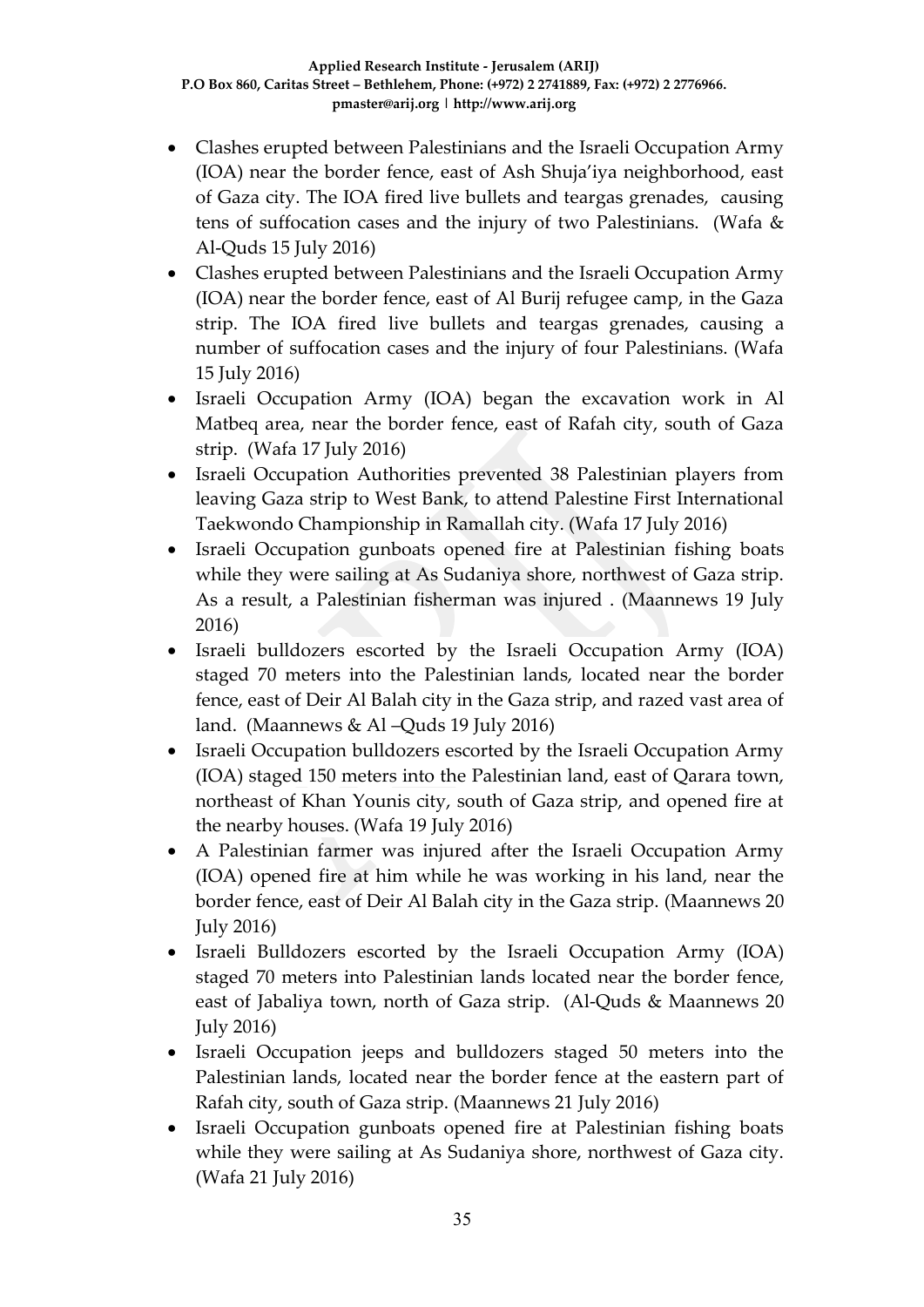- Clashes erupted between Palestinians and the Israeli Occupation Army (IOA) near the border fence, east of Ash Shuja'iya neighborhood, east of Gaza city. The IOA fired live bullets and teargas grenades, causing tens of suffocation cases and the injury of two Palestinians. (Wafa & Al-Quds 15 July 2016)
- Clashes erupted between Palestinians and the Israeli Occupation Army (IOA) near the border fence, east of Al Burij refugee camp, in the Gaza strip. The IOA fired live bullets and teargas grenades, causing a number of suffocation cases and the injury of four Palestinians. (Wafa 15 July 2016)
- Israeli Occupation Army (IOA) began the excavation work in Al Matbeq area, near the border fence, east of Rafah city, south of Gaza strip. (Wafa 17 July 2016)
- Israeli Occupation Authorities prevented 38 Palestinian players from leaving Gaza strip to West Bank, to attend Palestine First International Taekwondo Championship in Ramallah city. (Wafa 17 July 2016)
- Israeli Occupation gunboats opened fire at Palestinian fishing boats while they were sailing at As Sudaniya shore, northwest of Gaza strip. As a result, a Palestinian fisherman was injured . (Maannews 19 July 2016)
- Israeli bulldozers escorted by the Israeli Occupation Army (IOA) staged 70 meters into the Palestinian lands, located near the border fence, east of Deir Al Balah city in the Gaza strip, and razed vast area of land. (Maannews & Al –Quds 19 July 2016)
- Israeli Occupation bulldozers escorted by the Israeli Occupation Army (IOA) staged 150 meters into the Palestinian land, east of Qarara town, northeast of Khan Younis city, south of Gaza strip, and opened fire at the nearby houses. (Wafa 19 July 2016)
- A Palestinian farmer was injured after the Israeli Occupation Army (IOA) opened fire at him while he was working in his land, near the border fence, east of Deir Al Balah city in the Gaza strip. (Maannews 20 July 2016)
- Israeli Bulldozers escorted by the Israeli Occupation Army (IOA) staged 70 meters into Palestinian lands located near the border fence, east of Jabaliya town, north of Gaza strip. (Al-Quds & Maannews 20 July 2016)
- Israeli Occupation jeeps and bulldozers staged 50 meters into the Palestinian lands, located near the border fence at the eastern part of Rafah city, south of Gaza strip. (Maannews 21 July 2016)
- Israeli Occupation gunboats opened fire at Palestinian fishing boats while they were sailing at As Sudaniya shore, northwest of Gaza city. (Wafa 21 July 2016)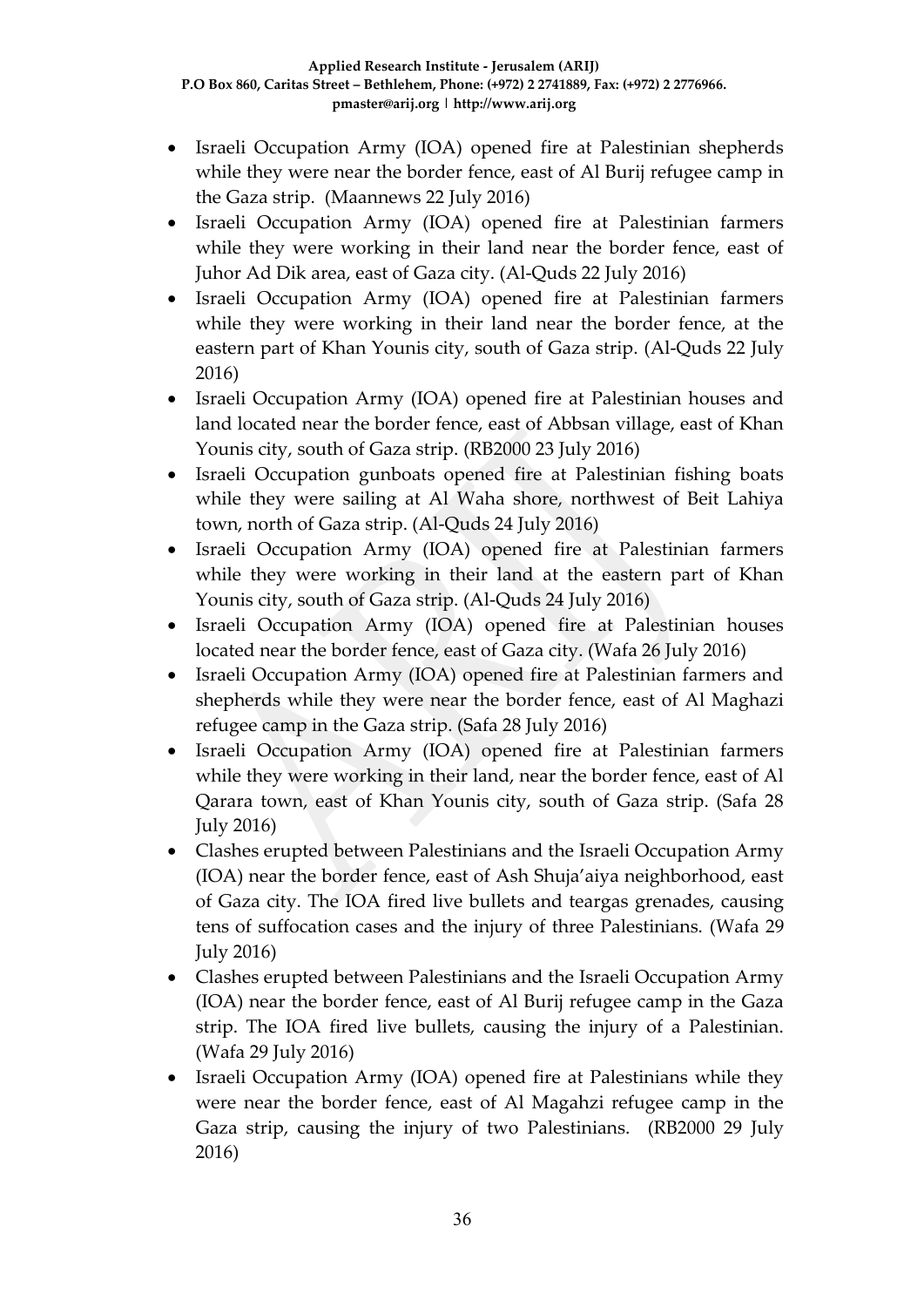- Israeli Occupation Army (IOA) opened fire at Palestinian shepherds while they were near the border fence, east of Al Burij refugee camp in the Gaza strip. (Maannews 22 July 2016)
- Israeli Occupation Army (IOA) opened fire at Palestinian farmers while they were working in their land near the border fence, east of Juhor Ad Dik area, east of Gaza city. (Al-Quds 22 July 2016)
- Israeli Occupation Army (IOA) opened fire at Palestinian farmers while they were working in their land near the border fence, at the eastern part of Khan Younis city, south of Gaza strip. (Al-Quds 22 July 2016)
- Israeli Occupation Army (IOA) opened fire at Palestinian houses and land located near the border fence, east of Abbsan village, east of Khan Younis city, south of Gaza strip. (RB2000 23 July 2016)
- Israeli Occupation gunboats opened fire at Palestinian fishing boats while they were sailing at Al Waha shore, northwest of Beit Lahiya town, north of Gaza strip. (Al-Quds 24 July 2016)
- Israeli Occupation Army (IOA) opened fire at Palestinian farmers while they were working in their land at the eastern part of Khan Younis city, south of Gaza strip. (Al-Quds 24 July 2016)
- Israeli Occupation Army (IOA) opened fire at Palestinian houses located near the border fence, east of Gaza city. (Wafa 26 July 2016)
- Israeli Occupation Army (IOA) opened fire at Palestinian farmers and shepherds while they were near the border fence, east of Al Maghazi refugee camp in the Gaza strip. (Safa 28 July 2016)
- Israeli Occupation Army (IOA) opened fire at Palestinian farmers while they were working in their land, near the border fence, east of Al Qarara town, east of Khan Younis city, south of Gaza strip. (Safa 28 July 2016)
- Clashes erupted between Palestinians and the Israeli Occupation Army (IOA) near the border fence, east of Ash Shuja'aiya neighborhood, east of Gaza city. The IOA fired live bullets and teargas grenades, causing tens of suffocation cases and the injury of three Palestinians. (Wafa 29 July 2016)
- Clashes erupted between Palestinians and the Israeli Occupation Army (IOA) near the border fence, east of Al Burij refugee camp in the Gaza strip. The IOA fired live bullets, causing the injury of a Palestinian. (Wafa 29 July 2016)
- Israeli Occupation Army (IOA) opened fire at Palestinians while they were near the border fence, east of Al Magahzi refugee camp in the Gaza strip, causing the injury of two Palestinians. (RB2000 29 July 2016)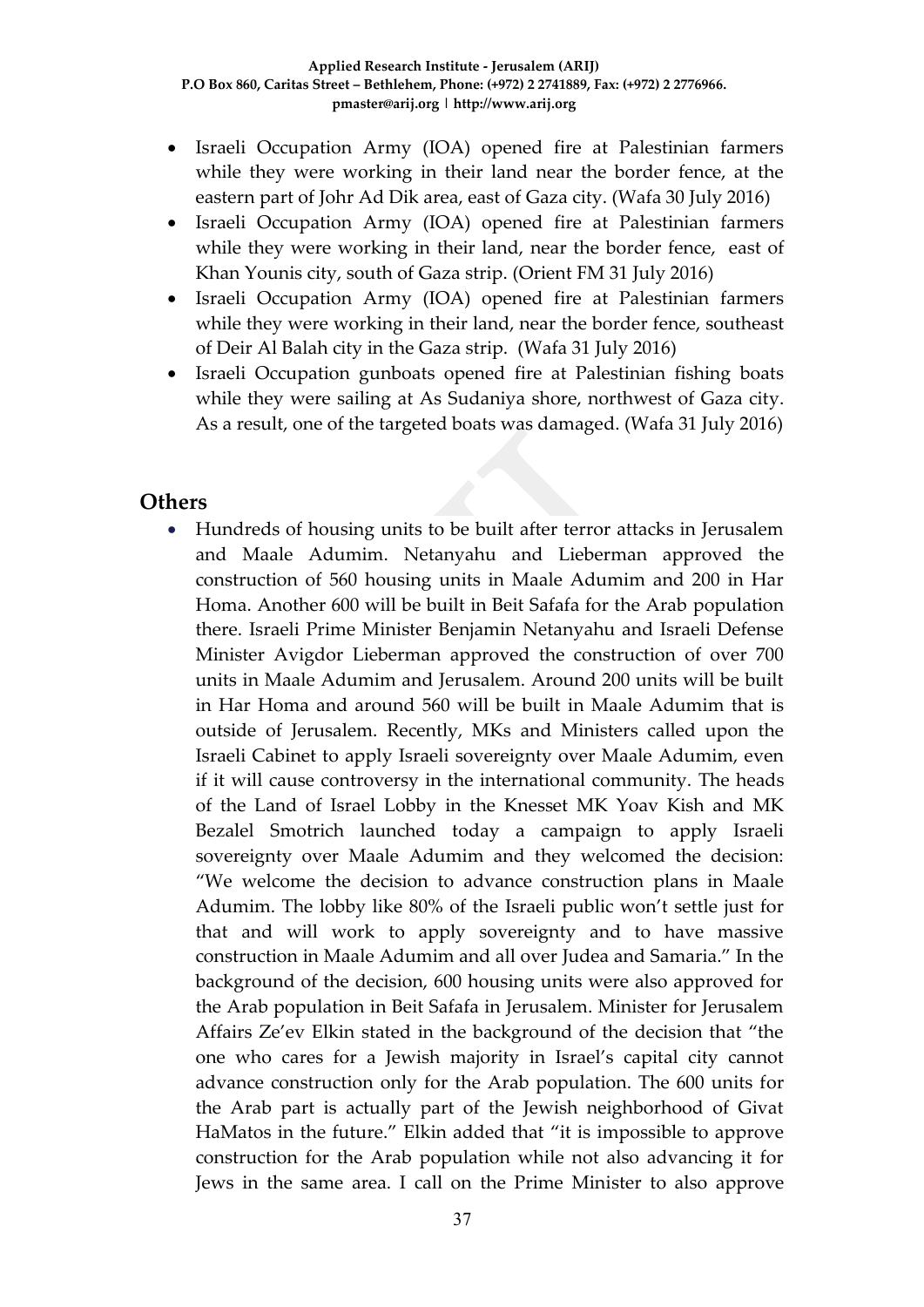- Israeli Occupation Army (IOA) opened fire at Palestinian farmers while they were working in their land near the border fence, at the eastern part of Johr Ad Dik area, east of Gaza city. (Wafa 30 July 2016)
- Israeli Occupation Army (IOA) opened fire at Palestinian farmers while they were working in their land, near the border fence, east of Khan Younis city, south of Gaza strip. (Orient FM 31 July 2016)
- Israeli Occupation Army (IOA) opened fire at Palestinian farmers while they were working in their land, near the border fence, southeast of Deir Al Balah city in the Gaza strip. (Wafa 31 July 2016)
- Israeli Occupation gunboats opened fire at Palestinian fishing boats while they were sailing at As Sudaniya shore, northwest of Gaza city. As a result, one of the targeted boats was damaged. (Wafa 31 July 2016)

### **Others**

 Hundreds of housing units to be built after terror attacks in Jerusalem and Maale Adumim. Netanyahu and Lieberman approved the construction of 560 housing units in Maale Adumim and 200 in Har Homa. Another 600 will be built in Beit Safafa for the Arab population there. Israeli Prime Minister Benjamin Netanyahu and Israeli Defense Minister Avigdor Lieberman approved the construction of over 700 units in Maale Adumim and Jerusalem. Around 200 units will be built in Har Homa and around 560 will be built in Maale Adumim that is outside of Jerusalem. Recently, MKs and Ministers called upon the Israeli Cabinet to apply Israeli sovereignty over Maale Adumim, even if it will cause controversy in the international community. The heads of the Land of Israel Lobby in the Knesset MK Yoav Kish and MK Bezalel Smotrich launched today a campaign to apply Israeli sovereignty over Maale Adumim and they welcomed the decision: "We welcome the decision to advance construction plans in Maale Adumim. The lobby like 80% of the Israeli public won't settle just for that and will work to apply sovereignty and to have massive construction in Maale Adumim and all over Judea and Samaria." In the background of the decision, 600 housing units were also approved for the Arab population in Beit Safafa in Jerusalem. Minister for Jerusalem Affairs Ze'ev Elkin stated in the background of the decision that "the one who cares for a Jewish majority in Israel's capital city cannot advance construction only for the Arab population. The 600 units for the Arab part is actually part of the Jewish neighborhood of Givat HaMatos in the future." Elkin added that "it is impossible to approve construction for the Arab population while not also advancing it for Jews in the same area. I call on the Prime Minister to also approve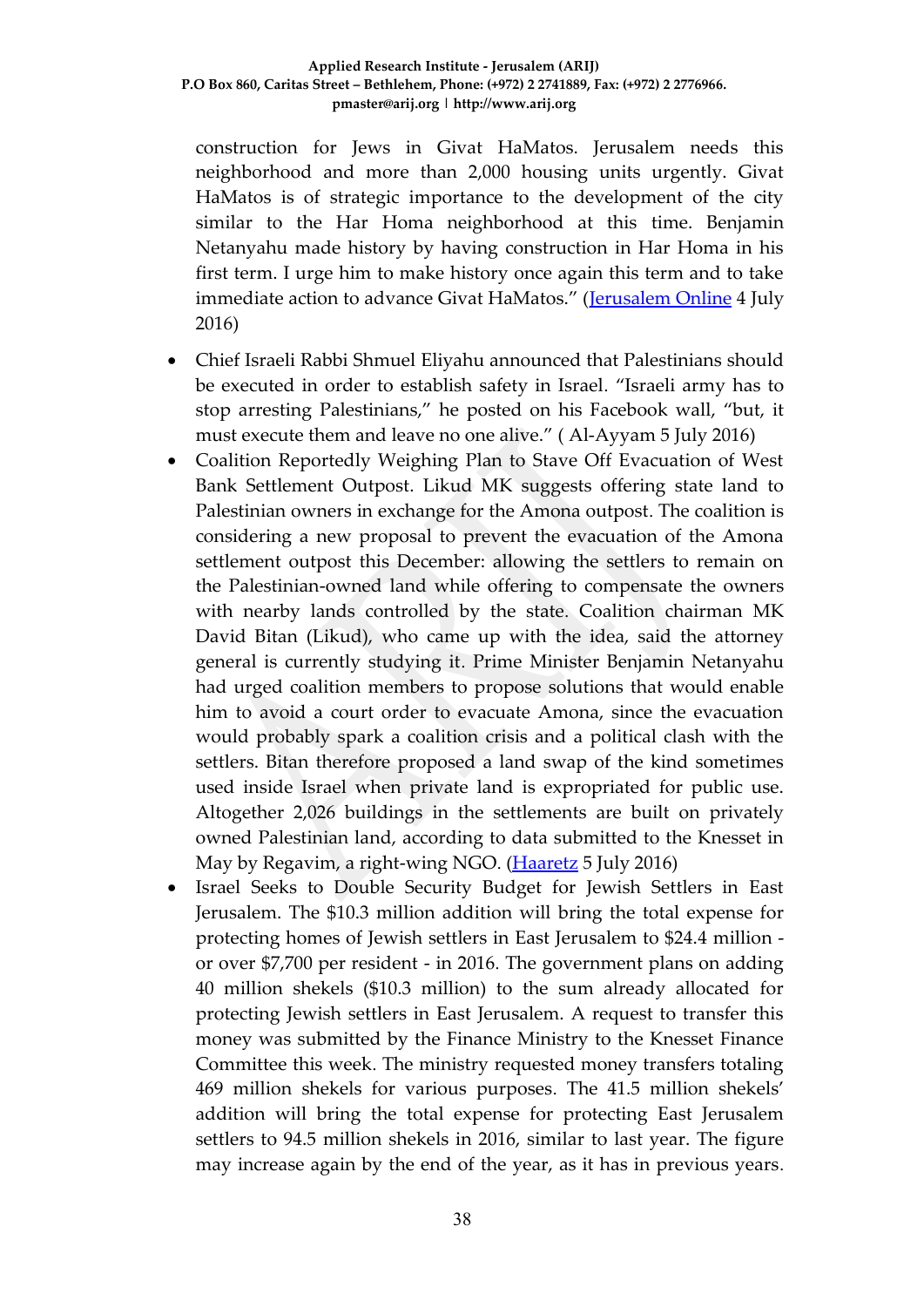construction for Jews in Givat HaMatos. Jerusalem needs this neighborhood and more than 2,000 housing units urgently. Givat HaMatos is of strategic importance to the development of the city similar to the Har Homa neighborhood at this time. Benjamin Netanyahu made history by having construction in Har Homa in his first term. I urge him to make history once again this term and to take immediate action to advance Givat HaMatos." ([Jerusalem Online](http://www.jerusalemonline.com/news/in-israel/local/hundreds-of-housing-units-to-be-built-after-terror-attacks-22108%20?utm_source=ActiveCampaign&utm_medium=email&utm_content=IDF+attacked+Syrian+military+targets%2C+two+brothers+of+terrorist+arrested%2C+hundreds+of+housing+units+to+be+built+and+more+news+at+JerusalemOnline&utm_campaign=MiddayNewsletter+-+Recurring) 4 July 2016)

- Chief Israeli Rabbi Shmuel Eliyahu announced that Palestinians should be executed in order to establish safety in Israel. "Israeli army has to stop arresting Palestinians," he posted on his Facebook wall, "but, it must execute them and leave no one alive." ( Al-Ayyam 5 July 2016)
- Coalition Reportedly Weighing Plan to Stave Off Evacuation of West Bank Settlement Outpost. Likud MK suggests offering state land to Palestinian owners in exchange for the Amona outpost. The coalition is considering a new proposal to prevent the evacuation of the Amona settlement outpost this December: allowing the settlers to remain on the Palestinian-owned land while offering to compensate the owners with nearby lands controlled by the state. Coalition chairman MK David Bitan (Likud), who came up with the idea, said the attorney general is currently studying it. Prime Minister Benjamin Netanyahu had urged coalition members to propose solutions that would enable him to avoid a court order to evacuate Amona, since the evacuation would probably spark a coalition crisis and a political clash with the settlers. Bitan therefore proposed a land swap of the kind sometimes used inside Israel when private land is expropriated for public use. Altogether 2,026 buildings in the settlements are built on privately owned Palestinian land, according to data submitted to the Knesset in May by Regavim, a right-wing NGO. [\(Haaretz](http://www.haaretz.com/israel-news/.premium-1.728956) 5 July 2016)
- Israel Seeks to Double Security Budget for Jewish Settlers in East Jerusalem. The \$10.3 million addition will bring the total expense for protecting homes of Jewish settlers in East Jerusalem to \$24.4 million or over \$7,700 per resident - in 2016. The government plans on adding 40 million shekels (\$10.3 million) to the sum already allocated for protecting Jewish settlers in East Jerusalem. A request to transfer this money was submitted by the Finance Ministry to the Knesset Finance Committee this week. The ministry requested money transfers totaling 469 million shekels for various purposes. The 41.5 million shekels' addition will bring the total expense for protecting East Jerusalem settlers to 94.5 million shekels in 2016, similar to last year. The figure may increase again by the end of the year, as it has in previous years.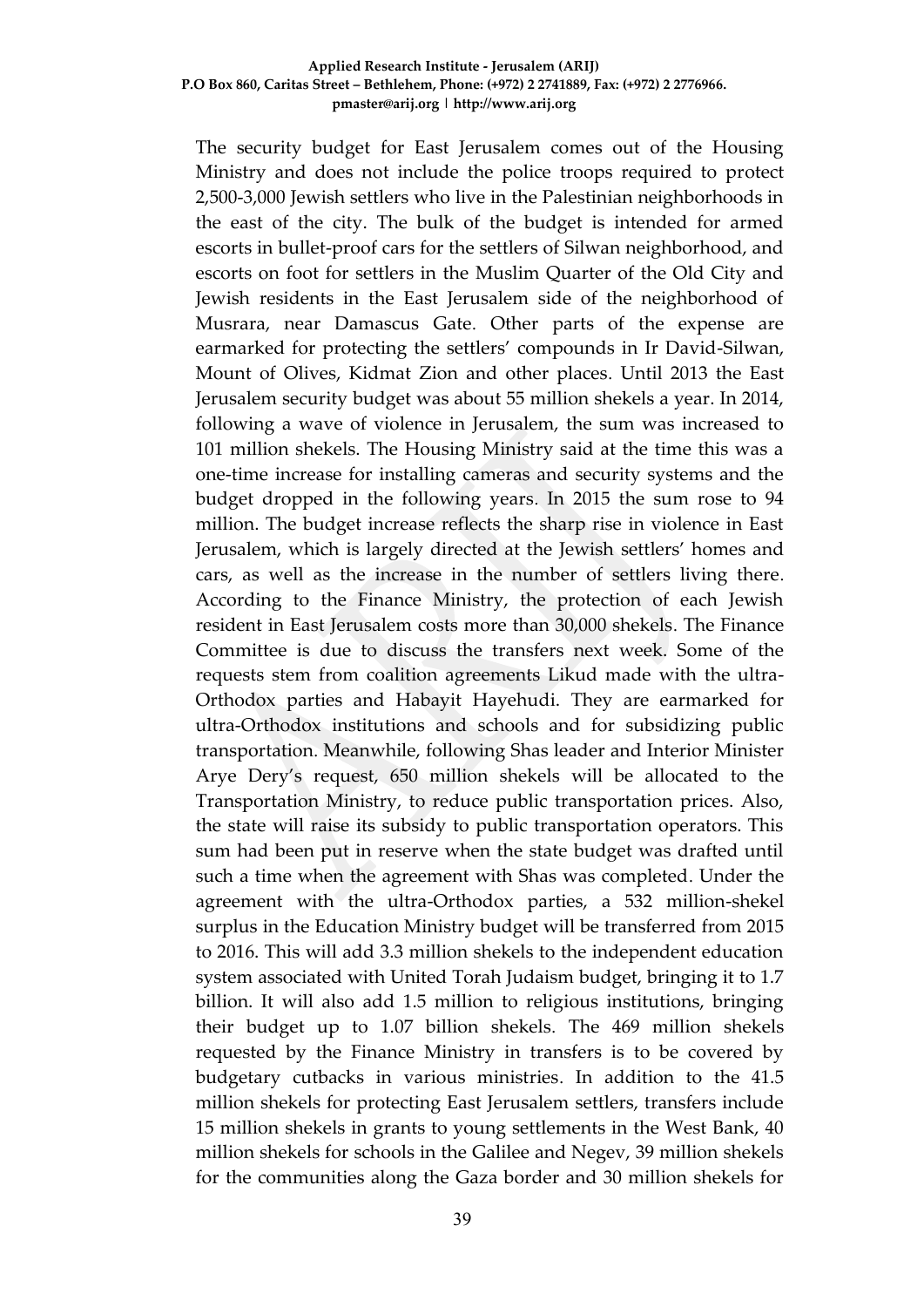The security budget for East Jerusalem comes out of the Housing Ministry and does not include the police troops required to protect 2,500-3,000 Jewish settlers who live in the Palestinian neighborhoods in the east of the city. The bulk of the budget is intended for armed escorts in bullet-proof cars for the settlers of Silwan neighborhood, and escorts on foot for settlers in the Muslim Quarter of the Old City and Jewish residents in the East Jerusalem side of the neighborhood of Musrara, near Damascus Gate. Other parts of the expense are earmarked for protecting the settlers' compounds in Ir David-Silwan, Mount of Olives, Kidmat Zion and other places. Until 2013 the East Jerusalem security budget was about 55 million shekels a year. In 2014, following a wave of violence in Jerusalem, the sum was increased to 101 million shekels. The Housing Ministry said at the time this was a one-time increase for installing cameras and security systems and the budget dropped in the following years. In 2015 the sum rose to 94 million. The budget increase reflects the sharp rise in violence in East Jerusalem, which is largely directed at the Jewish settlers' homes and cars, as well as the increase in the number of settlers living there. According to the Finance Ministry, the protection of each Jewish resident in East Jerusalem costs more than 30,000 shekels. The Finance Committee is due to discuss the transfers next week. Some of the requests stem from coalition agreements Likud made with the ultra-Orthodox parties and Habayit Hayehudi. They are earmarked for ultra-Orthodox institutions and schools and for subsidizing public transportation. Meanwhile, following Shas leader and Interior Minister Arye Dery's request, 650 million shekels will be allocated to the Transportation Ministry, to reduce public transportation prices. Also, the state will raise its subsidy to public transportation operators. This sum had been put in reserve when the state budget was drafted until such a time when the agreement with Shas was completed. Under the agreement with the ultra-Orthodox parties, a 532 million-shekel surplus in the Education Ministry budget will be transferred from 2015 to 2016. This will add 3.3 million shekels to the independent education system associated with United Torah Judaism budget, bringing it to 1.7 billion. It will also add 1.5 million to religious institutions, bringing their budget up to 1.07 billion shekels. The 469 million shekels requested by the Finance Ministry in transfers is to be covered by budgetary cutbacks in various ministries. In addition to the 41.5 million shekels for protecting East Jerusalem settlers, transfers include 15 million shekels in grants to young settlements in the West Bank, 40 million shekels for schools in the Galilee and Negev, 39 million shekels for the communities along the Gaza border and 30 million shekels for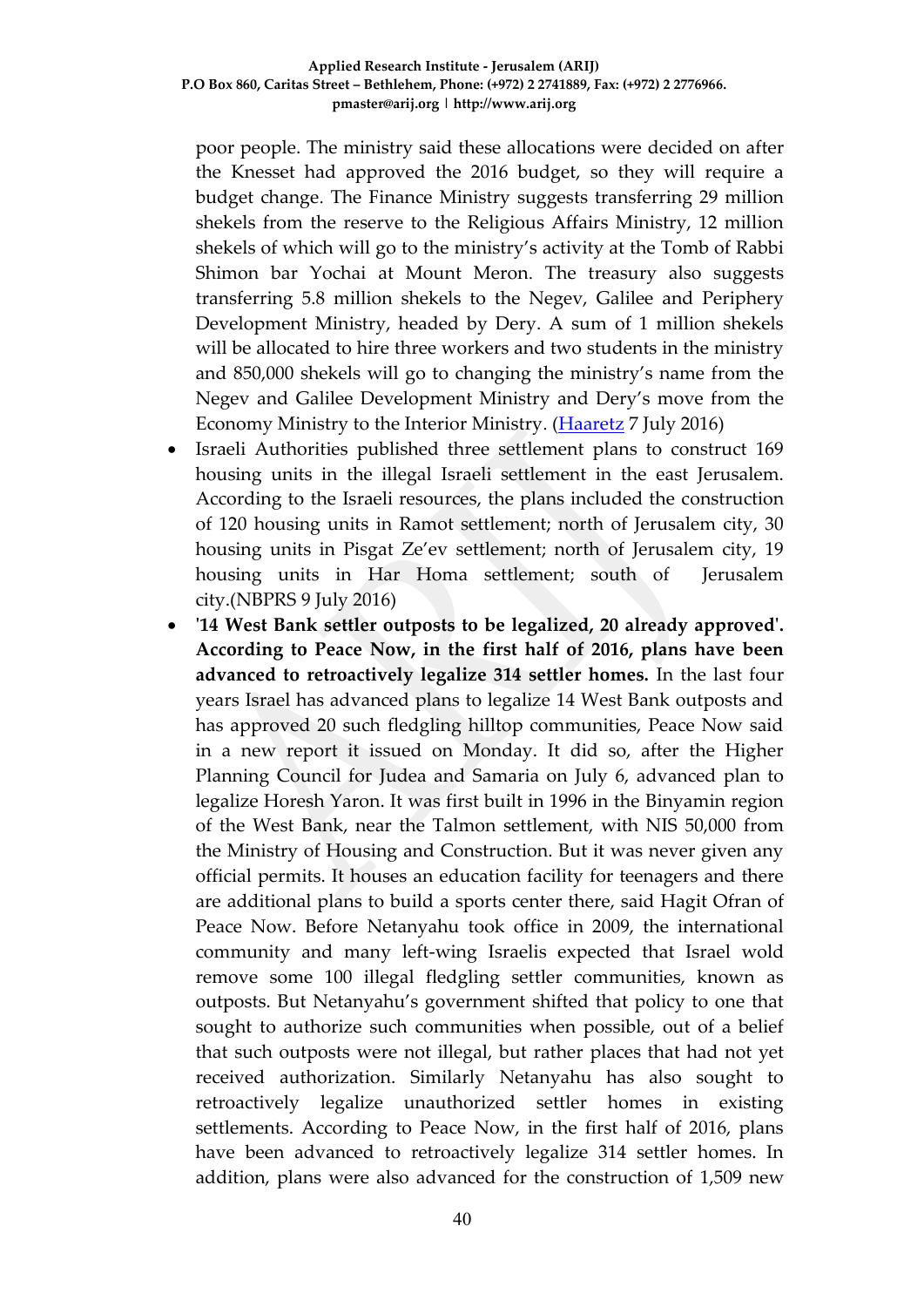poor people. The ministry said these allocations were decided on after the Knesset had approved the 2016 budget, so they will require a budget change. The Finance Ministry suggests transferring 29 million shekels from the reserve to the Religious Affairs Ministry, 12 million shekels of which will go to the ministry's activity at the Tomb of Rabbi Shimon bar Yochai at Mount Meron. The treasury also suggests transferring 5.8 million shekels to the Negev, Galilee and Periphery Development Ministry, headed by Dery. A sum of 1 million shekels will be allocated to hire three workers and two students in the ministry and 850,000 shekels will go to changing the ministry's name from the Negev and Galilee Development Ministry and Dery's move from the Economy Ministry to the Interior Ministry. [\(Haaretz](http://www.haaretz.com/israel-news/1.729403) 7 July 2016)

- Israeli Authorities published three settlement plans to construct 169 housing units in the illegal Israeli settlement in the east Jerusalem. According to the Israeli resources, the plans included the construction of 120 housing units in Ramot settlement; north of Jerusalem city, 30 housing units in Pisgat Ze'ev settlement; north of Jerusalem city, 19 housing units in Har Homa settlement; south of Jerusalem city.(NBPRS 9 July 2016)
- **'14 West Bank settler outposts to be legalized, 20 already approved'. According to Peace Now, in the first half of 2016, plans have been advanced to retroactively legalize 314 settler homes.** In the last four years Israel has advanced plans to legalize 14 West Bank outposts and has approved 20 such fledgling hilltop communities, Peace Now said in a new report it issued on Monday. It did so, after the Higher Planning Council for Judea and Samaria on July 6, advanced plan to legalize Horesh Yaron. It was first built in 1996 in the Binyamin region of the West Bank, near the Talmon settlement, with NIS 50,000 from the Ministry of Housing and Construction. But it was never given any official permits. It houses an education facility for teenagers and there are additional plans to build a sports center there, said Hagit Ofran of Peace Now. Before Netanyahu took office in 2009, the international community and many left-wing Israelis expected that Israel wold remove some 100 illegal fledgling settler communities, known as outposts. But Netanyahu's government shifted that policy to one that sought to authorize such communities when possible, out of a belief that such outposts were not illegal, but rather places that had not yet received authorization. Similarly Netanyahu has also sought to retroactively legalize unauthorized settler homes in existing settlements. According to Peace Now, in the first half of 2016, plans have been advanced to retroactively legalize 314 settler homes. In addition, plans were also advanced for the construction of 1,509 new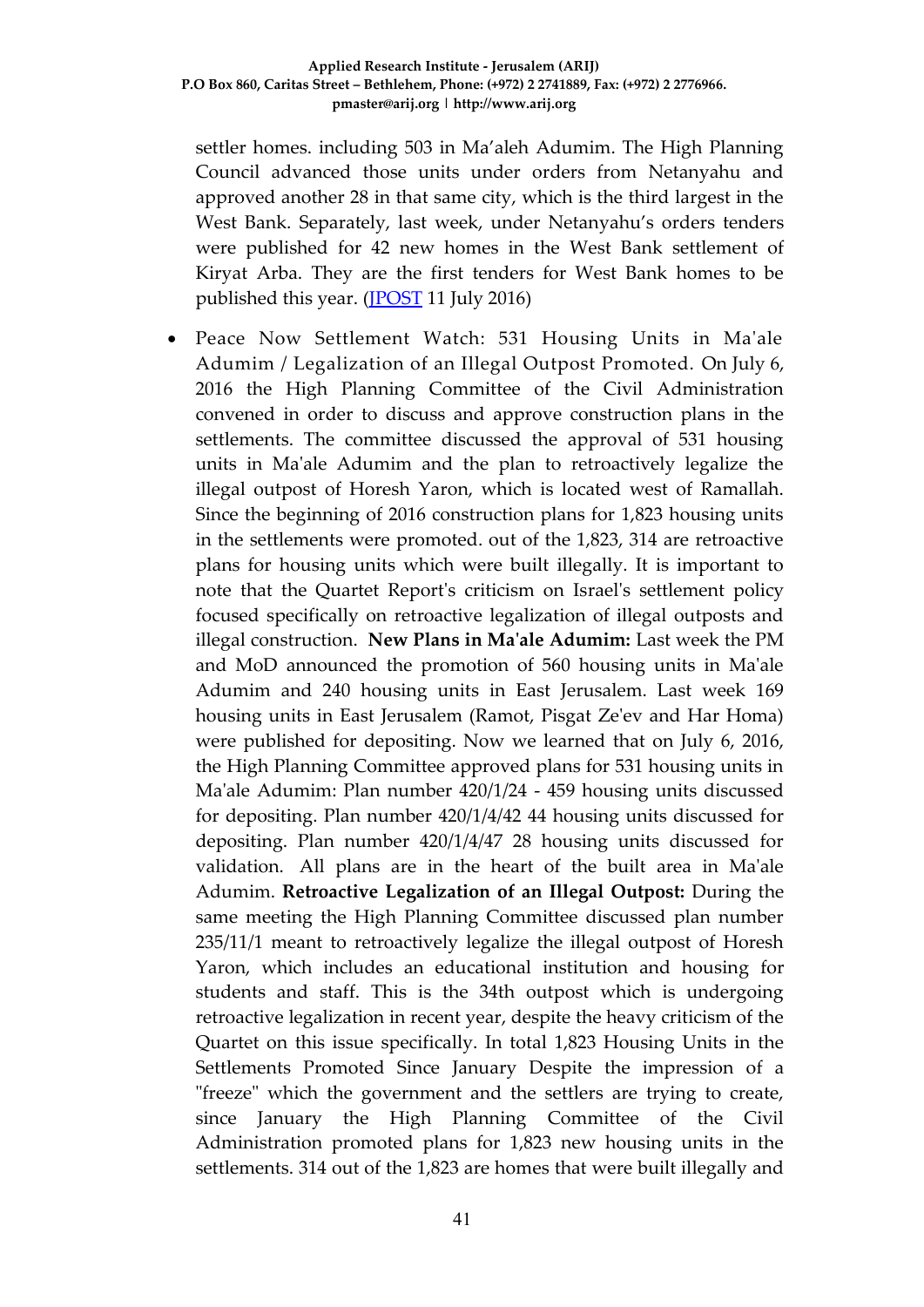settler homes. including 503 in Ma'aleh Adumim. The High Planning Council advanced those units under orders from Netanyahu and approved another 28 in that same city, which is the third largest in the West Bank. Separately, last week, under Netanyahu's orders tenders were published for 42 new homes in the West Bank settlement of Kiryat Arba. They are the first tenders for West Bank homes to be published this year. [\(JPOST](http://www.jpost.com/Israel-News/14-West-Bank-settler-outposts-to-be-legalized-20-already-approved-460071) 11 July 2016)

 Peace Now Settlement Watch: 531 Housing Units in Ma'ale Adumim / Legalization of an Illegal Outpost Promoted. On July 6, 2016 the High Planning Committee of the Civil Administration convened in order to discuss and approve construction plans in the settlements. The committee discussed the approval of 531 housing units in Ma'ale Adumim and the plan to retroactively legalize the illegal outpost of Horesh Yaron, which is located west of Ramallah. Since the beginning of 2016 construction plans for 1,823 housing units in the settlements were promoted. out of the 1,823, 314 are retroactive plans for housing units which were built illegally. It is important to note that the Quartet Report's criticism on Israel's settlement policy focused specifically on retroactive legalization of illegal outposts and illegal construction. **New Plans in Ma'ale Adumim:** Last week the PM and MoD announced the promotion of 560 housing units in Ma'ale Adumim and 240 housing units in East Jerusalem. Last week 169 housing units in East Jerusalem (Ramot, Pisgat Ze'ev and Har Homa) were published for depositing. Now we learned that on July 6, 2016, the High Planning Committee approved plans for 531 housing units in Ma'ale Adumim: Plan number 420/1/24 - 459 housing units discussed for depositing. Plan number 420/1/4/42 44 housing units discussed for depositing. Plan number 420/1/4/47 28 housing units discussed for validation. All plans are in the heart of the built area in Ma'ale Adumim. **Retroactive Legalization of an Illegal Outpost:** During the same meeting the High Planning Committee discussed plan number 235/11/1 meant to retroactively legalize the illegal outpost of Horesh Yaron, which includes an educational institution and housing for students and staff. This is the 34th outpost which is undergoing retroactive legalization in recent year, despite the heavy criticism of the Quartet on this issue specifically. In total 1,823 Housing Units in the Settlements Promoted Since January Despite the impression of a "freeze" which the government and the settlers are trying to create, since January the High Planning Committee of the Civil Administration promoted plans for 1,823 new housing units in the settlements. 314 out of the 1,823 are homes that were built illegally and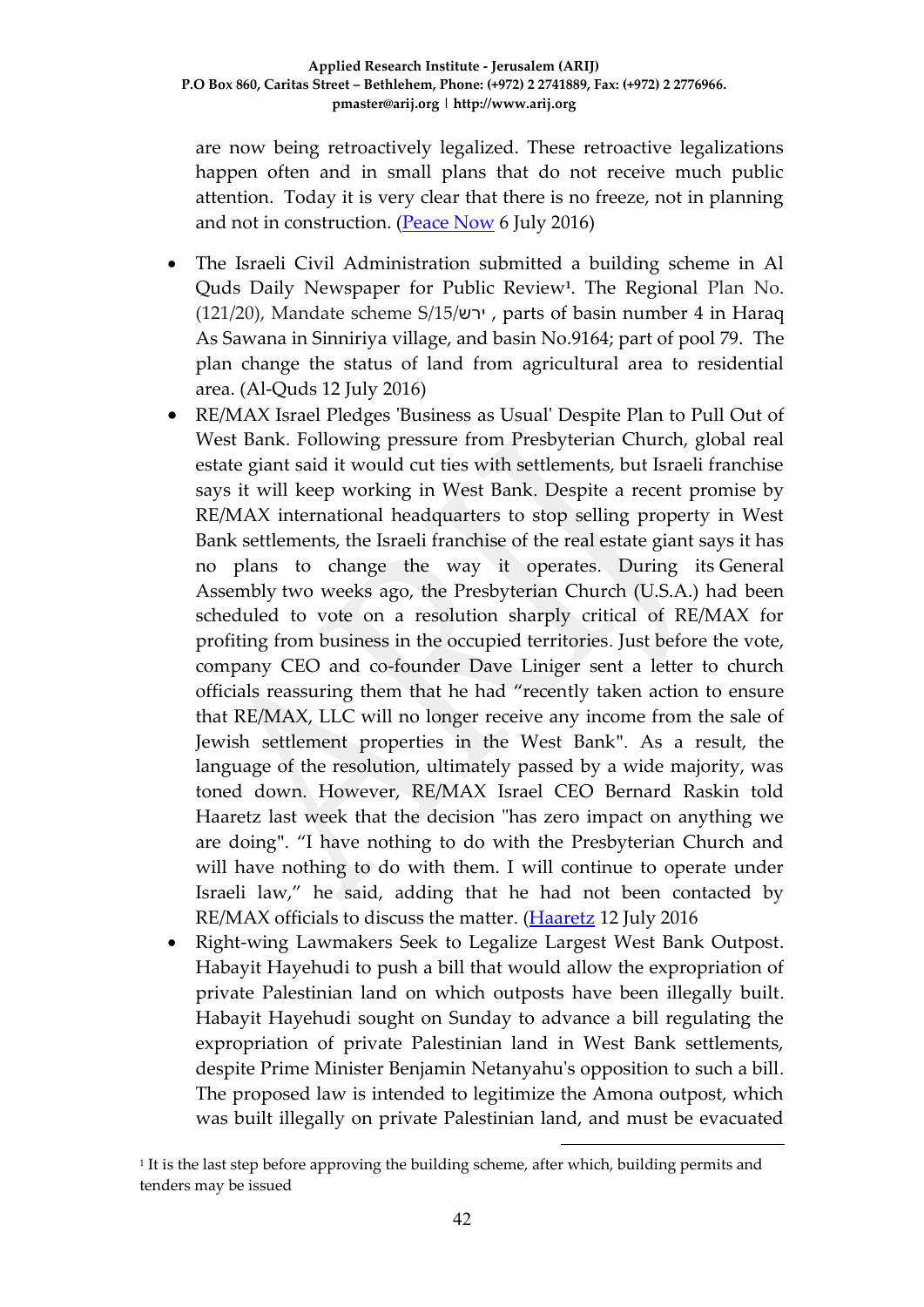are now being retroactively legalized. These retroactive legalizations happen often and in small plans that do not receive much public attention. Today it is very clear that there is no freeze, not in planning and not in construction. [\(Peace Now](http://peacenow.org/entry.php?id=19097#.V4SH__l94dV) 6 July 2016)

- The Israeli Civil Administration submitted a building scheme in Al Quds Daily Newspaper for Public Review**<sup>1</sup>** . The Regional Plan No. (121/20), Mandate scheme S/15/ירש , parts of basin number 4 in Haraq As Sawana in Sinniriya village, and basin No.9164; part of pool 79. The plan change the status of land from agricultural area to residential area. (Al-Quds 12 July 2016)
- RE/MAX Israel Pledges 'Business as Usual' Despite Plan to Pull Out of West Bank. Following pressure from Presbyterian Church, global real estate giant said it would cut ties with settlements, but Israeli franchise says it will keep working in West Bank. Despite a recent promise by RE/MAX international headquarters to stop selling property in West Bank settlements, the Israeli franchise of the real estate giant says it has no plans to change the way it operates. During its General Assembly two weeks ago, the Presbyterian Church (U.S.A.) had been scheduled to vote on a resolution sharply critical of RE/MAX for profiting from business in the occupied territories. Just before the vote, company CEO and co-founder Dave Liniger sent a letter to church officials reassuring them that he had "recently taken action to ensure that RE/MAX, LLC will no longer receive any income from the sale of Jewish settlement properties in the West Bank". As a result, the language of the resolution, ultimately passed by a wide majority, was toned down. However, RE/MAX Israel CEO Bernard Raskin told Haaretz last week that the decision "has zero impact on anything we are doing". "I have nothing to do with the Presbyterian Church and will have nothing to do with them. I will continue to operate under Israeli law," he said, adding that he had not been contacted by RE/MAX officials to discuss the matter. [\(Haaretz](http://www.haaretz.com/israel-news/1.730385) 12 July 2016
- Right-wing Lawmakers Seek to Legalize Largest West Bank Outpost. Habayit Hayehudi to push a bill that would allow the expropriation of private Palestinian land on which outposts have been illegally built. Habayit Hayehudi sought on Sunday to advance a bill regulating the expropriation of private Palestinian land in West Bank settlements, despite Prime Minister Benjamin Netanyahu's opposition to such a bill. The proposed law is intended to legitimize the Amona outpost, which was built illegally on private Palestinian land, and must be evacuated

1

<sup>1</sup> It is the last step before approving the building scheme, after which, building permits and tenders may be issued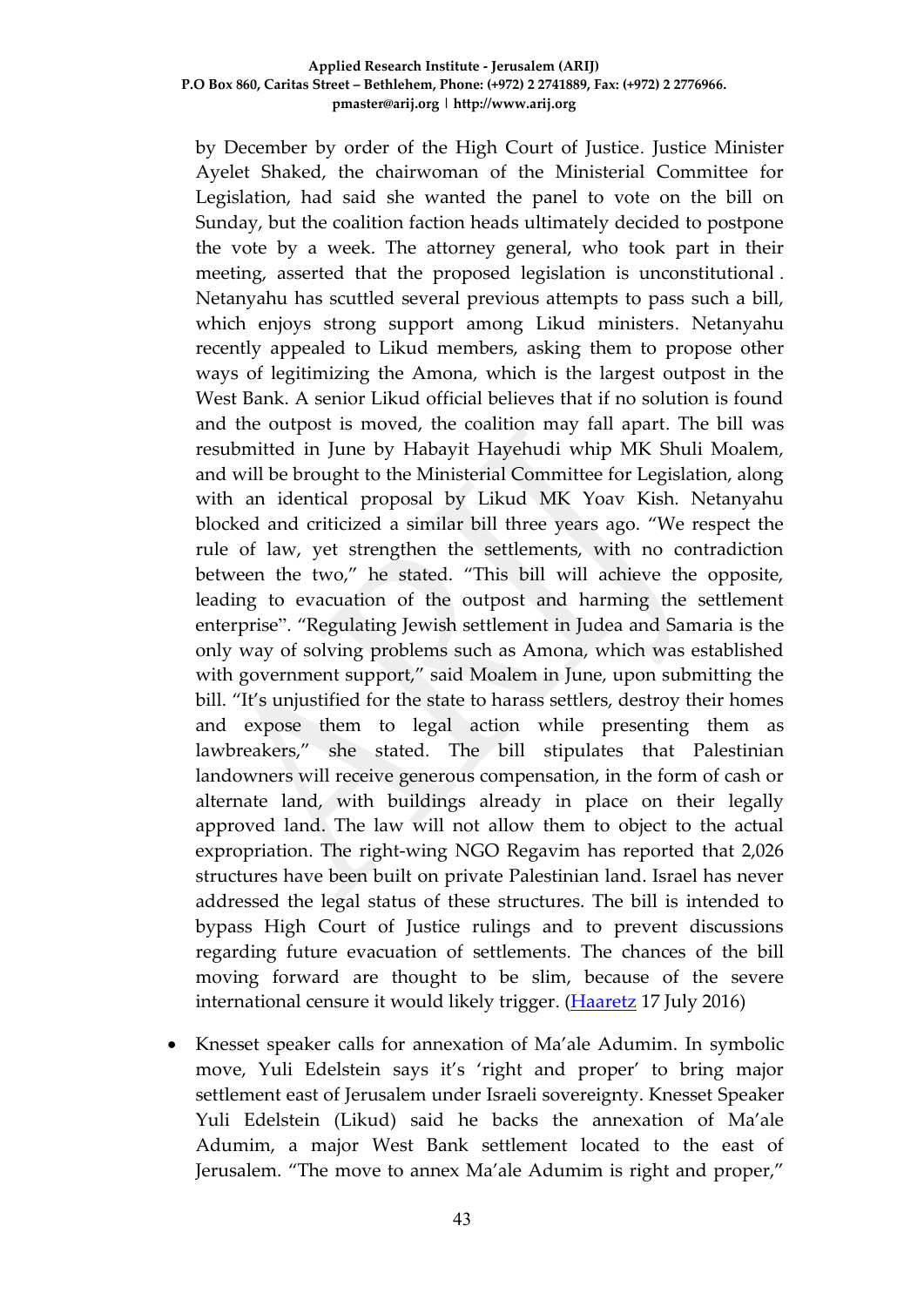by December by order of the High Court of Justice. Justice Minister Ayelet Shaked, the chairwoman of the Ministerial Committee for Legislation, had said she wanted the panel to vote on the bill on Sunday, but the coalition faction heads ultimately decided to postpone the vote by a week. The attorney general, who took part in their meeting, asserted that the proposed legislation is unconstitutional . Netanyahu has scuttled several previous attempts to pass such a bill, which enjoys strong support among Likud ministers. Netanyahu recently appealed to Likud members, asking them to propose other ways of legitimizing the Amona, which is the largest outpost in the West Bank. A senior Likud official believes that if no solution is found and the outpost is moved, the coalition may fall apart. The bill was resubmitted in June by Habayit Hayehudi whip MK Shuli Moalem, and will be brought to the Ministerial Committee for Legislation, along with an identical proposal by Likud MK Yoav Kish. Netanyahu blocked and criticized a similar bill three years ago. "We respect the rule of law, yet strengthen the settlements, with no contradiction between the two," he stated. "This bill will achieve the opposite, leading to evacuation of the outpost and harming the settlement enterprise". "Regulating Jewish settlement in Judea and Samaria is the only way of solving problems such as Amona, which was established with government support," said Moalem in June, upon submitting the bill. "It's unjustified for the state to harass settlers, destroy their homes and expose them to legal action while presenting them as lawbreakers," she stated. The bill stipulates that Palestinian landowners will receive generous compensation, in the form of cash or alternate land, with buildings already in place on their legally approved land. The law will not allow them to object to the actual expropriation. The right-wing NGO Regavim has reported that 2,026 structures have been built on private Palestinian land. Israel has never addressed the legal status of these structures. The bill is intended to bypass High Court of Justice rulings and to prevent discussions regarding future evacuation of settlements. The chances of the bill moving forward are thought to be slim, because of the severe international censure it would likely trigger. [\(Haaretz](http://www.haaretz.com/israel-news/1.731369) 17 July 2016)

 Knesset speaker calls for annexation of Ma'ale Adumim. In symbolic move, Yuli Edelstein says it's 'right and proper' to bring major settlement east of Jerusalem under Israeli sovereignty. Knesset Speaker Yuli Edelstein (Likud) said he backs the annexation of Ma'ale Adumim, a major West Bank settlement located to the east of Jerusalem. "The move to annex Ma'ale Adumim is right and proper,"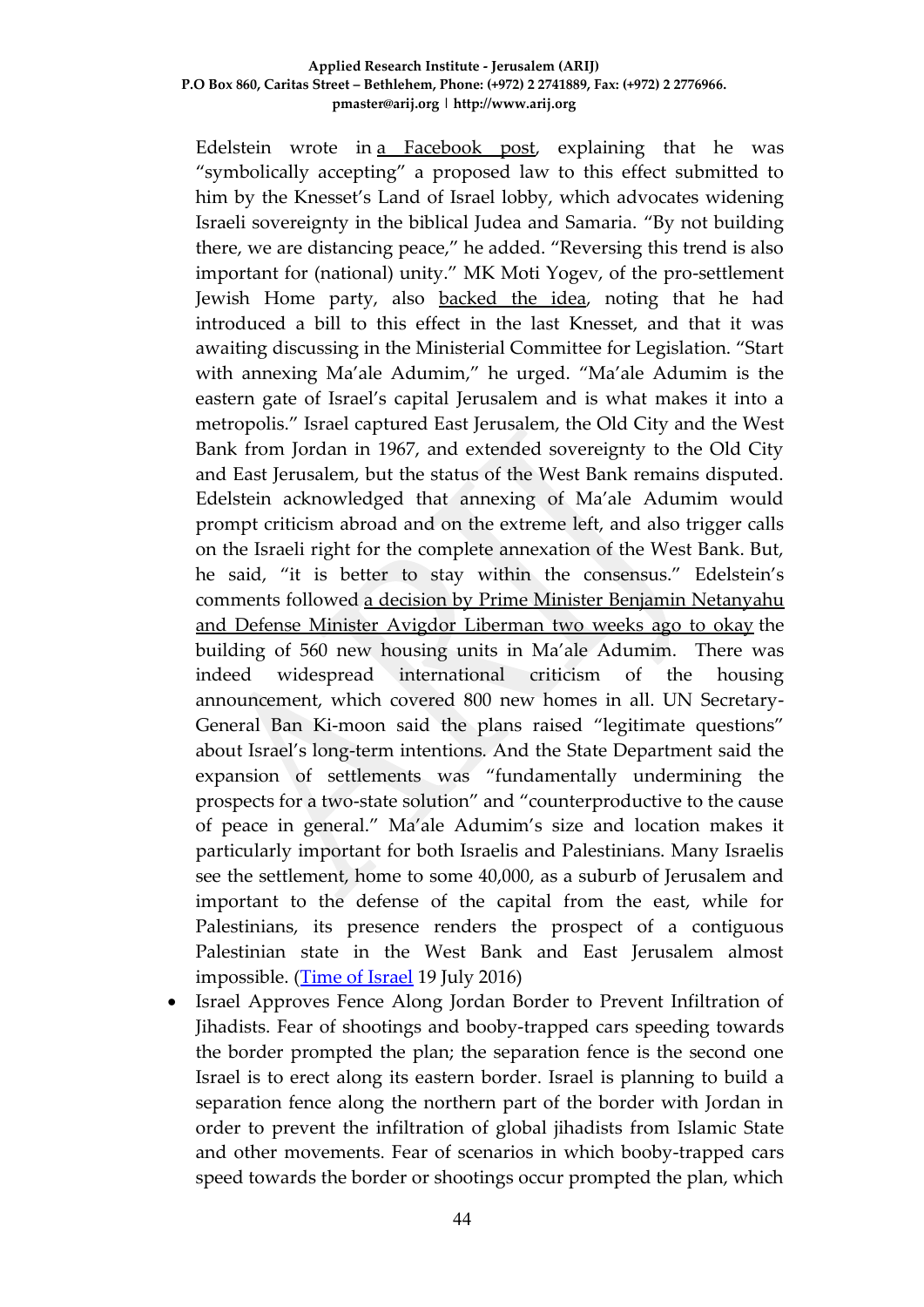Edelstein wrote in a [Facebook](https://www.facebook.com/YuliEdelstein/photos/a.371864017456.201102.371855757456/10154249098602457/?type=3&theater) post, explaining that he was "symbolically accepting" a proposed law to this effect submitted to him by the Knesset's Land of Israel lobby, which advocates widening Israeli sovereignty in the biblical Judea and Samaria. "By not building there, we are distancing peace," he added. "Reversing this trend is also important for (national) unity." MK Moti Yogev, of the pro-settlement Jewish Home party, also [backed](https://www.facebook.com/mottiyogev/photos/a.364483063624146.82181.364478330291286/1129833540422424/?type=3&theater) the idea, noting that he had introduced a bill to this effect in the last Knesset, and that it was awaiting discussing in the Ministerial Committee for Legislation. "Start with annexing Ma'ale Adumim," he urged. "Ma'ale Adumim is the eastern gate of Israel's capital Jerusalem and is what makes it into a metropolis." Israel captured East Jerusalem, the Old City and the West Bank from Jordan in 1967, and extended sovereignty to the Old City and East Jerusalem, but the status of the West Bank remains disputed. Edelstein acknowledged that annexing of Ma'ale Adumim would prompt criticism abroad and on the extreme left, and also trigger calls on the Israeli right for the complete annexation of the West Bank. But, he said, "it is better to stay within the consensus." Edelstein's comments followed a decision by Prime Minister Benjamin [Netanyahu](http://www.timesofisrael.com/israel-okays-800-new-housing-units-in-east-jerusalem-surrounding-area/) and Defense Minister Avigdor [Liberman](http://www.timesofisrael.com/israel-okays-800-new-housing-units-in-east-jerusalem-surrounding-area/) two weeks ago to okay the building of 560 new housing units in Ma'ale Adumim. There was indeed widespread international criticism of the housing announcement, which covered 800 new homes in all. UN Secretary-General Ban Ki-moon said the plans raised "legitimate questions" about Israel's long-term intentions. And the State Department said the expansion of settlements was "fundamentally undermining the prospects for a two-state solution" and "counterproductive to the cause of peace in general." Ma'ale Adumim's size and location makes it particularly important for both Israelis and Palestinians. Many Israelis see the settlement, home to some 40,000, as a suburb of Jerusalem and important to the defense of the capital from the east, while for Palestinians, its presence renders the prospect of a contiguous Palestinian state in the West Bank and East Jerusalem almost impossible. [\(Time of Israel](http://www.timesofisrael.com/knesset-speaker-calls-for-annexation-of-maale-adumim/) 19 July 2016)

 Israel Approves Fence Along Jordan Border to Prevent Infiltration of Jihadists. Fear of shootings and booby-trapped cars speeding towards the border prompted the plan; the separation fence is the second one Israel is to erect along its eastern border. Israel is planning to build a separation fence along the northern part of the border with Jordan in order to prevent the infiltration of global jihadists from Islamic State and other movements. Fear of scenarios in which booby-trapped cars speed towards the border or shootings occur prompted the plan, which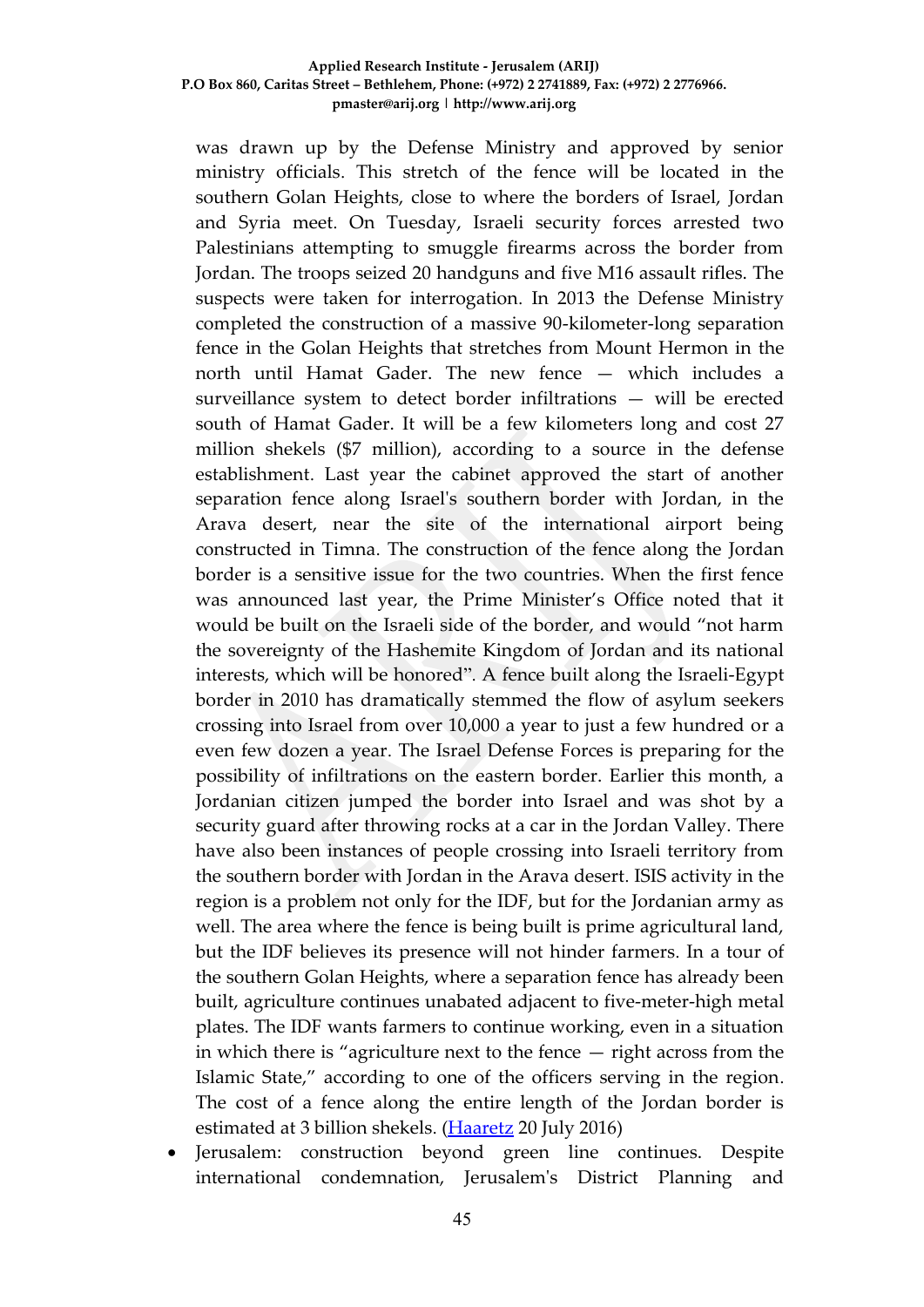was drawn up by the Defense Ministry and approved by senior ministry officials. This stretch of the fence will be located in the southern Golan Heights, close to where the borders of Israel, Jordan and Syria meet. On Tuesday, Israeli security forces arrested two Palestinians attempting to smuggle firearms across the border from Jordan. The troops seized 20 handguns and five M16 assault rifles. The suspects were taken for interrogation. In 2013 the Defense Ministry completed the construction of a massive 90-kilometer-long separation fence in the Golan Heights that stretches from Mount Hermon in the north until Hamat Gader. The new fence — which includes a surveillance system to detect border infiltrations — will be erected south of Hamat Gader. It will be a few kilometers long and cost 27 million shekels (\$7 million), according to a source in the defense establishment. Last year the cabinet approved the start of another separation fence along Israel's southern border with Jordan, in the Arava desert, near the site of the international airport being constructed in Timna. The construction of the fence along the Jordan border is a sensitive issue for the two countries. When the first fence was announced last year, the Prime Minister's Office noted that it would be built on the Israeli side of the border, and would "not harm the sovereignty of the Hashemite Kingdom of Jordan and its national interests, which will be honored". A fence built along the Israeli-Egypt border in 2010 has dramatically stemmed the flow of asylum seekers crossing into Israel from over 10,000 a year to just a few hundred or a even few dozen a year. The Israel Defense Forces is preparing for the possibility of infiltrations on the eastern border. Earlier this month, a Jordanian citizen jumped the border into Israel and was shot by a security guard after throwing rocks at a car in the Jordan Valley. There have also been instances of people crossing into Israeli territory from the southern border with Jordan in the Arava desert. ISIS activity in the region is a problem not only for the IDF, but for the Jordanian army as well. The area where the fence is being built is prime agricultural land, but the IDF believes its presence will not hinder farmers. In a tour of the southern Golan Heights, where a separation fence has already been built, agriculture continues unabated adjacent to five-meter-high metal plates. The IDF wants farmers to continue working, even in a situation in which there is "agriculture next to the fence — right across from the Islamic State," according to one of the officers serving in the region. The cost of a fence along the entire length of the Jordan border is estimated at 3 billion shekels. [\(Haaretz](http://www.haaretz.com/israel-news/.premium-1.732099) 20 July 2016)

 Jerusalem: construction beyond green line continues. Despite international condemnation, Jerusalem's District Planning and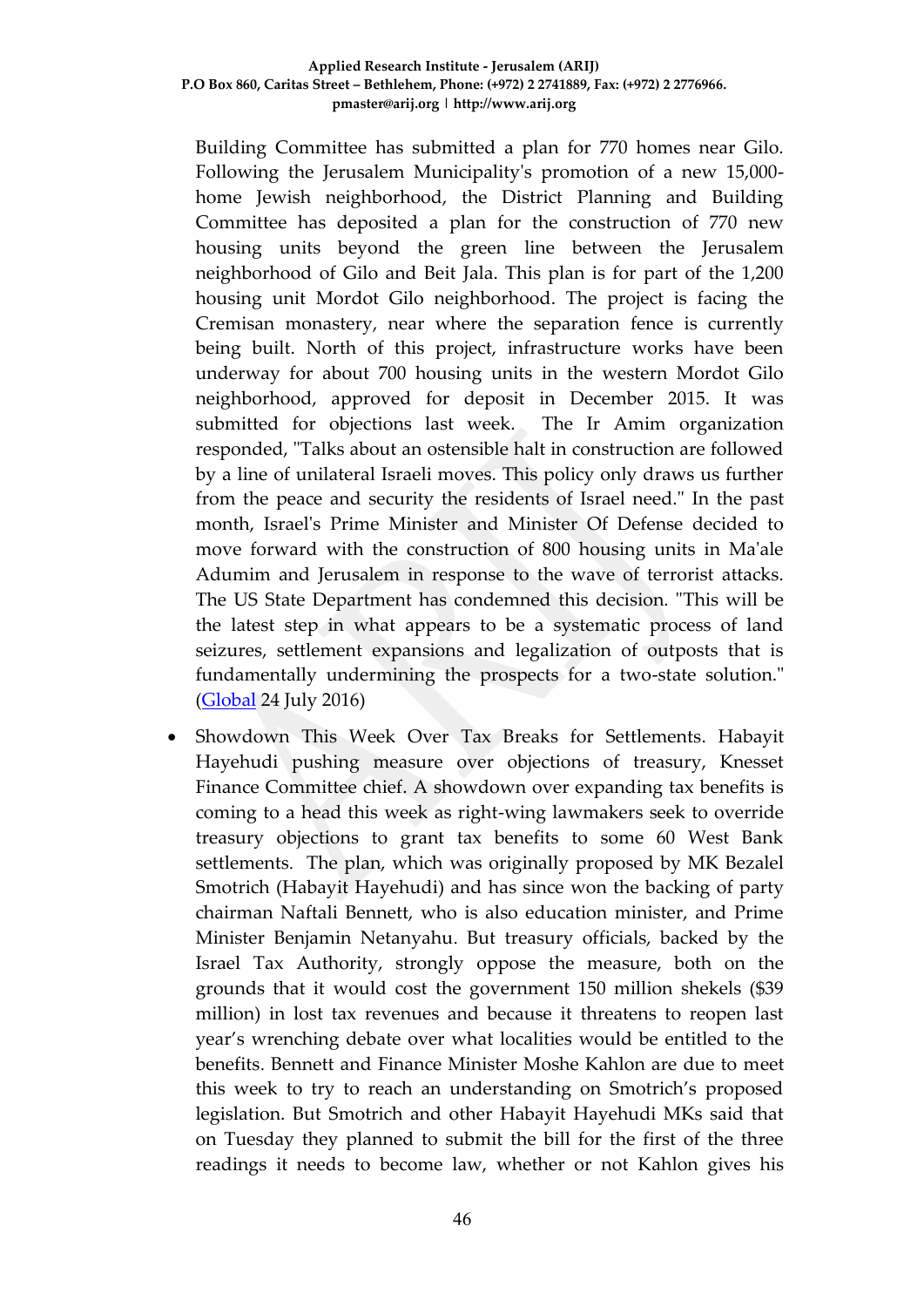Building Committee has submitted a plan for 770 homes near Gilo. Following the Jerusalem Municipality's promotion of a new 15,000 home Jewish neighborhood, the District Planning and Building Committee has deposited a plan for the construction of 770 new housing units beyond the green line between the Jerusalem neighborhood of Gilo and Beit Jala. This plan is for part of the 1,200 housing unit Mordot Gilo neighborhood. The project is facing the Cremisan monastery, near where the separation fence is currently being built. North of this project, infrastructure works have been underway for about 700 housing units in the western Mordot Gilo neighborhood, approved for deposit in December 2015. It was submitted for objections last week. The Ir Amim organization responded, "Talks about an ostensible halt in construction are followed by a line of unilateral Israeli moves. This policy only draws us further from the peace and security the residents of Israel need." In the past month, Israel's Prime Minister and Minister Of Defense decided to move forward with the construction of 800 housing units in Ma'ale Adumim and Jerusalem in response to the wave of terrorist attacks. The US State Department has condemned this decision. "This will be the latest step in what appears to be a systematic process of land seizures, settlement expansions and legalization of outposts that is fundamentally undermining the prospects for a two-state solution." [\(Global](http://www.globes.co.il/en/article-jerusalem-construction-beyond-the-green-line-continues-1001141456) 24 July 2016)

 Showdown This Week Over Tax Breaks for Settlements. Habayit Hayehudi pushing measure over objections of treasury, Knesset Finance Committee chief. A showdown over expanding tax benefits is coming to a head this week as right-wing lawmakers seek to override treasury objections to grant tax benefits to some 60 West Bank settlements. The plan, which was originally proposed by MK Bezalel Smotrich (Habayit Hayehudi) and has since won the backing of party chairman Naftali Bennett, who is also education minister, and Prime Minister Benjamin Netanyahu. But treasury officials, backed by the Israel Tax Authority, strongly oppose the measure, both on the grounds that it would cost the government 150 million shekels (\$39 million) in lost tax revenues and because it threatens to reopen last year's wrenching debate over what localities would be entitled to the benefits. Bennett and Finance Minister Moshe Kahlon are due to meet this week to try to reach an understanding on Smotrich's proposed legislation. But Smotrich and other Habayit Hayehudi MKs said that on Tuesday they planned to submit the bill for the first of the three readings it needs to become law, whether or not Kahlon gives his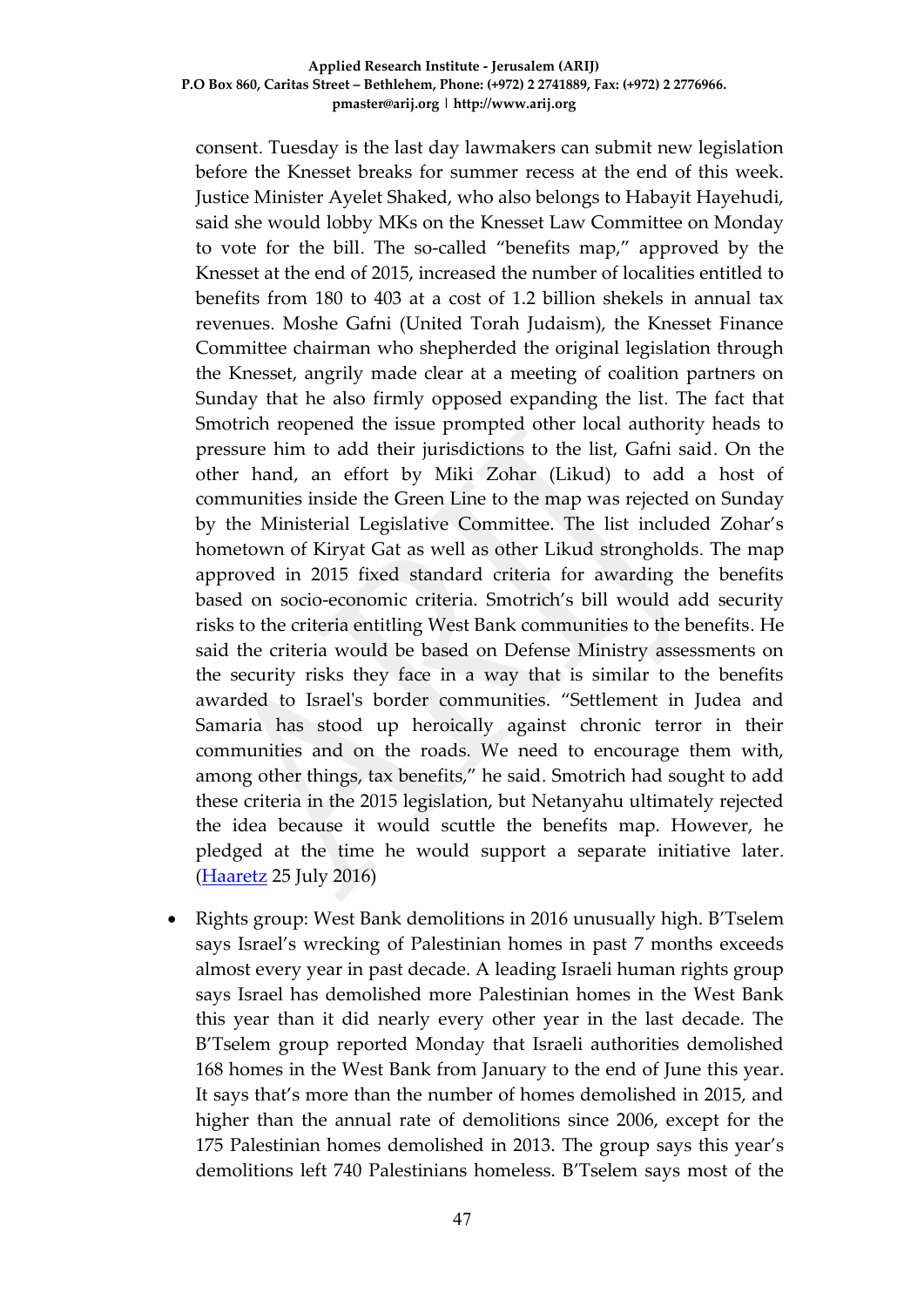consent. Tuesday is the last day lawmakers can submit new legislation before the Knesset breaks for summer recess at the end of this week. Justice Minister Ayelet Shaked, who also belongs to Habayit Hayehudi, said she would lobby MKs on the Knesset Law Committee on Monday to vote for the bill. The so-called "benefits map," approved by the Knesset at the end of 2015, increased the number of localities entitled to benefits from 180 to 403 at a cost of 1.2 billion shekels in annual tax revenues. Moshe Gafni (United Torah Judaism), the Knesset Finance Committee chairman who shepherded the original legislation through the Knesset, angrily made clear at a meeting of coalition partners on Sunday that he also firmly opposed expanding the list. The fact that Smotrich reopened the issue prompted other local authority heads to pressure him to add their jurisdictions to the list, Gafni said. On the other hand, an effort by Miki Zohar (Likud) to add a host of communities inside the Green Line to the map was rejected on Sunday by the Ministerial Legislative Committee. The list included Zohar's hometown of Kiryat Gat as well as other Likud strongholds. The map approved in 2015 fixed standard criteria for awarding the benefits based on socio-economic criteria. Smotrich's bill would add security risks to the criteria entitling West Bank communities to the benefits. He said the criteria would be based on Defense Ministry assessments on the security risks they face in a way that is similar to the benefits awarded to Israel's border communities. "Settlement in Judea and Samaria has stood up heroically against chronic terror in their communities and on the roads. We need to encourage them with, among other things, tax benefits," he said. Smotrich had sought to add these criteria in the 2015 legislation, but Netanyahu ultimately rejected the idea because it would scuttle the benefits map. However, he pledged at the time he would support a separate initiative later. [\(Haaretz](http://www.haaretz.com/israel-news/.premium-1.733028) 25 July 2016)

 Rights group: West Bank demolitions in 2016 unusually high. B'Tselem says Israel's wrecking of Palestinian homes in past 7 months exceeds almost every year in past decade. A leading Israeli human rights group says Israel has demolished more Palestinian homes in the West Bank this year than it did nearly every other year in the last decade. The B'Tselem group reported Monday that Israeli authorities demolished 168 homes in the West Bank from January to the end of June this year. It says that's more than the number of homes demolished in 2015, and higher than the annual rate of demolitions since 2006, except for the 175 Palestinian homes demolished in 2013. The group says this year's demolitions left 740 Palestinians homeless. B'Tselem says most of the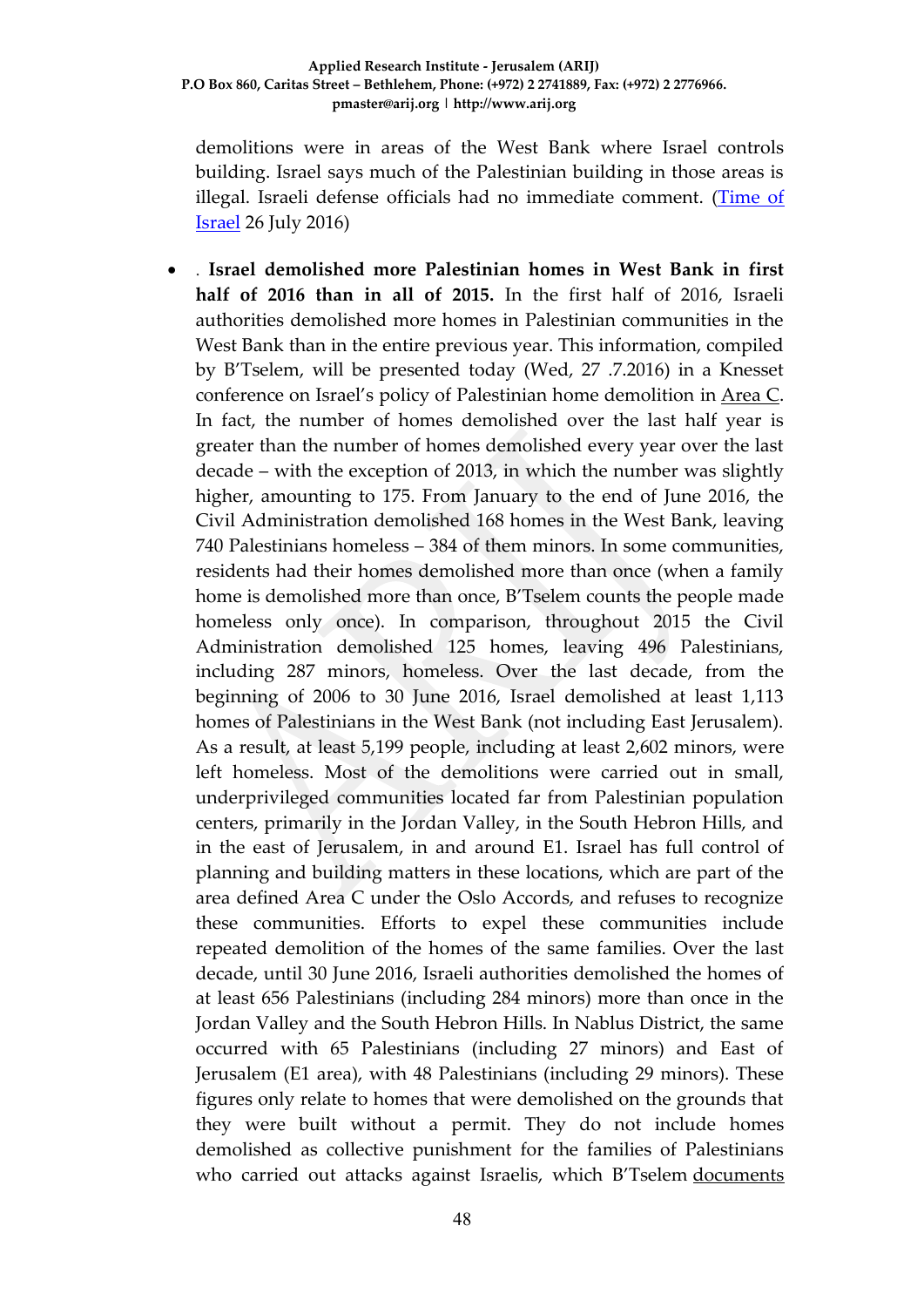demolitions were in areas of the West Bank where Israel controls building. Israel says much of the Palestinian building in those areas is illegal. Israeli defense officials had no immediate comment. [\(Time of](http://www.timesofisrael.com/rights-group-west-bank-demolitions-in-2016-unusually-high/)  [Israel](http://www.timesofisrael.com/rights-group-west-bank-demolitions-in-2016-unusually-high/) 26 July 2016)

 . **Israel demolished more Palestinian homes in West Bank in first half of 2016 than in all of 2015.** In the first half of 2016, Israeli authorities demolished more homes in Palestinian communities in the West Bank than in the entire previous year. This information, compiled by B'Tselem, will be presented today (Wed, 27 .7.2016) in a Knesset conference on Israel's policy of Palestinian home demolition in [Area C.](http://www.btselem.org/topic/area_c) In fact, the number of homes demolished over the last half year is greater than the number of homes demolished every year over the last decade – with the exception of 2013, in which the number was slightly higher, amounting to 175. From January to the end of June 2016, the Civil Administration demolished 168 homes in the West Bank, leaving 740 Palestinians homeless – 384 of them minors. In some communities, residents had their homes demolished more than once (when a family home is demolished more than once, B'Tselem counts the people made homeless only once). In comparison, throughout 2015 the Civil Administration demolished 125 homes, leaving 496 Palestinians, including 287 minors, homeless. Over the last decade, from the beginning of 2006 to 30 June 2016, Israel demolished at least 1,113 homes of Palestinians in the West Bank (not including East Jerusalem). As a result, at least 5,199 people, including at least 2,602 minors, were left homeless. Most of the demolitions were carried out in small, underprivileged communities located far from Palestinian population centers, primarily in the Jordan Valley, in the South Hebron Hills, and in the east of Jerusalem, in and around E1. Israel has full control of planning and building matters in these locations, which are part of the area defined Area C under the Oslo Accords, and refuses to recognize these communities. Efforts to expel these communities include repeated demolition of the homes of the same families. Over the last decade, until 30 June 2016, Israeli authorities demolished the homes of at least 656 Palestinians (including 284 minors) more than once in the Jordan Valley and the South Hebron Hills. In Nablus District, the same occurred with 65 Palestinians (including 27 minors) and East of Jerusalem (E1 area), with 48 Palestinians (including 29 minors). These figures only relate to homes that were demolished on the grounds that they were built without a permit. They do not include homes demolished as collective punishment for the families of Palestinians who carried out attacks against Israelis, which B'Tselem documents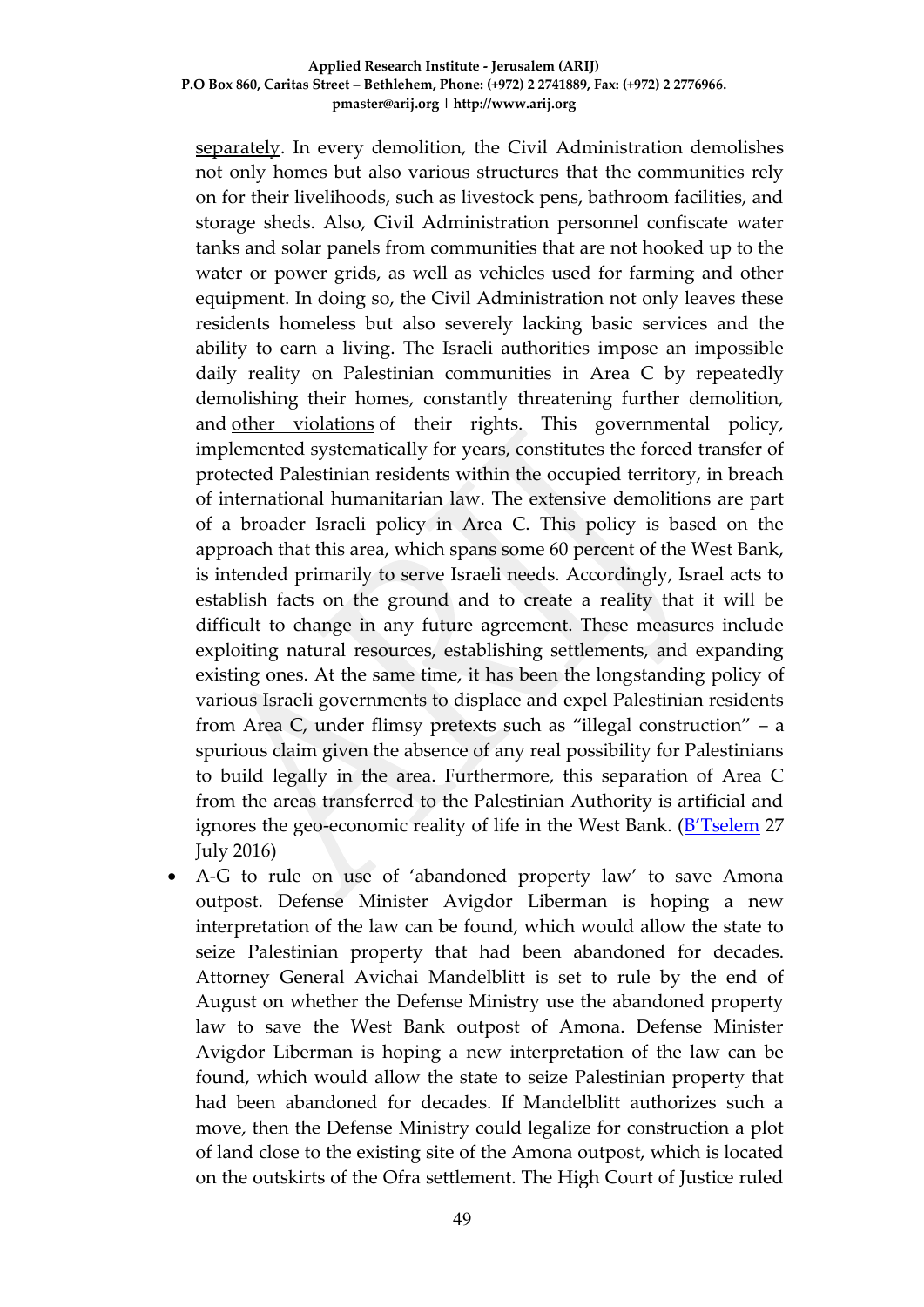[separately.](http://www.btselem.org/punitive_demolitions/statistics) In every demolition, the Civil Administration demolishes not only homes but also various structures that the communities rely on for their livelihoods, such as livestock pens, bathroom facilities, and storage sheds. Also, Civil Administration personnel confiscate water tanks and solar panels from communities that are not hooked up to the water or power grids, as well as vehicles used for farming and other equipment. In doing so, the Civil Administration not only leaves these residents homeless but also severely lacking basic services and the ability to earn a living. The Israeli authorities impose an impossible daily reality on Palestinian communities in Area C by repeatedly demolishing their homes, constantly threatening further demolition, and [other violations](http://www.btselem.org/facing_expulsion_blog) of their rights. This governmental policy, implemented systematically for years, constitutes the forced transfer of protected Palestinian residents within the occupied territory, in breach of international humanitarian law. The extensive demolitions are part of a broader Israeli policy in Area C. This policy is based on the approach that this area, which spans some 60 percent of the West Bank, is intended primarily to serve Israeli needs. Accordingly, Israel acts to establish facts on the ground and to create a reality that it will be difficult to change in any future agreement. These measures include exploiting natural resources, establishing settlements, and expanding existing ones. At the same time, it has been the longstanding policy of various Israeli governments to displace and expel Palestinian residents from Area C, under flimsy pretexts such as "illegal construction" – a spurious claim given the absence of any real possibility for Palestinians to build legally in the area. Furthermore, this separation of Area C from the areas transferred to the Palestinian Authority is artificial and ignores the geo-economic reality of life in the West Bank. ([B'Tselem](http://www.btselem.org/press_releases/20160727_house_demolitions_in_area_c) 27 July 2016)

 A-G to rule on use of 'abandoned property law' to save Amona outpost. Defense Minister Avigdor Liberman is hoping a new interpretation of the law can be found, which would allow the state to seize Palestinian property that had been abandoned for decades. Attorney General Avichai Mandelblitt is set to rule by the end of August on whether the Defense Ministry use the abandoned property law to save the West Bank outpost of Amona. Defense Minister Avigdor Liberman is hoping a new interpretation of the law can be found, which would allow the state to seize Palestinian property that had been abandoned for decades. If Mandelblitt authorizes such a move, then the Defense Ministry could legalize for construction a plot of land close to the existing site of the Amona outpost, which is located on the outskirts of the Ofra settlement. The High Court of Justice ruled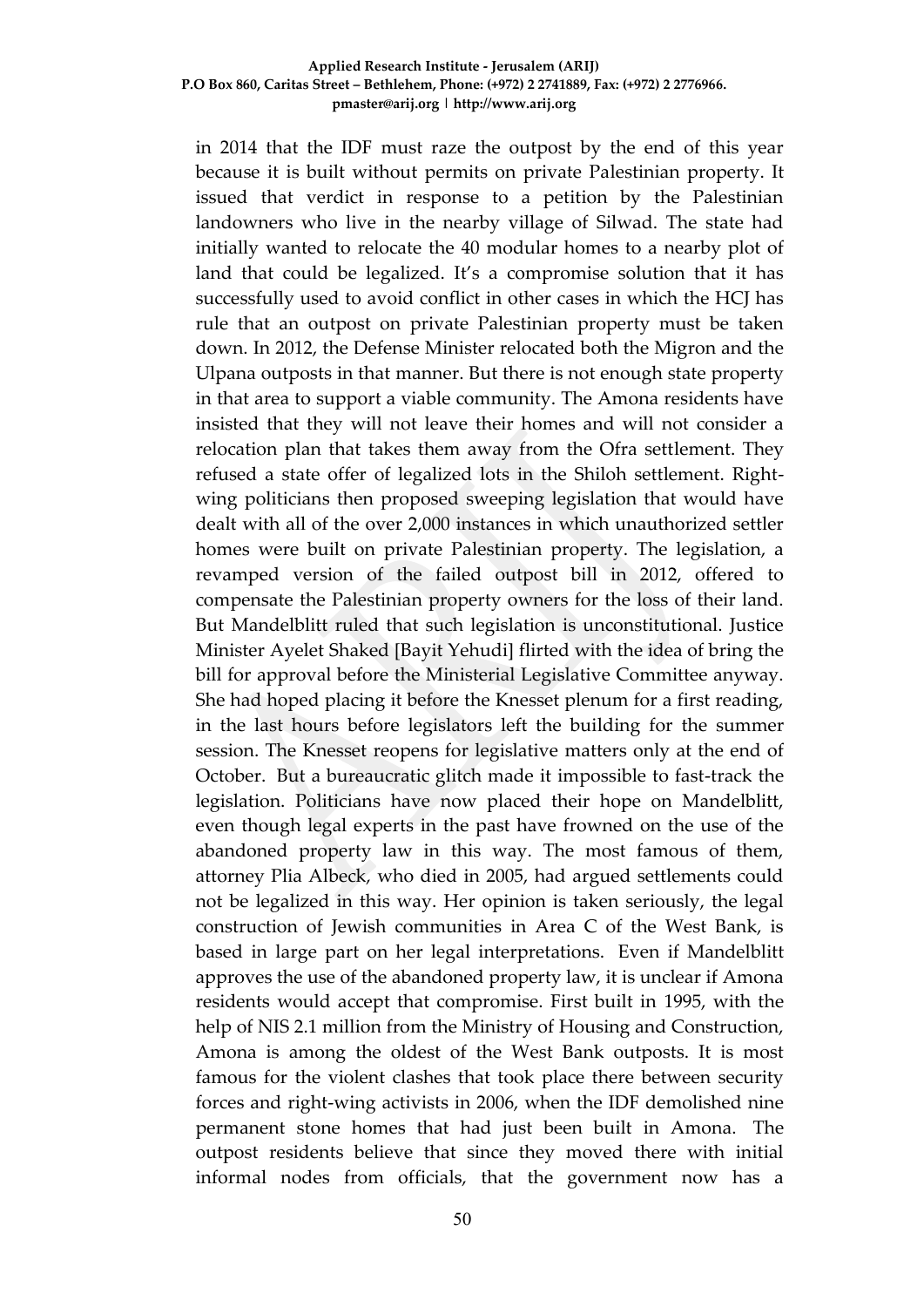in 2014 that the IDF must raze the outpost by the end of this year because it is built without permits on private Palestinian property. It issued that verdict in response to a petition by the Palestinian landowners who live in the nearby village of Silwad. The state had initially wanted to relocate the 40 modular homes to a nearby plot of land that could be legalized. It's a compromise solution that it has successfully used to avoid conflict in other cases in which the HCJ has rule that an outpost on private Palestinian property must be taken down. In 2012, the Defense Minister relocated both the Migron and the Ulpana outposts in that manner. But there is not enough state property in that area to support a viable community. The Amona residents have insisted that they will not leave their homes and will not consider a relocation plan that takes them away from the Ofra settlement. They refused a state offer of legalized lots in the Shiloh settlement. Rightwing politicians then proposed sweeping legislation that would have dealt with all of the over 2,000 instances in which unauthorized settler homes were built on private Palestinian property. The legislation, a revamped version of the failed outpost bill in 2012, offered to compensate the Palestinian property owners for the loss of their land. But Mandelblitt ruled that such legislation is unconstitutional. Justice Minister Ayelet Shaked [Bayit Yehudi] flirted with the idea of bring the bill for approval before the Ministerial Legislative Committee anyway. She had hoped placing it before the Knesset plenum for a first reading, in the last hours before legislators left the building for the summer session. The Knesset reopens for legislative matters only at the end of October. But a bureaucratic glitch made it impossible to fast-track the legislation. Politicians have now placed their hope on Mandelblitt, even though legal experts in the past have frowned on the use of the abandoned property law in this way. The most famous of them, attorney Plia Albeck, who died in 2005, had argued settlements could not be legalized in this way. Her opinion is taken seriously, the legal construction of Jewish communities in Area C of the West Bank, is based in large part on her legal interpretations. Even if Mandelblitt approves the use of the abandoned property law, it is unclear if Amona residents would accept that compromise. First built in 1995, with the help of NIS 2.1 million from the Ministry of Housing and Construction, Amona is among the oldest of the West Bank outposts. It is most famous for the violent clashes that took place there between security forces and right-wing activists in 2006, when the IDF demolished nine permanent stone homes that had just been built in Amona. The outpost residents believe that since they moved there with initial informal nodes from officials, that the government now has a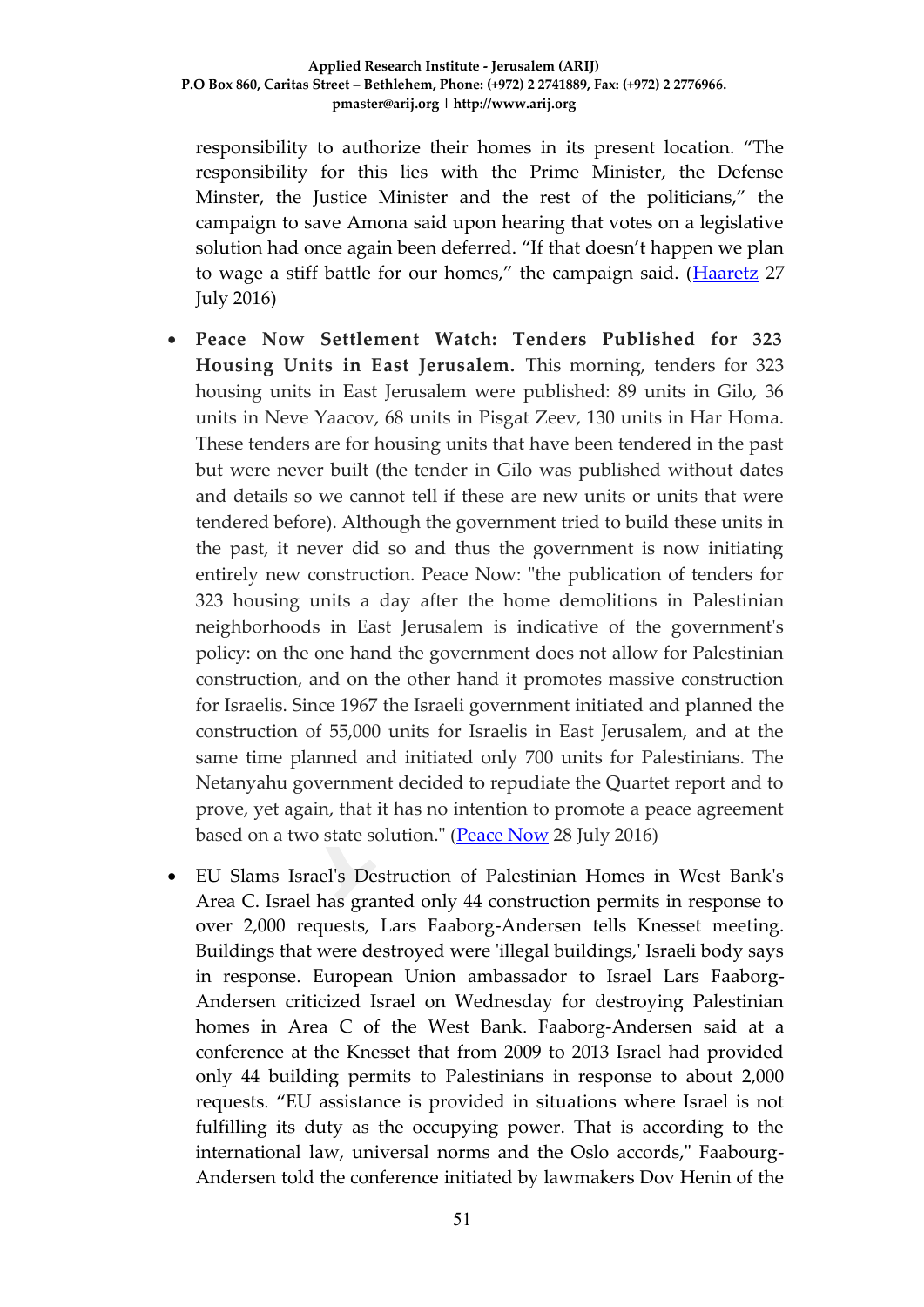responsibility to authorize their homes in its present location. "The responsibility for this lies with the Prime Minister, the Defense Minster, the Justice Minister and the rest of the politicians," the campaign to save Amona said upon hearing that votes on a legislative solution had once again been deferred. "If that doesn't happen we plan to wage a stiff battle for our homes," the campaign said. ([Haaretz](http://www.jpost.com/Israel-News/Politics-And-Diplomacy/A-G-to-rule-on-use-of-abandoned-property-law-to-save-Amona-outpost-462512) 27 July 2016)

- **Peace Now Settlement Watch: Tenders Published for 323 Housing Units in East Jerusalem.** This morning, tenders for 323 housing units in East Jerusalem were published: 89 units in Gilo, 36 units in Neve Yaacov, 68 units in Pisgat Zeev, 130 units in Har Homa. These tenders are for housing units that have been tendered in the past but were never built (the tender in Gilo was published without dates and details so we cannot tell if these are new units or units that were tendered before). Although the government tried to build these units in the past, it never did so and thus the government is now initiating entirely new construction. Peace Now: "the publication of tenders for 323 housing units a day after the home demolitions in Palestinian neighborhoods in East Jerusalem is indicative of the government's policy: on the one hand the government does not allow for Palestinian construction, and on the other hand it promotes massive construction for Israelis. Since 1967 the Israeli government initiated and planned the construction of 55,000 units for Israelis in East Jerusalem, and at the same time planned and initiated only 700 units for Palestinians. The Netanyahu government decided to repudiate the Quartet report and to prove, yet again, that it has no intention to promote a peace agreement based on a two state solution." [\(Peace Now](http://peacenow.org/entry.php?id=19385#.V5mh5vl94dU) 28 July 2016)
- EU Slams Israel's Destruction of Palestinian Homes in West Bank's Area C. Israel has granted only 44 construction permits in response to over 2,000 requests, Lars Faaborg-Andersen tells Knesset meeting. Buildings that were destroyed were 'illegal buildings,' Israeli body says in response. European Union ambassador to Israel Lars Faaborg-Andersen criticized Israel on Wednesday for destroying Palestinian homes in Area C of the West Bank. Faaborg-Andersen said at a conference at the Knesset that from 2009 to 2013 Israel had provided only 44 building permits to Palestinians in response to about 2,000 requests. "EU assistance is provided in situations where Israel is not fulfilling its duty as the occupying power. That is according to the international law, universal norms and the Oslo accords," Faabourg-Andersen told the conference initiated by lawmakers Dov Henin of the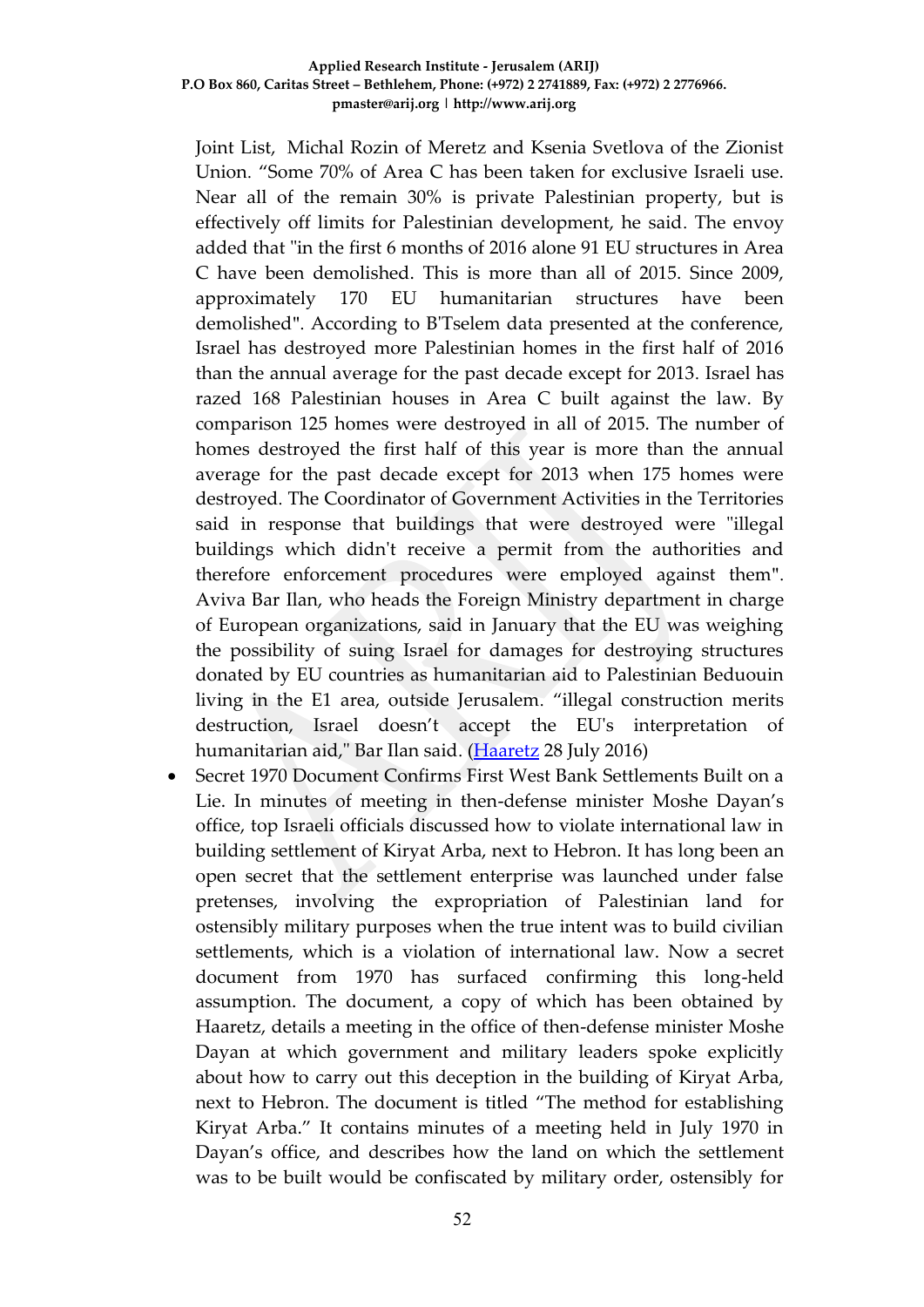Joint List, Michal Rozin of Meretz and Ksenia Svetlova of the Zionist Union. "Some 70% of Area C has been taken for exclusive Israeli use. Near all of the remain 30% is private Palestinian property, but is effectively off limits for Palestinian development, he said. The envoy added that "in the first 6 months of 2016 alone 91 EU structures in Area C have been demolished. This is more than all of 2015. Since 2009, approximately 170 EU humanitarian structures have been demolished". According to B'Tselem data presented at the conference, Israel has destroyed more Palestinian homes in the first half of 2016 than the annual average for the past decade except for 2013. Israel has razed 168 Palestinian houses in Area C built against the law. By comparison 125 homes were destroyed in all of 2015. The number of homes destroyed the first half of this year is more than the annual average for the past decade except for 2013 when 175 homes were destroyed. The Coordinator of Government Activities in the Territories said in response that buildings that were destroyed were "illegal buildings which didn't receive a permit from the authorities and therefore enforcement procedures were employed against them". Aviva Bar Ilan, who heads the Foreign Ministry department in charge of European organizations, said in January that the EU was weighing the possibility of suing Israel for damages for destroying structures donated by EU countries as humanitarian aid to Palestinian Beduouin living in the E1 area, outside Jerusalem. "illegal construction merits destruction, Israel doesn't accept the EU's interpretation of humanitarian aid," Bar Ilan said. [\(Haaretz](http://www.haaretz.com/israel-news/1.733729) 28 July 2016)

 Secret 1970 Document Confirms First West Bank Settlements Built on a Lie. In minutes of meeting in then-defense minister Moshe Dayan's office, top Israeli officials discussed how to violate international law in building settlement of Kiryat Arba, next to Hebron. It has long been an open secret that the settlement enterprise was launched under false pretenses, involving the expropriation of Palestinian land for ostensibly military purposes when the true intent was to build civilian settlements, which is a violation of international law. Now a secret document from 1970 has surfaced confirming this long-held assumption. The document, a copy of which has been obtained by Haaretz, details a meeting in the office of then-defense minister Moshe Dayan at which government and military leaders spoke explicitly about how to carry out this deception in the building of Kiryat Arba, next to Hebron. The document is titled "The method for establishing Kiryat Arba." It contains minutes of a meeting held in July 1970 in Dayan's office, and describes how the land on which the settlement was to be built would be confiscated by military order, ostensibly for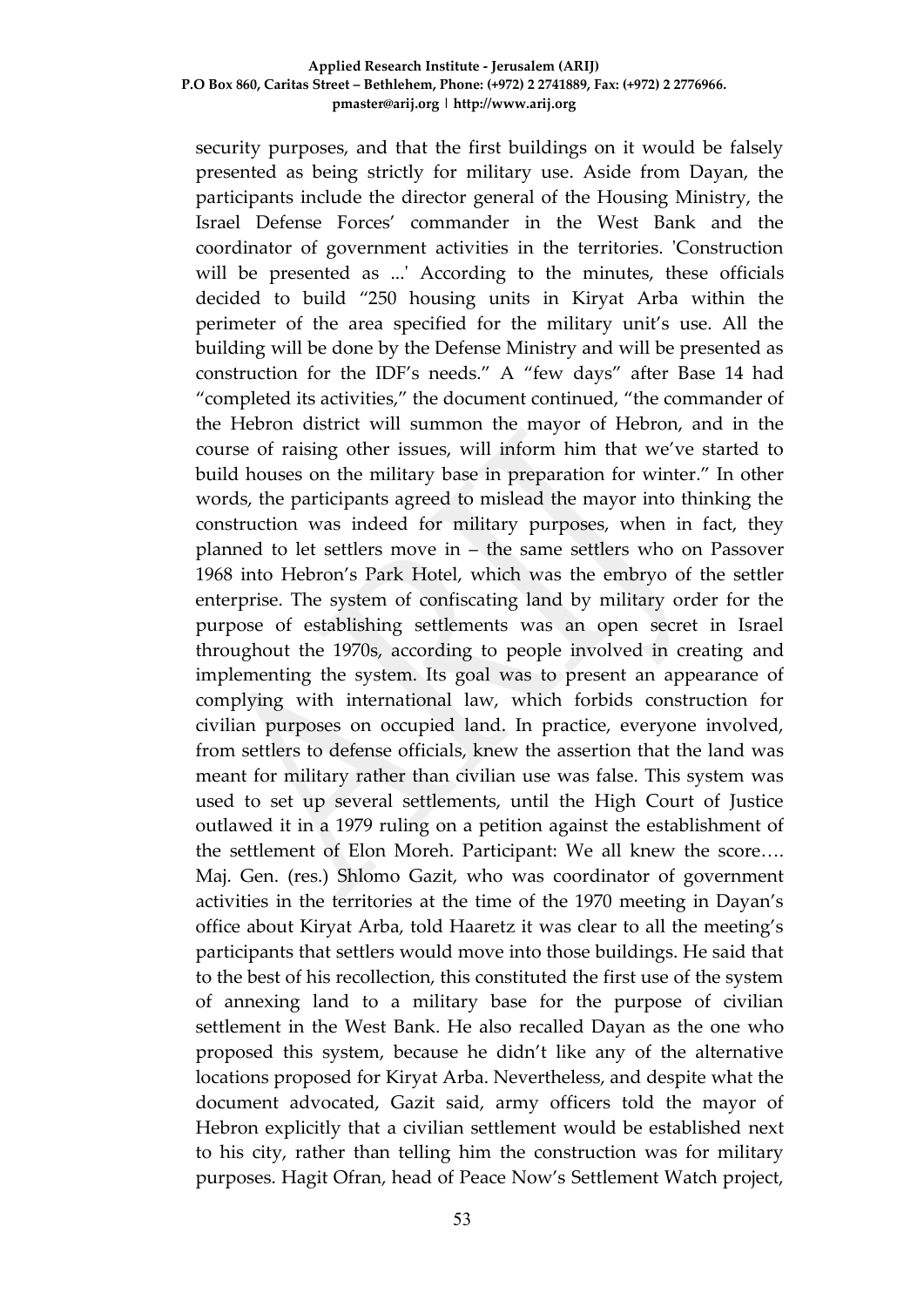security purposes, and that the first buildings on it would be falsely presented as being strictly for military use. Aside from Dayan, the participants include the director general of the Housing Ministry, the Israel Defense Forces' commander in the West Bank and the coordinator of government activities in the territories. 'Construction will be presented as ...' According to the minutes, these officials decided to build "250 housing units in Kiryat Arba within the perimeter of the area specified for the military unit's use. All the building will be done by the Defense Ministry and will be presented as construction for the IDF's needs." A "few days" after Base 14 had "completed its activities," the document continued, "the commander of the Hebron district will summon the mayor of Hebron, and in the course of raising other issues, will inform him that we've started to build houses on the military base in preparation for winter." In other words, the participants agreed to mislead the mayor into thinking the construction was indeed for military purposes, when in fact, they planned to let settlers move in – the same settlers who on Passover 1968 into Hebron's Park Hotel, which was the embryo of the settler enterprise. The system of confiscating land by military order for the purpose of establishing settlements was an open secret in Israel throughout the 1970s, according to people involved in creating and implementing the system. Its goal was to present an appearance of complying with international law, which forbids construction for civilian purposes on occupied land. In practice, everyone involved, from settlers to defense officials, knew the assertion that the land was meant for military rather than civilian use was false. This system was used to set up several settlements, until the High Court of Justice outlawed it in a 1979 ruling on a petition against the establishment of the settlement of Elon Moreh. Participant: We all knew the score…. Maj. Gen. (res.) Shlomo Gazit, who was coordinator of government activities in the territories at the time of the 1970 meeting in Dayan's office about Kiryat Arba, told Haaretz it was clear to all the meeting's participants that settlers would move into those buildings. He said that to the best of his recollection, this constituted the first use of the system of annexing land to a military base for the purpose of civilian settlement in the West Bank. He also recalled Dayan as the one who proposed this system, because he didn't like any of the alternative locations proposed for Kiryat Arba. Nevertheless, and despite what the document advocated, Gazit said, army officers told the mayor of Hebron explicitly that a civilian settlement would be established next to his city, rather than telling him the construction was for military purposes. Hagit Ofran, head of Peace Now's Settlement Watch project,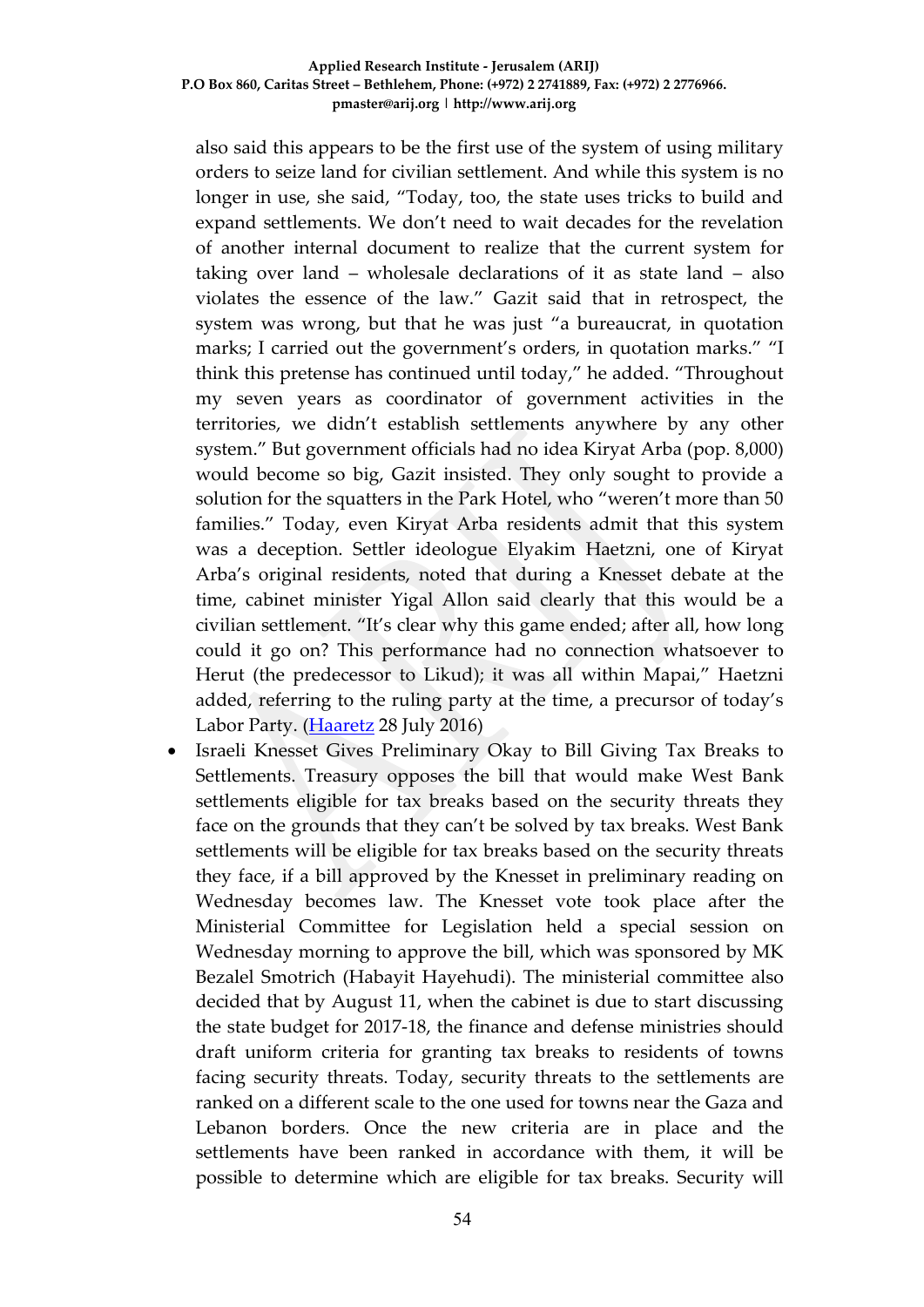also said this appears to be the first use of the system of using military orders to seize land for civilian settlement. And while this system is no longer in use, she said, "Today, too, the state uses tricks to build and expand settlements. We don't need to wait decades for the revelation of another internal document to realize that the current system for taking over land – wholesale declarations of it as state land – also violates the essence of the law." Gazit said that in retrospect, the system was wrong, but that he was just "a bureaucrat, in quotation marks; I carried out the government's orders, in quotation marks." "I think this pretense has continued until today," he added. "Throughout my seven years as coordinator of government activities in the territories, we didn't establish settlements anywhere by any other system." But government officials had no idea Kiryat Arba (pop. 8,000) would become so big, Gazit insisted. They only sought to provide a solution for the squatters in the Park Hotel, who "weren't more than 50 families." Today, even Kiryat Arba residents admit that this system was a deception. Settler ideologue Elyakim Haetzni, one of Kiryat Arba's original residents, noted that during a Knesset debate at the time, cabinet minister Yigal Allon said clearly that this would be a civilian settlement. "It's clear why this game ended; after all, how long could it go on? This performance had no connection whatsoever to Herut (the predecessor to Likud); it was all within Mapai," Haetzni added, referring to the ruling party at the time, a precursor of today's Labor Party. [\(Haaretz](http://www.haaretz.com/israel-news/.premium-1.733746) 28 July 2016)

 Israeli Knesset Gives Preliminary Okay to Bill Giving Tax Breaks to Settlements. Treasury opposes the bill that would make West Bank settlements eligible for tax breaks based on the security threats they face on the grounds that they can't be solved by tax breaks. West Bank settlements will be eligible for tax breaks based on the security threats they face, if a bill approved by the Knesset in preliminary reading on Wednesday becomes law. The Knesset vote took place after the Ministerial Committee for Legislation held a special session on Wednesday morning to approve the bill, which was sponsored by MK Bezalel Smotrich (Habayit Hayehudi). The ministerial committee also decided that by August 11, when the cabinet is due to start discussing the state budget for 2017-18, the finance and defense ministries should draft uniform criteria for granting tax breaks to residents of towns facing security threats. Today, security threats to the settlements are ranked on a different scale to the one used for towns near the Gaza and Lebanon borders. Once the new criteria are in place and the settlements have been ranked in accordance with them, it will be possible to determine which are eligible for tax breaks. Security will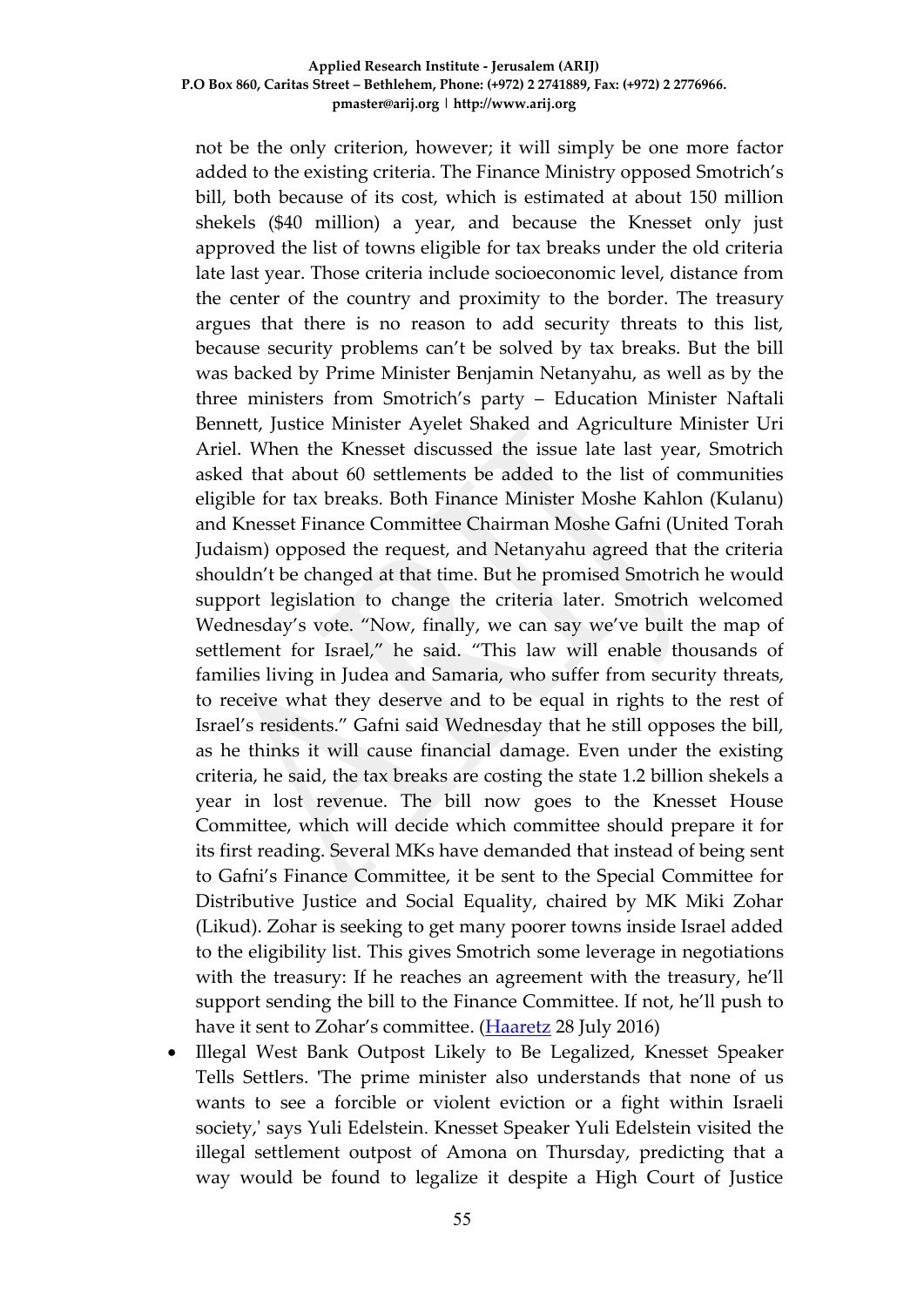not be the only criterion, however; it will simply be one more factor added to the existing criteria. The Finance Ministry opposed Smotrich's bill, both because of its cost, which is estimated at about 150 million shekels (\$40 million) a year, and because the Knesset only just approved the list of towns eligible for tax breaks under the old criteria late last year. Those criteria include socioeconomic level, distance from the center of the country and proximity to the border. The treasury argues that there is no reason to add security threats to this list, because security problems can't be solved by tax breaks. But the bill was backed by Prime Minister Benjamin Netanyahu, as well as by the three ministers from Smotrich's party – Education Minister Naftali Bennett, Justice Minister Ayelet Shaked and Agriculture Minister Uri Ariel. When the Knesset discussed the issue late last year, Smotrich asked that about 60 settlements be added to the list of communities eligible for tax breaks. Both Finance Minister Moshe Kahlon (Kulanu) and Knesset Finance Committee Chairman Moshe Gafni (United Torah Judaism) opposed the request, and Netanyahu agreed that the criteria shouldn't be changed at that time. But he promised Smotrich he would support legislation to change the criteria later. Smotrich welcomed Wednesday's vote. "Now, finally, we can say we've built the map of settlement for Israel," he said. "This law will enable thousands of families living in Judea and Samaria, who suffer from security threats, to receive what they deserve and to be equal in rights to the rest of Israel's residents." Gafni said Wednesday that he still opposes the bill, as he thinks it will cause financial damage. Even under the existing criteria, he said, the tax breaks are costing the state 1.2 billion shekels a year in lost revenue. The bill now goes to the Knesset House Committee, which will decide which committee should prepare it for its first reading. Several MKs have demanded that instead of being sent to Gafni's Finance Committee, it be sent to the Special Committee for Distributive Justice and Social Equality, chaired by MK Miki Zohar (Likud). Zohar is seeking to get many poorer towns inside Israel added to the eligibility list. This gives Smotrich some leverage in negotiations with the treasury: If he reaches an agreement with the treasury, he'll support sending the bill to the Finance Committee. If not, he'll push to have it sent to Zohar's committee. [\(Haaretz](http://www.haaretz.com/israel-news/.premium-1.733799) 28 July 2016)

 Illegal West Bank Outpost Likely to Be Legalized, Knesset Speaker Tells Settlers. 'The prime minister also understands that none of us wants to see a forcible or violent eviction or a fight within Israeli society,' says Yuli Edelstein. Knesset Speaker Yuli Edelstein visited the illegal settlement outpost of Amona on Thursday, predicting that a way would be found to legalize it despite a High Court of Justice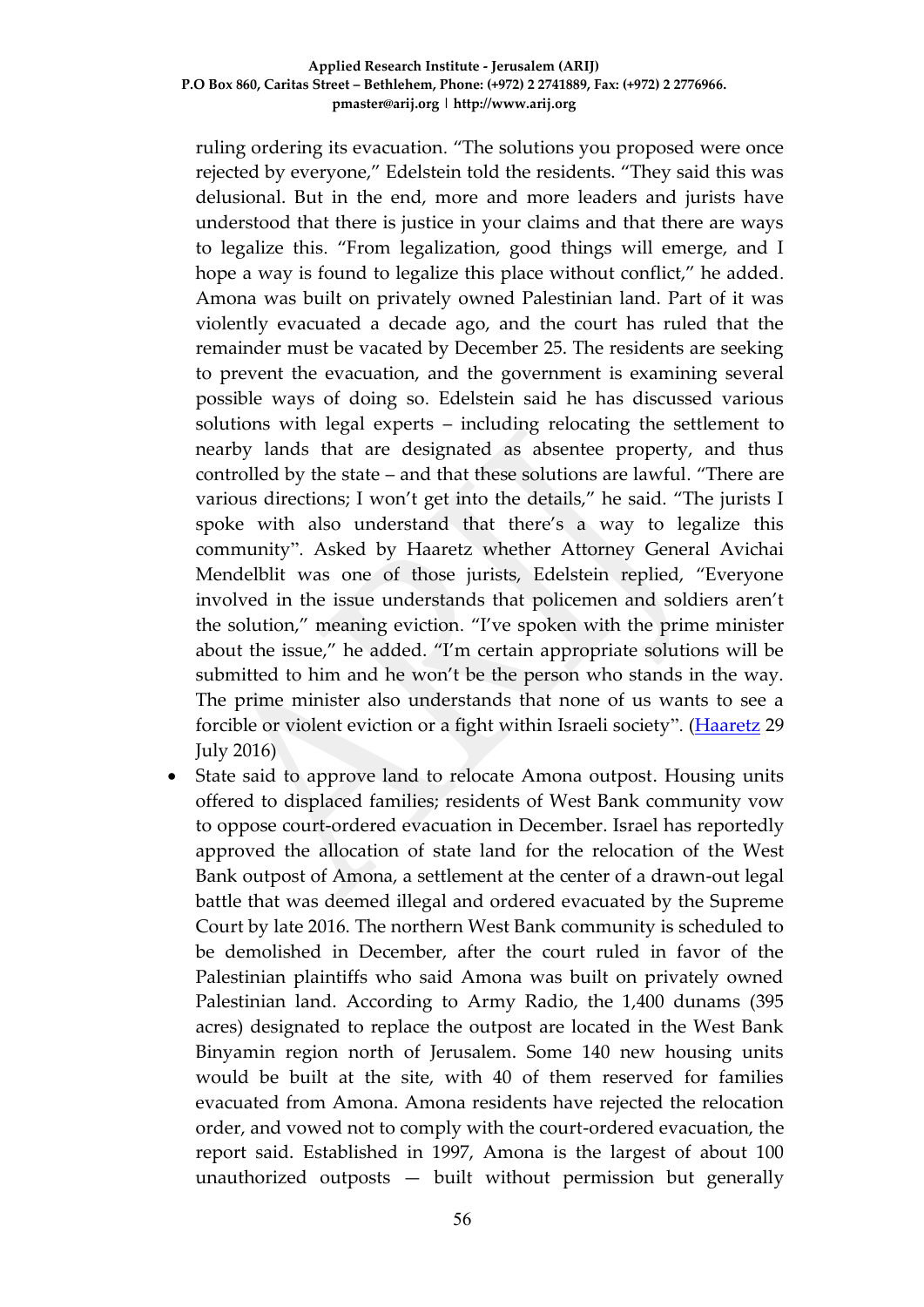ruling ordering its evacuation. "The solutions you proposed were once rejected by everyone," Edelstein told the residents. "They said this was delusional. But in the end, more and more leaders and jurists have understood that there is justice in your claims and that there are ways to legalize this. "From legalization, good things will emerge, and I hope a way is found to legalize this place without conflict," he added. Amona was built on privately owned Palestinian land. Part of it was violently evacuated a decade ago, and the court has ruled that the remainder must be vacated by December 25. The residents are seeking to prevent the evacuation, and the government is examining several possible ways of doing so. Edelstein said he has discussed various solutions with legal experts – including relocating the settlement to nearby lands that are designated as absentee property, and thus controlled by the state – and that these solutions are lawful. "There are various directions; I won't get into the details," he said. "The jurists I spoke with also understand that there's a way to legalize this community". Asked by Haaretz whether Attorney General Avichai Mendelblit was one of those jurists, Edelstein replied, "Everyone involved in the issue understands that policemen and soldiers aren't the solution," meaning eviction. "I've spoken with the prime minister about the issue," he added. "I'm certain appropriate solutions will be submitted to him and he won't be the person who stands in the way. The prime minister also understands that none of us wants to see a forcible or violent eviction or a fight within Israeli society". [\(Haaretz](http://www.haaretz.com/israel-news/.premium-1.733997) 29 July 2016)

• State said to approve land to relocate Amona outpost. Housing units offered to displaced families; residents of West Bank community vow to oppose court-ordered evacuation in December. Israel has reportedly approved the allocation of state land for the relocation of the West Bank outpost of Amona, a settlement at the center of a drawn-out legal battle that was deemed illegal and ordered evacuated by the Supreme Court by late 2016. The northern West Bank community is scheduled to be demolished in December, after the court ruled in favor of the Palestinian plaintiffs who said Amona was built on privately owned Palestinian land. According to Army Radio, the 1,400 dunams (395 acres) designated to replace the outpost are located in the West Bank Binyamin region north of Jerusalem. Some 140 new housing units would be built at the site, with 40 of them reserved for families evacuated from Amona. Amona residents have rejected the relocation order, and vowed not to comply with the court-ordered evacuation, the report said. Established in 1997, Amona is the largest of about 100 unauthorized outposts — built without permission but generally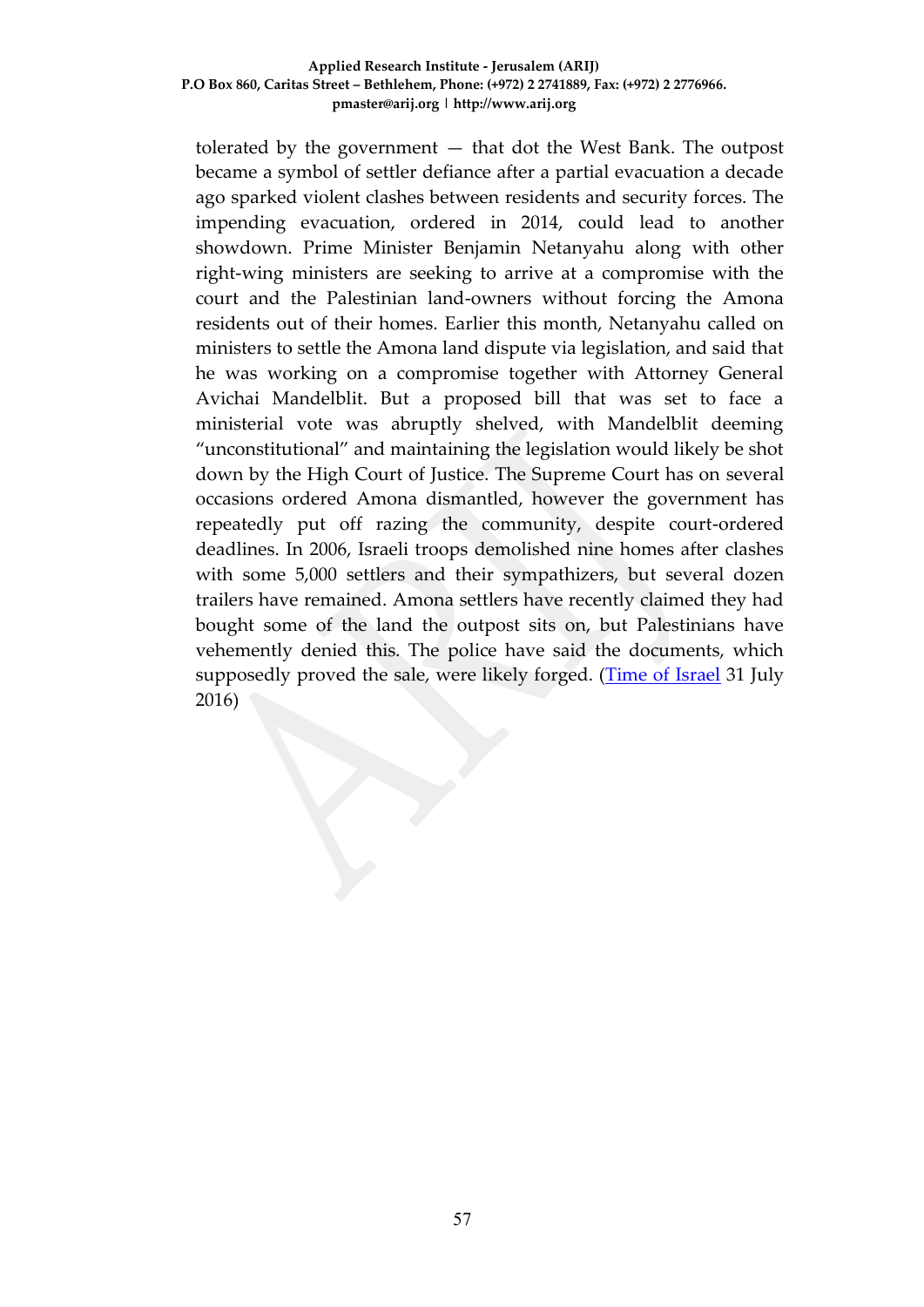tolerated by the government — that dot the West Bank. The outpost became a symbol of settler defiance after a partial evacuation a decade ago sparked violent clashes between residents and security forces. The impending evacuation, ordered in 2014, could lead to another showdown. Prime Minister Benjamin Netanyahu along with other right-wing ministers are seeking to arrive at a compromise with the court and the Palestinian land-owners without forcing the Amona residents out of their homes. Earlier this month, Netanyahu called on ministers to settle the Amona land dispute via legislation, and said that he was working on a compromise together with Attorney General Avichai Mandelblit. But a proposed bill that was set to face a ministerial vote was abruptly shelved, with Mandelblit deeming "unconstitutional" and maintaining the legislation would likely be shot down by the High Court of Justice. The Supreme Court has on several occasions ordered Amona dismantled, however the government has repeatedly put off razing the community, despite court-ordered deadlines. In 2006, Israeli troops demolished nine homes after clashes with some 5,000 settlers and their sympathizers, but several dozen trailers have remained. Amona settlers have recently claimed they had bought some of the land the outpost sits on, but Palestinians have vehemently denied this. The police have said the documents, which supposedly proved the sale, were likely forged. [\(Time of Israel](http://www.timesofisrael.com/state-said-to-approve-land-to-relocate-amona-outpost/) 31 July 2016)